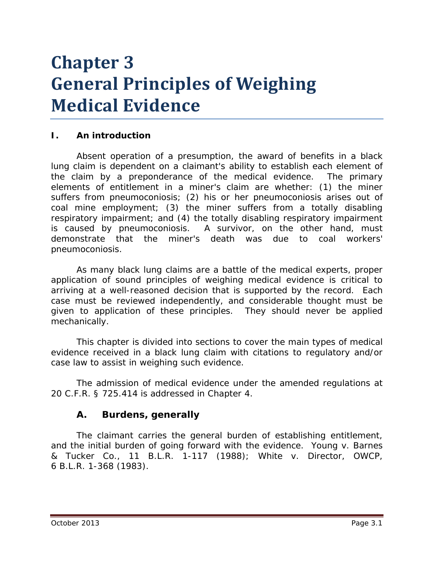# **Chapter 3 General Principles of Weighing Medical Evidence**

## **I. An introduction**

Absent operation of a presumption, the award of benefits in a black lung claim is dependent on a claimant's ability to establish each element of the claim by a preponderance of the medical evidence. The primary elements of entitlement in a miner's claim are whether: (1) the miner suffers from pneumoconiosis; (2) his or her pneumoconiosis arises out of coal mine employment; (3) the miner suffers from a totally disabling respiratory impairment; and (4) the totally disabling respiratory impairment is caused by pneumoconiosis. A survivor, on the other hand, must demonstrate that the miner's death was due to coal workers' pneumoconiosis.

As many black lung claims are a battle of the medical experts, proper application of sound principles of weighing medical evidence is critical to arriving at a well-reasoned decision that is supported by the record. Each case must be reviewed independently, and considerable thought must be given to application of these principles. They should never be applied mechanically.

This chapter is divided into sections to cover the main types of medical evidence received in a black lung claim with citations to regulatory and/or case law to assist in weighing such evidence.

The admission of medical evidence under the amended regulations at 20 C.F.R. § 725.414 is addressed in Chapter 4.

## **A. Burdens, generally**

The claimant carries the general burden of establishing entitlement, and the initial burden of going forward with the evidence. *Young v. Barnes & Tucker Co.*, 11 B.L.R. 1-117 (1988); *White v. Director, OWCP*, 6 B.L.R. 1-368 (1983).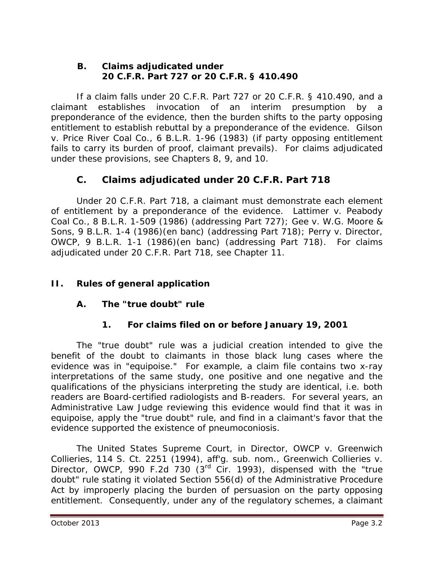#### **B. Claims adjudicated under 20 C.F.R. Part 727 or 20 C.F.R. § 410.490**

If a claim falls under 20 C.F.R. Part 727 or 20 C.F.R. § 410.490, and a claimant establishes invocation of an interim presumption by a preponderance of the evidence, then the burden shifts to the party opposing entitlement to establish rebuttal by a preponderance of the evidence. *Gilson v. Price River Coal Co.*, 6 B.L.R. 1-96 (1983) (if party opposing entitlement fails to carry its burden of proof, claimant prevails). For claims adjudicated under these provisions, *see* Chapters 8, 9, and 10.

# **C. Claims adjudicated under 20 C.F.R. Part 718**

Under 20 C.F.R. Part 718, a claimant must demonstrate each element of entitlement by a preponderance of the evidence. *Lattimer v. Peabody Coal Co.*, 8 B.L.R. 1-509 (1986) (addressing Part 727); *Gee v. W.G. Moore & Sons*, 9 B.L.R. 1-4 (1986)(en banc) (addressing Part 718); *Perry v. Director, OWCP*, 9 B.L.R. 1-1 (1986)(en banc) (addressing Part 718). For claims adjudicated under 20 C.F.R. Part 718, *see* Chapter 11.

# **II. Rules of general application**

## **A. The "true doubt" rule**

## **1. For claims filed on or before January 19, 2001**

The "true doubt" rule was a judicial creation intended to give the benefit of the doubt to claimants in those black lung cases where the evidence was in "equipoise." For example, a claim file contains two x-ray interpretations of the same study, one positive and one negative and the qualifications of the physicians interpreting the study are identical, *i.e.* both readers are Board-certified radiologists and B-readers. For several years, an Administrative Law Judge reviewing this evidence would find that it was in equipoise, apply the "true doubt" rule, and find in a claimant's favor that the evidence supported the existence of pneumoconiosis.

The United States Supreme Court, in *Director, OWCP v. Greenwich Collieries*, 114 S. Ct. 2251 (1994), *aff'g. sub. nom., Greenwich Collieries v. Director, OWCP*, 990 F.2d 730 (3rd Cir. 1993), dispensed with the "true doubt" rule stating it violated Section 556(d) of the Administrative Procedure Act by improperly placing the burden of persuasion on the party opposing entitlement. Consequently, under any of the regulatory schemes, a claimant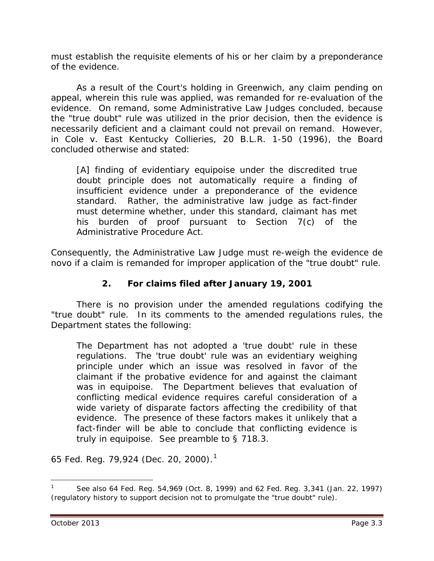must establish the requisite elements of his or her claim by a preponderance of the evidence.

As a result of the Court's holding in *Greenwich*, any claim pending on appeal, wherein this rule was applied, was remanded for re-evaluation of the evidence. On remand, some Administrative Law Judges concluded, because the "true doubt" rule was utilized in the prior decision, then the evidence is necessarily deficient and a claimant could not prevail on remand. However, in *Cole v. East Kentucky Collieries*, 20 B.L.R. 1-50 (1996), the Board concluded otherwise and stated:

[A] finding of evidentiary equipoise under the discredited true doubt principle does not automatically require a finding of insufficient evidence under a preponderance of the evidence standard. Rather, the administrative law judge as fact-finder must determine whether, under this standard, claimant has met his burden of proof pursuant to Section 7(c) of the Administrative Procedure Act.

Consequently, the Administrative Law Judge must re-weigh the evidence *de novo* if a claim is remanded for improper application of the "true doubt" rule.

## **2. For claims filed after January 19, 2001**

There is no provision under the amended regulations codifying the "true doubt" rule. In its comments to the amended regulations rules, the Department states the following:

The Department has not adopted a 'true doubt' rule in these regulations. The 'true doubt' rule was an evidentiary weighing principle under which an issue was resolved in favor of the claimant if the probative evidence for and against the claimant was in equipoise. The Department believes that evaluation of conflicting medical evidence requires careful consideration of a wide variety of disparate factors affecting the credibility of that evidence. The presence of these factors makes it unlikely that a fact-finder will be able to conclude that conflicting evidence is truly in equipoise. See preamble to § 718.3.

65 Fed. Reg. 79,924 (Dec. 20, 2000).[1](#page-2-0)

<span id="page-2-0"></span><sup>1</sup> *See also* 64 Fed. Reg. 54,969 (Oct. 8, 1999) and 62 Fed. Reg. 3,341 (Jan. 22, 1997) (regulatory history to support decision not to promulgate the "true doubt" rule).  $\overline{a}$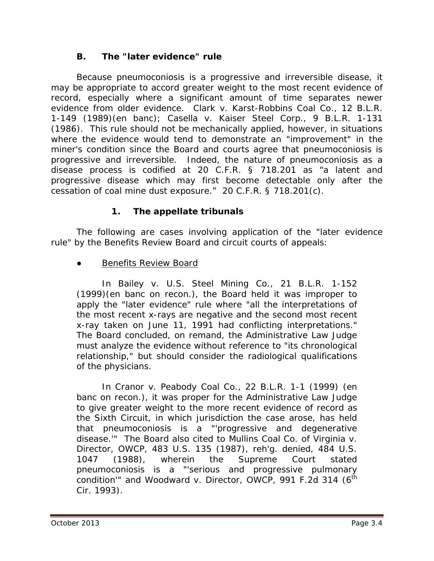#### **B. The "later evidence" rule**

Because pneumoconiosis is a progressive and irreversible disease, it may be appropriate to accord greater weight to the most recent evidence of record, especially where a significant amount of time separates newer evidence from older evidence. *Clark v. Karst-Robbins Coal Co*., 12 B.L.R. 1-149 (1989)(en banc); *Casella v. Kaiser Steel Corp.*, 9 B.L.R. 1-131 (1986). This rule should not be mechanically applied, however, in situations where the evidence would tend to demonstrate an "improvement" in the miner's condition since the Board and courts agree that pneumoconiosis is progressive and irreversible. Indeed, the nature of pneumoconiosis as a disease process is codified at 20 C.F.R. § 718.201 as "a latent and progressive disease which may first become detectable only after the cessation of coal mine dust exposure." 20 C.F.R. § 718.201(c).

#### **1. The appellate tribunals**

The following are cases involving application of the "later evidence rule" by the Benefits Review Board and circuit courts of appeals:

#### **●** Benefits Review Board

In *Bailey v. U.S. Steel Mining Co.*, 21 B.L.R. 1-152 (1999)(en banc on recon.), the Board held it was improper to apply the "later evidence" rule where "all the interpretations of the most recent x-rays are negative and the second most recent x-ray taken on June 11, 1991 had conflicting interpretations." The Board concluded, on remand, the Administrative Law Judge must analyze the evidence without reference to "its chronological relationship," but should consider the radiological qualifications of the physicians.

In *Cranor v. Peabody Coal Co.*, 22 B.L.R. 1-1 (1999) (en banc on recon.), it was proper for the Administrative Law Judge to give greater weight to the more recent evidence of record as the Sixth Circuit, in which jurisdiction the case arose, has held that pneumoconiosis is a "'progressive and degenerative disease.'" The Board also cited to *Mullins Coal Co. of Virginia v. Director, OWCP*, 483 U.S. 135 (1987), *reh'g. denied*, 484 U.S. 1047 (1988), wherein the Supreme Court stated pneumoconiosis is a "'serious and progressive pulmonary condition<sup>"</sup> and *Woodward v. Director, OWCP*, 991 F.2d 314 (6<sup>th</sup> Cir. 1993).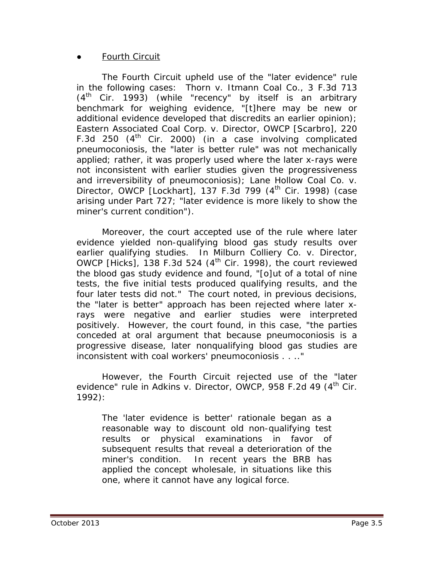#### **●** Fourth Circuit

The Fourth Circuit *upheld* use of the "later evidence" rule in the following cases: *Thorn v. Itmann Coal Co.*, 3 F.3d 713  $(4<sup>th</sup>$  Cir. 1993) (while "recency" by itself is an arbitrary benchmark for weighing evidence, "[t]here may be new or additional evidence developed that discredits an earlier opinion); *Eastern Associated Coal Corp. v. Director, OWCP [Scarbro]*, 220 F.3d 250  $(4<sup>th</sup>$  Cir. 2000) (in a case involving complicated pneumoconiosis, the "later is better rule" was not mechanically applied; rather, it was properly used where the later x-rays were not inconsistent with earlier studies given the progressiveness and irreversibility of pneumoconiosis); *Lane Hollow Coal Co. v. Director, OWCP [Lockhart]*, 137 F.3d 799 (4<sup>th</sup> Cir. 1998) (case arising under Part 727; "later evidence is more likely to show the miner's current condition").

Moreover, the court accepted use of the rule where later evidence yielded non-qualifying blood gas study results over earlier qualifying studies. In *Milburn Colliery Co. v. Director, OWCP [Hicks]*, 138 F.3d 524 (4<sup>th</sup> Cir. 1998), the court reviewed the blood gas study evidence and found, "[o]ut of a total of nine tests, the five initial tests produced qualifying results, and the four later tests did not." The court noted, in previous decisions, the "later is better" approach has been rejected where later xrays were negative and earlier studies were interpreted positively. However, the court found, in this case, "the parties conceded at oral argument that because pneumoconiosis is a progressive disease, later nonqualifying blood gas studies are inconsistent with coal workers' pneumoconiosis . . .."

However, the Fourth Circuit rejected use of the "later evidence" rule in *Adkins v. Director, OWCP*, 958 F.2d 49 (4<sup>th</sup> Cir. 1992):

The 'later evidence is better' rationale began as a reasonable way to discount old non-qualifying test results or physical examinations in favor of subsequent results that reveal a deterioration of the miner's condition. In recent years the BRB has applied the concept wholesale, in situations like this one, where it cannot have any logical force*.*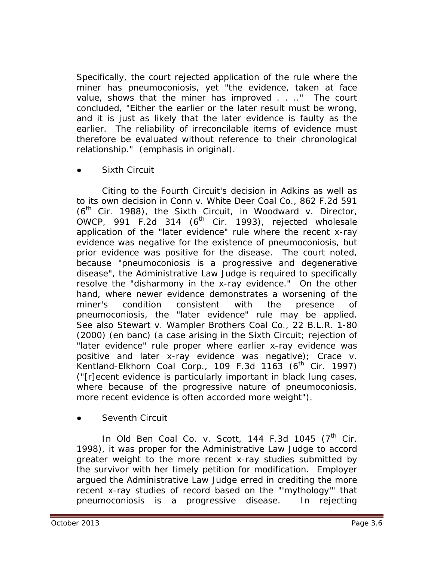Specifically, the court rejected application of the rule where the miner has pneumoconiosis, yet "the evidence, taken at face value, shows that the miner has improved . . .." The court concluded, "Either the earlier or the later result *must* be wrong, and it is just as likely that the later evidence is faulty as the earlier. The reliability of irreconcilable items of evidence must therefore be evaluated without reference to their chronological relationship." (emphasis in original).

#### ●Sixth Circuit

Citing to the Fourth Circuit's decision in *Adkins* as well as to its own decision in *Conn v. White Deer Coal Co.*, 862 F.2d 591 (6th Cir. 1988), the Sixth Circuit, in *Woodward v. Director,*   $OWCP$ , 991 F.2d 314 ( $6<sup>th</sup>$  Cir. 1993), rejected wholesale application of the "later evidence" rule where the recent x-ray evidence was negative for the existence of pneumoconiosis, but prior evidence was positive for the disease. The court noted, because "pneumoconiosis is a progressive and degenerative disease", the Administrative Law Judge is required to specifically resolve the "disharmony in the x-ray evidence." On the other hand, where newer evidence demonstrates a worsening of the miner's condition consistent with the presence of pneumoconiosis, the "later evidence" rule may be applied. *See also Stewart v. Wampler Brothers Coal Co.*, 22 B.L.R. 1-80 (2000) (en banc) (a case arising in the Sixth Circuit; rejection of "later evidence" rule proper where earlier x-ray evidence was positive and later x-ray evidence was negative); *Crace v.*  Kentland-Elkhorn Coal Corp., 109 F.3d 1163 (6<sup>th</sup> Cir. 1997) ("[r]ecent evidence is particularly important in black lung cases, where because of the progressive nature of pneumoconiosis, more recent evidence is often accorded more weight").

## **Seventh Circuit**

In *Old Ben Coal Co. v. Scott*, 144 F.3d 1045 (7<sup>th</sup> Cir. 1998), it was proper for the Administrative Law Judge to accord greater weight to the more recent x-ray studies submitted by the survivor with her timely petition for modification. Employer argued the Administrative Law Judge erred in crediting the more recent x-ray studies of record based on the "'mythology'" that pneumoconiosis is a progressive disease. In rejecting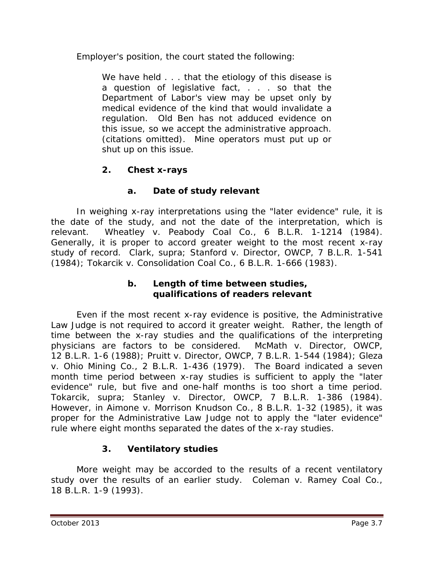Employer's position, the court stated the following:

We have held . . . that the etiology of this disease is a question of legislative fact, . . . so that the Department of Labor's view may be upset only by medical evidence of the kind that would invalidate a regulation. Old Ben has not adduced evidence on this issue, so we accept the administrative approach. (citations omitted). Mine operators must put up or shut up on this issue.

# **2. Chest x-rays**

# **a. Date of study relevant**

In weighing x-ray interpretations using the "later evidence" rule, it is the date of the study, and not the date of the interpretation, which is relevant. *Wheatley v. Peabody Coal Co.*, 6 B.L.R. 1-1214 (1984). Generally, it is proper to accord greater weight to the most recent x-ray study of record. *Clark, supra; Stanford v. Director, OWCP*, 7 B.L.R. 1-541 (1984); *Tokarcik v. Consolidation Coal Co.*, 6 B.L.R. 1-666 (1983).

#### **b. Length of time between studies, qualifications of readers relevant**

Even if the most recent x-ray evidence is positive, the Administrative Law Judge is not required to accord it greater weight. Rather, the length of time between the x-ray studies and the qualifications of the interpreting physicians are factors to be considered. *McMath v. Director, OWCP*, 12 B.L.R. 1-6 (1988); *Pruitt v. Director, OWCP*, 7 B.L.R. 1-544 (1984); *Gleza v. Ohio Mining Co.*, 2 B.L.R. 1-436 (1979). The Board indicated a seven month time period between x-ray studies is sufficient to apply the "later evidence" rule, but five and one-half months is too short a time period. *Tokarcik, supra*; *Stanley v. Director, OWCP*, 7 B.L.R. 1-386 (1984). However, in *Aimone v. Morrison Knudson Co.*, 8 B.L.R. 1-32 (1985), it was proper for the Administrative Law Judge not to apply the "later evidence" rule where eight months separated the dates of the x-ray studies.

## **3. Ventilatory studies**

More weight may be accorded to the results of a recent ventilatory study over the results of an earlier study. *Coleman v. Ramey Coal Co.*, 18 B.L.R. 1-9 (1993).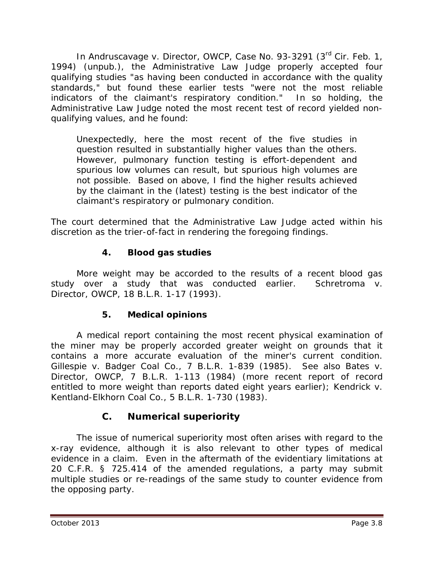In *Andruscavage v. Director, OWCP*, Case No. 93-3291 (3rd Cir. Feb. 1, 1994) (unpub.), the Administrative Law Judge properly accepted four qualifying studies "as having been conducted in accordance with the quality standards," but found these earlier tests "were not the most reliable indicators of the claimant's respiratory condition." In so holding, the Administrative Law Judge noted the most recent test of record yielded nonqualifying values, and he found:

Unexpectedly, here the most recent of the five studies in question resulted in substantially higher values than the others. However, pulmonary function testing is effort-dependent and spurious low volumes can result, but spurious high volumes are not possible. Based on above, I find the higher results achieved by the claimant in the (latest) testing is the best indicator of the claimant's respiratory or pulmonary condition.

The court determined that the Administrative Law Judge acted within his discretion as the trier-of-fact in rendering the foregoing findings.

# **4. Blood gas studies**

More weight may be accorded to the results of a recent blood gas study over a study that was conducted earlier. *Schretroma v. Director, OWCP*, 18 B.L.R. 1-17 (1993).

## **5. Medical opinions**

A medical report containing the most recent physical examination of the miner may be properly accorded greater weight on grounds that it contains a more accurate evaluation of the miner's current condition. *Gillespie v. Badger Coal Co.*, 7 B.L.R. 1-839 (1985). *See also Bates v. Director, OWCP*, 7 B.L.R. 1-113 (1984) (more recent report of record entitled to more weight than reports dated eight years earlier); *Kendrick v. Kentland-Elkhorn Coal Co.*, 5 B.L.R. 1-730 (1983).

# **C. Numerical superiority**

The issue of numerical superiority most often arises with regard to the x-ray evidence, although it is also relevant to other types of medical evidence in a claim. Even in the aftermath of the evidentiary limitations at 20 C.F.R. § 725.414 of the amended regulations, a party may submit multiple studies or re-readings of the same study to counter evidence from the opposing party.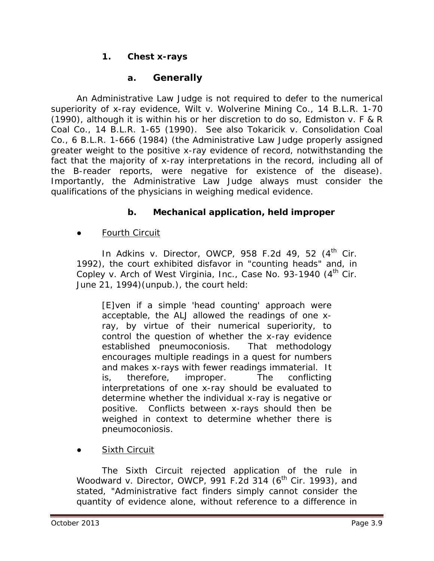## **1. Chest x-rays**

# **a. Generally**

An Administrative Law Judge is not required to defer to the numerical superiority of x-ray evidence, *Wilt v. Wolverine Mining Co.*, 14 B.L.R. 1-70 (1990), although it is within his or her discretion to do so, *Edmiston v. F & R Coal Co.*, 14 B.L.R. 1-65 (1990). *See also Tokaricik v. Consolidation Coal Co.*, 6 B.L.R. 1-666 (1984) (the Administrative Law Judge properly assigned greater weight to the positive x-ray evidence of record, notwithstanding the fact that the majority of x-ray interpretations in the record, including all of the B-reader reports, were negative for existence of the disease). Importantly, the Administrative Law Judge always must consider the qualifications of the physicians in weighing medical evidence.

# **b. Mechanical application, held improper**

## **●** Fourth Circuit

In *Adkins v. Director, OWCP*, 958 F.2d 49, 52 (4<sup>th</sup> Cir. 1992), the court exhibited disfavor in "counting heads" and, in *Copley v. Arch of West Virginia, Inc., Case No. 93-1940 (4<sup>th</sup> Cir.* June 21, 1994)(unpub.), the court held:

[E]ven if a simple 'head counting' approach were acceptable, the ALJ allowed the readings of one xray, by virtue of their numerical superiority, to control the question of whether the x-ray evidence established pneumoconiosis. That methodology encourages multiple readings in a quest for numbers and makes x-rays with fewer readings immaterial. It is, therefore, improper. The conflicting interpretations of one x-ray should be evaluated to determine whether the individual x-ray is negative or positive. Conflicts between x-rays should then be weighed in context to determine whether there is pneumoconiosis.

**●** Sixth Circuit

The Sixth Circuit rejected application of the rule in *Woodward v. Director, OWCP*, 991 F.2d 314 (6<sup>th</sup> Cir. 1993), and stated, "Administrative fact finders simply cannot consider the quantity of evidence alone, without reference to a difference in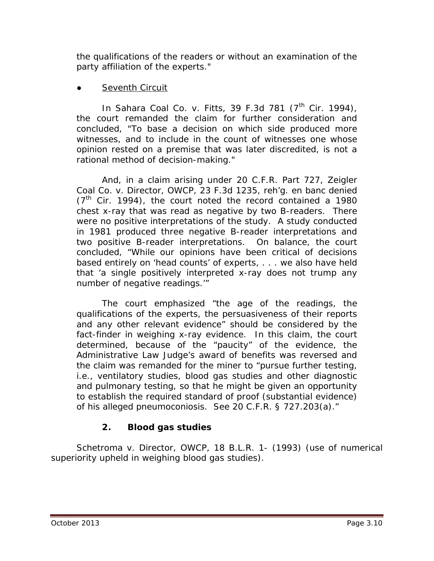the qualifications of the readers or without an examination of the party affiliation of the experts."

## **●** Seventh Circuit

In *Sahara Coal Co. v. Fitts*, 39 F.3d 781 (7<sup>th</sup> Cir. 1994), the court remanded the claim for further consideration and concluded, "To base a decision on which side produced more witnesses, and to include in the count of witnesses one whose opinion rested on a premise that was later discredited, is not a rational method of decision-making."

And, in a claim arising under 20 C.F.R. Part 727, *Zeigler Coal Co. v. Director, OWCP*, 23 F.3d 1235, *reh'g. en banc denied*  $(7<sup>th</sup>$  Cir. 1994), the court noted the record contained a 1980 chest x-ray that was read as negative by two B-readers. There were no positive interpretations of the study. A study conducted in 1981 produced three negative B-reader interpretations and two positive B-reader interpretations. On balance, the court concluded, "While our opinions have been critical of decisions based entirely on 'head counts' of experts, . . . we also have held that 'a single positively interpreted x-ray does not trump any number of negative readings.'"

The court emphasized "the age of the readings, the qualifications of the experts, the persuasiveness of their reports and any other relevant evidence" should be considered by the fact-finder in weighing x-ray evidence. In this claim, the court determined, because of the "paucity" of the evidence, the Administrative Law Judge's award of benefits was reversed and the claim was remanded for the miner to "pursue further testing, *i.e.*, ventilatory studies, blood gas studies and other diagnostic and pulmonary testing, so that he might be given an opportunity to establish the required standard of proof (substantial evidence) of his alleged pneumoconiosis. *See* 20 C.F.R. § 727.203(a)."

# **2. Blood gas studies**

*Schetroma v. Director, OWCP*, 18 B.L.R. 1- (1993) (use of numerical superiority upheld in weighing blood gas studies).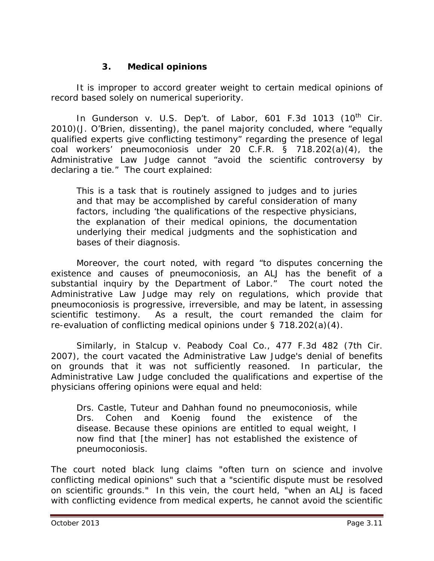#### **3. Medical opinions**

It is improper to accord greater weight to certain medical opinions of record based solely on numerical superiority.

In *Gunderson v. U.S. Dep't. of Labor*, 601 F.3d 1013 (10<sup>th</sup> Cir. 2010)(J. O'Brien, dissenting), the panel majority concluded, where "equally qualified experts give conflicting testimony" regarding the presence of legal coal workers' pneumoconiosis under 20 C.F.R. § 718.202(a)(4), the Administrative Law Judge cannot "avoid the scientific controversy by declaring a tie." The court explained:

This is a task that is routinely assigned to judges and to juries and that may be accomplished by careful consideration of many factors, including 'the qualifications of the respective physicians, the explanation of their medical opinions, the documentation underlying their medical judgments and the sophistication and bases of their diagnosis.

Moreover, the court noted, with regard "to disputes concerning the existence and causes of pneumoconiosis, an ALJ has the benefit of a substantial inquiry by the Department of Labor." The court noted the Administrative Law Judge may rely on regulations, which provide that pneumoconiosis is progressive, irreversible, and may be latent, in assessing scientific testimony. As a result, the court remanded the claim for re-evaluation of conflicting medical opinions under § 718.202(a)(4).

Similarly, in *Stalcup v. Peabody Coal Co.*, 477 F.3d 482 (7th Cir. 2007), the court vacated the Administrative Law Judge's denial of benefits on grounds that it was not sufficiently reasoned. In particular, the Administrative Law Judge concluded the qualifications and expertise of the physicians offering opinions were equal and held:

Drs. Castle, Tuteur and Dahhan found no pneumoconiosis, while Drs. Cohen and Koenig found the existence of the disease. Because these opinions are entitled to equal weight, I now find that [the miner] has not established the existence of pneumoconiosis.

The court noted black lung claims "often turn on science and involve conflicting medical opinions" such that a "scientific dispute must be resolved on scientific grounds." In this vein, the court held, "when an ALJ is faced with conflicting evidence from medical experts, he cannot avoid the scientific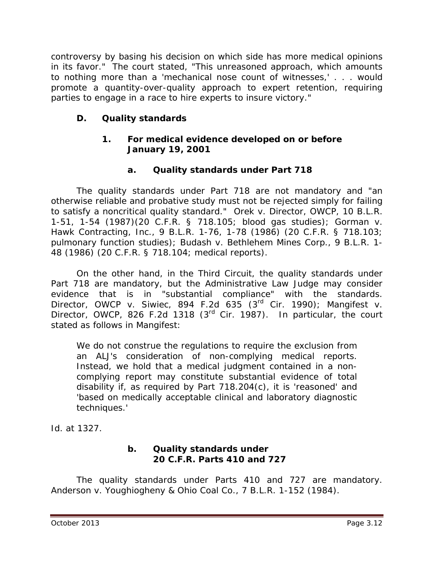controversy by basing his decision on which side has more medical opinions in its favor." The court stated, "This unreasoned approach, which amounts to nothing more than a 'mechanical nose count of witnesses,' . . . would promote a quantity-over-quality approach to expert retention, requiring parties to engage in a race to hire experts to insure victory."

# **D. Quality standards**

#### **1. For medical evidence developed on or before January 19, 2001**

## **a. Quality standards under Part 718**

The quality standards under Part 718 are not mandatory and "an otherwise reliable and probative study must not be rejected simply for failing to satisfy a noncritical quality standard." *Orek v. Director, OWCP*, 10 B.L.R. 1-51, 1-54 (1987)(20 C.F.R. § 718.105; blood gas studies); *Gorman v. Hawk Contracting, Inc.*, 9 B.L.R. 1-76, 1-78 (1986) (20 C.F.R. § 718.103; pulmonary function studies); *Budash v. Bethlehem Mines Corp.*, 9 B.L.R. 1- 48 (1986) (20 C.F.R. § 718.104; medical reports).

On the other hand, in the Third Circuit, the quality standards under Part 718 are mandatory, but the Administrative Law Judge may consider evidence that is in "substantial compliance" with the standards. *Director, OWCP v. Siwiec*, 894 F.2d 635 (3rd Cir. 1990); *Mangifest v. Director, OWCP*, 826 F.2d 1318 (3rd Cir. 1987). In particular, the court stated as follows in *Mangifest*:

We do not construe the regulations to require the exclusion from an ALJ's consideration of non-complying medical reports. Instead, we hold that a medical judgment contained in a noncomplying report may constitute substantial evidence of total disability if, as required by Part 718.204(c), it is 'reasoned' and 'based on medically acceptable clinical and laboratory diagnostic techniques.'

*Id.* at 1327.

#### **b. Quality standards under 20 C.F.R. Parts 410 and 727**

The quality standards under Parts 410 and 727 are mandatory. *Anderson v. Youghiogheny & Ohio Coal Co.*, 7 B.L.R. 1-152 (1984).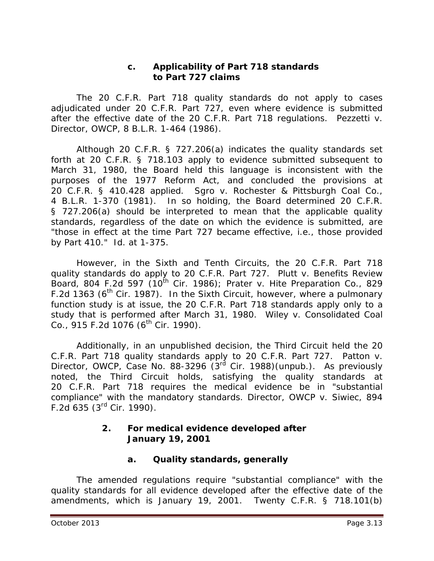#### **c. Applicability of Part 718 standards to Part 727 claims**

The 20 C.F.R. Part 718 quality standards do not apply to cases adjudicated under 20 C.F.R. Part 727, even where evidence is submitted after the effective date of the 20 C.F.R. Part 718 regulations. *Pezzetti v. Director, OWCP*, 8 B.L.R. 1-464 (1986).

Although 20 C.F.R. § 727.206(a) indicates the quality standards set forth at 20 C.F.R. § 718.103 apply to evidence submitted subsequent to March 31, 1980, the Board held this language is inconsistent with the purposes of the 1977 Reform Act, and concluded the provisions at 20 C.F.R. § 410.428 applied. *Sgro v. Rochester & Pittsburgh Coal Co.*, 4 B.L.R. 1-370 (1981). In so holding, the Board determined 20 C.F.R. § 727.206(a) should be interpreted to mean that the applicable quality standards, regardless of the date on which the evidence is submitted, are "those in effect at the time Part 727 became effective, *i.e.*, those provided by Part 410." *Id.* at 1-375.

However, in the Sixth and Tenth Circuits, the 20 C.F.R. Part 718 quality standards do apply to 20 C.F.R. Part 727. *Plutt v. Benefits Review Board*, 804 F.2d 597 (10<sup>th</sup> Cir. 1986); *Prater v. Hite Preparation Co.*, 829 F.2d 1363 ( $6<sup>th</sup>$  Cir. 1987). In the Sixth Circuit, however, where a pulmonary function study is at issue, the 20 C.F.R. Part 718 standards apply only to a study that is performed after March 31, 1980. *Wiley v. Consolidated Coal Co.*, 915 F.2d 1076 (6<sup>th</sup> Cir. 1990).

Additionally, in an unpublished decision, the Third Circuit held the 20 C.F.R. Part 718 quality standards apply to 20 C.F.R. Part 727. *Patton v. Director, OWCP*, Case No. 88-3296 (3<sup>rd</sup> Cir. 1988)(unpub.). As previously noted, the Third Circuit holds, satisfying the quality standards at 20 C.F.R. Part 718 requires the medical evidence be in "substantial compliance" with the mandatory standards. *Director, OWCP v. Siwiec*, 894 F.2d  $635$  ( $3^{rd}$  Cir. 1990).

## **2. For medical evidence developed after January 19, 2001**

#### **a. Quality standards, generally**

The amended regulations require "substantial compliance" with the quality standards for all evidence developed after the effective date of the amendments, which is January 19, 2001. Twenty C.F.R. § 718.101(b)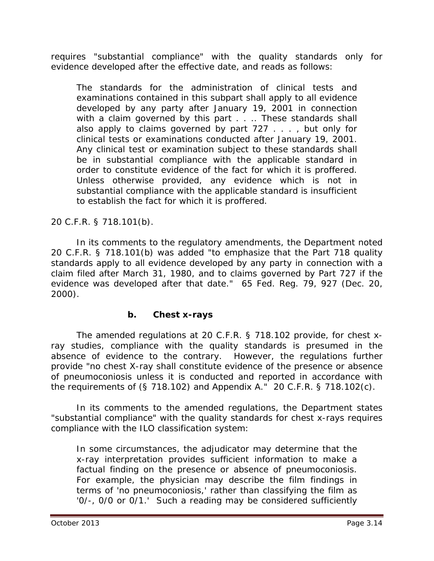requires "substantial compliance" with the quality standards only for evidence developed after the effective date, and reads as follows:

The standards for the administration of clinical tests and examinations contained in this subpart shall apply to all evidence developed by any party after January 19, 2001 in connection with a claim governed by this part . . .. These standards shall also apply to claims governed by part 727 . . . , but only for clinical tests or examinations conducted after January 19, 2001. Any clinical test or examination subject to these standards shall be in substantial compliance with the applicable standard in order to constitute evidence of the fact for which it is proffered. Unless otherwise provided, any evidence which is not in substantial compliance with the applicable standard is insufficient to establish the fact for which it is proffered.

20 C.F.R. § 718.101(b).

In its comments to the regulatory amendments, the Department noted 20 C.F.R. § 718.101(b) was added "to emphasize that the Part 718 quality standards apply to all evidence developed by any party in connection with a claim filed after March 31, 1980, and to claims governed by Part 727 if the evidence was developed after that date." 65 Fed. Reg. 79, 927 (Dec. 20, 2000).

#### **b. Chest x-rays**

The amended regulations at 20 C.F.R. § 718.102 provide, for chest xray studies, compliance with the quality standards is presumed in the absence of evidence to the contrary. However, the regulations further provide "no chest X-ray shall constitute evidence of the presence or absence of pneumoconiosis unless it is conducted and reported in accordance with the requirements of (§ 718.102) and Appendix A." 20 C.F.R. § 718.102(c).

In its comments to the amended regulations, the Department states "substantial compliance" with the quality standards for chest x-rays requires compliance with the ILO classification system:

In some circumstances, the adjudicator may determine that the x-ray interpretation provides sufficient information to make a factual finding on the presence or absence of pneumoconiosis. For example, the physician may describe the film findings in terms of 'no pneumoconiosis,' rather than classifying the film as '0/-, 0/0 or 0/1.' Such a reading may be considered sufficiently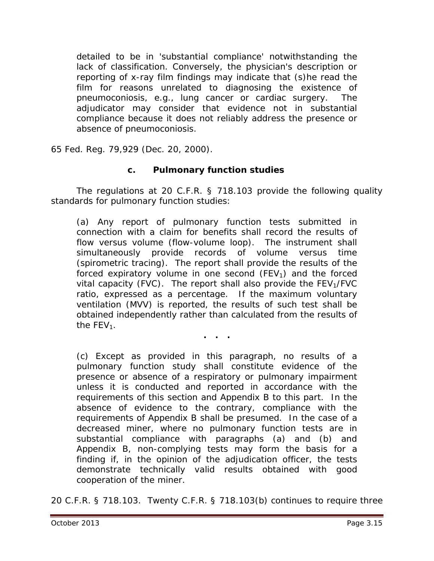detailed to be in 'substantial compliance' notwithstanding the lack of classification. Conversely, the physician's description or reporting of x-ray film findings may indicate that (s)he read the film for reasons unrelated to diagnosing the existence of pneumoconiosis, *e.g.*, lung cancer or cardiac surgery. The adjudicator may consider that evidence not in substantial compliance because it does not reliably address the presence or absence of pneumoconiosis.

65 Fed. Reg. 79,929 (Dec. 20, 2000).

#### **c. Pulmonary function studies**

The regulations at 20 C.F.R. § 718.103 provide the following quality standards for pulmonary function studies:

(a) Any report of pulmonary function tests submitted in connection with a claim for benefits shall record the results of flow versus volume (flow-volume loop). The instrument shall simultaneously provide records of volume versus time (spirometric tracing). The report shall provide the results of the forced expiratory volume in one second  $(FEV_1)$  and the forced vital capacity (FVC). The report shall also provide the  $FEV<sub>1</sub>/FVC$ ratio, expressed as a percentage. If the maximum voluntary ventilation (MVV) is reported, the results of such test shall be obtained independently rather than calculated from the results of the  $FEV<sub>1</sub>$ .

**. . .**

(c) Except as provided in this paragraph, no results of a pulmonary function study shall constitute evidence of the presence or absence of a respiratory or pulmonary impairment unless it is conducted and reported in accordance with the requirements of this section and Appendix B to this part. In the absence of evidence to the contrary, compliance with the requirements of Appendix B shall be presumed. In the case of a decreased miner, where no pulmonary function tests are in substantial compliance with paragraphs (a) and (b) and Appendix B, non-complying tests may form the basis for a finding if, in the opinion of the adjudication officer, the tests demonstrate technically valid results obtained with good cooperation of the miner.

20 C.F.R. § 718.103. Twenty C.F.R. § 718.103(b) continues to require three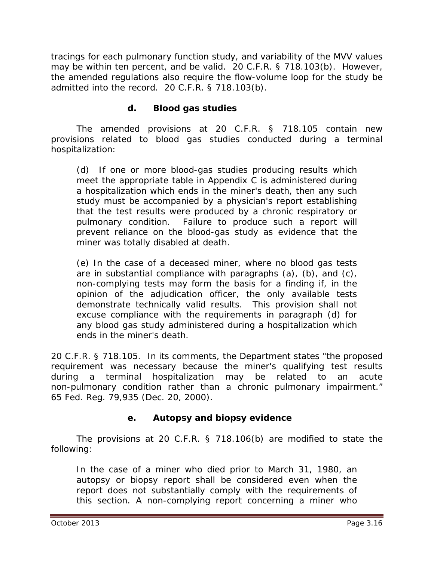tracings for each pulmonary function study, and variability of the MVV values may be within ten percent, and be valid. 20 C.F.R. § 718.103(b). However, the amended regulations also require the flow-volume loop for the study be admitted into the record. 20 C.F.R. § 718.103(b).

#### **d. Blood gas studies**

The amended provisions at 20 C.F.R. § 718.105 contain new provisions related to blood gas studies conducted during a terminal hospitalization:

(d) If one or more blood-gas studies producing results which meet the appropriate table in Appendix C is administered during a hospitalization which ends in the miner's death, then any such study must be accompanied by a physician's report establishing that the test results were produced by a chronic respiratory or pulmonary condition. Failure to produce such a report will prevent reliance on the blood-gas study as evidence that the miner was totally disabled at death.

(e) In the case of a deceased miner, where no blood gas tests are in substantial compliance with paragraphs  $(a)$ ,  $(b)$ , and  $(c)$ , non-complying tests may form the basis for a finding if, in the opinion of the adjudication officer, the only available tests demonstrate technically valid results. This provision shall not excuse compliance with the requirements in paragraph (d) for any blood gas study administered during a hospitalization which ends in the miner's death.

20 C.F.R. § 718.105. In its comments, the Department states "the proposed requirement was necessary because the miner's qualifying test results during a terminal hospitalization may be related to an acute non-pulmonary condition rather than a chronic pulmonary impairment." 65 Fed. Reg. 79,935 (Dec. 20, 2000).

## **e. Autopsy and biopsy evidence**

The provisions at 20 C.F.R. § 718.106(b) are modified to state the following:

In the case of a miner who died prior to March 31, 1980, an autopsy or biopsy report shall be considered even when the report does not substantially comply with the requirements of this section. A non-complying report concerning a miner who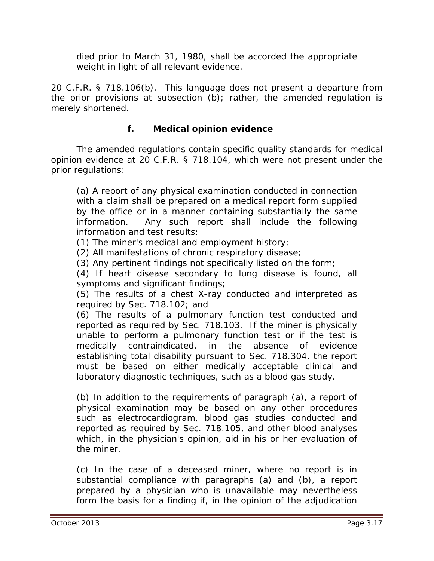died prior to March 31, 1980, shall be accorded the appropriate weight in light of all relevant evidence.

20 C.F.R. § 718.106(b). This language does not present a departure from the prior provisions at subsection (b); rather, the amended regulation is merely shortened.

### **f. Medical opinion evidence**

The amended regulations contain specific quality standards for medical opinion evidence at 20 C.F.R. § 718.104, which were not present under the prior regulations:

(a) A report of any physical examination conducted in connection with a claim shall be prepared on a medical report form supplied by the office or in a manner containing substantially the same information. Any such report shall include the following information and test results:

(1) The miner's medical and employment history;

(2) All manifestations of chronic respiratory disease;

(3) Any pertinent findings not specifically listed on the form;

(4) If heart disease secondary to lung disease is found, all symptoms and significant findings;

(5) The results of a chest X-ray conducted and interpreted as required by Sec. 718.102; and

(6) The results of a pulmonary function test conducted and reported as required by Sec. 718.103. If the miner is physically unable to perform a pulmonary function test or if the test is medically contraindicated, in the absence of evidence establishing total disability pursuant to Sec. 718.304, the report must be based on either medically acceptable clinical and laboratory diagnostic techniques, such as a blood gas study.

(b) In addition to the requirements of paragraph (a), a report of physical examination may be based on any other procedures such as electrocardiogram, blood gas studies conducted and reported as required by Sec. 718.105, and other blood analyses which, in the physician's opinion, aid in his or her evaluation of the miner.

(c) In the case of a deceased miner, where no report is in substantial compliance with paragraphs (a) and (b), a report prepared by a physician who is unavailable may nevertheless form the basis for a finding if, in the opinion of the adjudication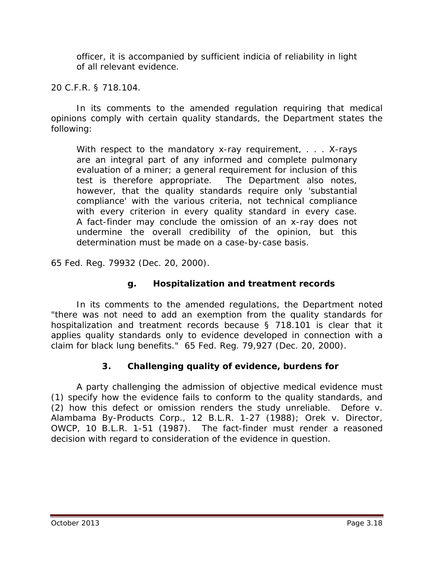officer, it is accompanied by sufficient indicia of reliability in light of all relevant evidence.

20 C.F.R. § 718.104.

In its comments to the amended regulation requiring that medical opinions comply with certain quality standards, the Department states the following:

With respect to the mandatory x-ray requirement, . . . X-rays are an integral part of any informed and complete pulmonary evaluation of a miner; a general requirement for inclusion of this test is therefore appropriate. The Department also notes, however, that the quality standards require only 'substantial compliance' with the various criteria, not technical compliance with every criterion in every quality standard in every case. A fact-finder may conclude the omission of an x-ray does not undermine the overall credibility of the opinion, but this determination must be made on a case-by-case basis.

65 Fed. Reg. 79932 (Dec. 20, 2000).

## **g. Hospitalization and treatment records**

In its comments to the amended regulations, the Department noted "there was not need to add an exemption from the quality standards for hospitalization and treatment records because § 718.101 is clear that it applies quality standards only to evidence developed in connection with a claim for black lung benefits." 65 Fed. Reg. 79,927 (Dec. 20, 2000).

## **3. Challenging quality of evidence, burdens for**

A party challenging the admission of objective medical evidence must (1) specify how the evidence fails to conform to the quality standards, and (2) how this defect or omission renders the study unreliable. *Defore v. Alambama By-Products Corp.*, 12 B.L.R. 1-27 (1988); *Orek v. Director, OWCP*, 10 B.L.R. 1-51 (1987). The fact-finder must render a reasoned decision with regard to consideration of the evidence in question.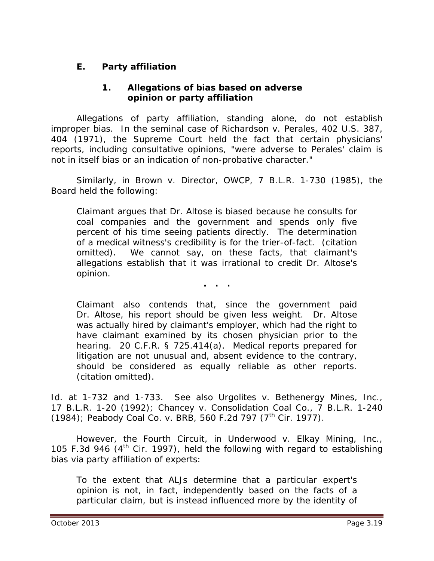# **E. Party affiliation**

#### **1. Allegations of bias based on adverse opinion or party affiliation**

Allegations of party affiliation, standing alone, do not establish improper bias. In the seminal case of *Richardson v. Perales*, 402 U.S. 387, 404 (1971), the Supreme Court held the fact that certain physicians' reports, including consultative opinions, "were adverse to Perales' claim is not in itself bias or an indication of non-probative character."

Similarly, in *Brown v. Director, OWCP*, 7 B.L.R. 1-730 (1985), the Board held the following:

Claimant argues that Dr. Altose is biased because he consults for coal companies and the government and spends only five percent of his time seeing patients directly. The determination of a medical witness's credibility is for the trier-of-fact. (citation omitted). We cannot say, on these facts, that claimant's allegations establish that it was irrational to credit Dr. Altose's opinion.

**. . .**

Claimant also contends that, since the government paid Dr. Altose, his report should be given less weight. Dr. Altose was actually hired by claimant's employer, which had the right to have claimant examined by its chosen physician prior to the hearing. 20 C.F.R. § 725.414(a). Medical reports prepared for litigation are not unusual and, absent evidence to the contrary, should be considered as equally reliable as other reports. (citation omitted).

*Id.* at 1-732 and 1-733. *See also Urgolites v. Bethenergy Mines, Inc.*, 17 B.L.R. 1-20 (1992); *Chancey v. Consolidation Coal Co.*, 7 B.L.R. 1-240 (1984); *Peabody Coal Co. v. BRB*, 560 F.2d 797 (7<sup>th</sup> Cir. 1977).

However, the Fourth Circuit, in *Underwood v. Elkay Mining, Inc.*, 105 F.3d 946  $(4<sup>th</sup>$  Cir. 1997), held the following with regard to establishing bias via party affiliation of experts:

To the extent that ALJs determine that a particular expert's opinion is not, in fact, independently based on the facts of a particular claim, but is instead influenced more by the identity of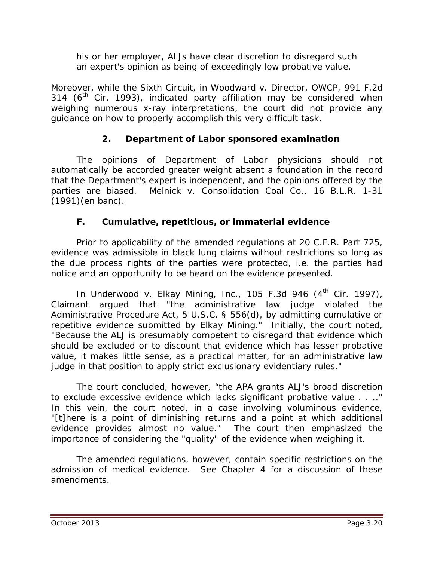his or her employer, ALJs have clear discretion to disregard such an expert's opinion as being of exceedingly low probative value.

Moreover, while the Sixth Circuit, in *Woodward v. Director, OWCP*, 991 F.2d 314 ( $6<sup>th</sup>$  Cir. 1993), indicated party affiliation may be considered when weighing numerous x-ray interpretations, the court did not provide any guidance on how to properly accomplish this very difficult task.

# **2. Department of Labor sponsored examination**

The opinions of Department of Labor physicians should not automatically be accorded greater weight absent a foundation in the record that the Department's expert is independent, and the opinions offered by the parties are biased. *Melnick v. Consolidation Coal Co.*, 16 B.L.R. 1-31 (1991)(en banc).

# **F. Cumulative, repetitious, or immaterial evidence**

Prior to applicability of the amended regulations at 20 C.F.R. Part 725, evidence was admissible in black lung claims without restrictions so long as the due process rights of the parties were protected, *i.e.* the parties had notice and an opportunity to be heard on the evidence presented.

In *Underwood v. Elkay Mining, Inc.*, 105 F.3d 946 (4<sup>th</sup> Cir. 1997), Claimant argued that "the administrative law judge violated the Administrative Procedure Act, 5 U.S.C. § 556(d), by admitting cumulative or repetitive evidence submitted by Elkay Mining." Initially, the court noted, "Because the ALJ is presumably competent to disregard that evidence which should be excluded or to discount that evidence which has lesser probative value, it makes little sense, as a practical matter, for an administrative law judge in that position to apply strict exclusionary evidentiary rules."

The court concluded, however, "the APA grants ALJ's broad discretion to exclude excessive evidence which lacks significant probative value . . .." In this vein, the court noted, in a case involving voluminous evidence, "[t]here is a point of diminishing returns and a point at which additional evidence provides almost no value." The court then emphasized the importance of considering the "quality" of the evidence when weighing it.

The amended regulations, however, contain specific restrictions on the admission of medical evidence. *See Chapter 4* for a discussion of these amendments.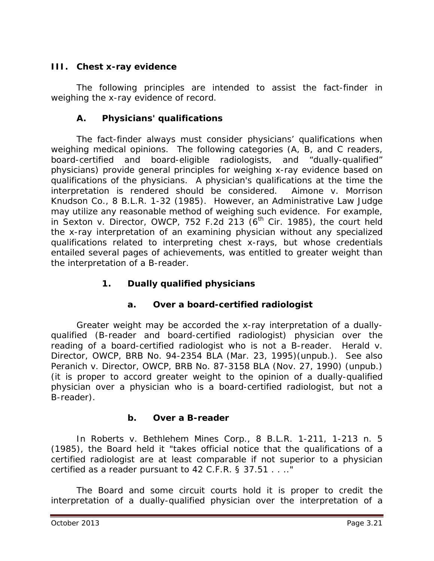#### **III. Chest x-ray evidence**

The following principles are intended to assist the fact-finder in weighing the x-ray evidence of record.

### **A. Physicians' qualifications**

The fact-finder always must consider physicians' qualifications when weighing medical opinions. The following categories (A, B, and C readers, board-certified and board-eligible radiologists, and "dually-qualified" physicians) provide general principles for weighing x-ray evidence based on qualifications of the physicians. A physician's qualifications *at the time the interpretation is rendered* should be considered. *Aimone v. Morrison Knudson Co.*, 8 B.L.R. 1-32 (1985). However, an Administrative Law Judge may utilize any reasonable method of weighing such evidence. For example, in *Sexton v. Director, OWCP*, 752 F.2d 213 (6<sup>th</sup> Cir. 1985), the court held the x-ray interpretation of an examining physician without any specialized qualifications related to interpreting chest x-rays, but whose credentials entailed several pages of achievements, was entitled to greater weight than the interpretation of a B-reader.

## **1. Dually qualified physicians**

## **a. Over a board-certified radiologist**

Greater weight may be accorded the x-ray interpretation of a duallyqualified (B-reader and board-certified radiologist) physician over the reading of a board-certified radiologist who is not a B-reader. *Herald v. Director, OWCP*, BRB No. 94-2354 BLA (Mar. 23, 1995)(unpub.). *See also Peranich v. Director, OWCP*, BRB No. 87-3158 BLA (Nov. 27, 1990) (unpub.) (it is proper to accord greater weight to the opinion of a dually-qualified physician over a physician who is a board-certified radiologist, but not a B-reader).

#### **b. Over a B-reader**

In *Roberts v. Bethlehem Mines Corp.*, 8 B.L.R. 1-211, 1-213 n. 5 (1985), the Board held it "takes official notice that the qualifications of a certified radiologist are at least comparable if not superior to a physician certified as a reader pursuant to 42 C.F.R. § 37.51 . . .."

The Board and some circuit courts hold it is proper to credit the interpretation of a dually-qualified physician over the interpretation of a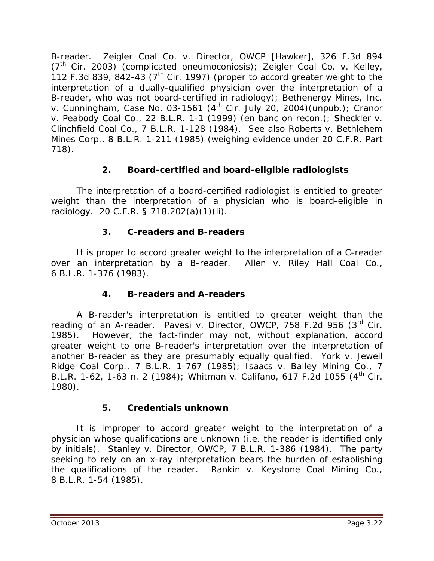B-reader. *Zeigler Coal Co. v. Director, OWCP [Hawker]*, 326 F.3d 894 (7th Cir. 2003) (complicated pneumoconiosis); *Zeigler Coal Co. v. Kelley*, 112 F.3d 839, 842-43 ( $7<sup>th</sup>$  Cir. 1997) (proper to accord greater weight to the interpretation of a dually-qualified physician over the interpretation of a B-reader, who was not board-certified in radiology); *Bethenergy Mines, Inc. v. Cunningham*, Case No. 03-1561 (4th Cir. July 20, 2004)(unpub.); *Cranor v. Peabody Coal Co.*, 22 B.L.R. 1-1 (1999) (en banc on recon.); *Sheckler v. Clinchfield Coal Co.*, 7 B.L.R. 1-128 (1984). *See also Roberts v. Bethlehem Mines Corp.*, 8 B.L.R. 1-211 (1985) (weighing evidence under 20 C.F.R. Part 718).

# **2. Board-certified and board-eligible radiologists**

The interpretation of a board-certified radiologist is entitled to greater weight than the interpretation of a physician who is board-eligible in radiology. 20 C.F.R. § 718.202(a)(1)(ii).

## **3. C-readers and B-readers**

It is proper to accord greater weight to the interpretation of a C-reader over an interpretation by a B-reader. *Allen v. Riley Hall Coal Co.*, 6 B.L.R. 1-376 (1983).

## **4. B-readers and A-readers**

A B-reader's interpretation is entitled to greater weight than the reading of an A-reader. *Pavesi v. Director, OWCP*, 758 F.2d 956 (3rd Cir. 1985). However, the fact-finder may not, without explanation, accord greater weight to one B-reader's interpretation over the interpretation of another B-reader as they are presumably equally qualified. *York v. Jewell Ridge Coal Corp.*, 7 B.L.R. 1-767 (1985); *Isaacs v. Bailey Mining Co.*, 7 B.L.R. 1-62, 1-63 n. 2 (1984); *Whitman v. Califano*, 617 F.2d 1055 (4th Cir. 1980).

## **5. Credentials unknown**

It is improper to accord greater weight to the interpretation of a physician whose qualifications are unknown (*i.e.* the reader is identified only by initials). *Stanley v. Director, OWCP*, 7 B.L.R. 1-386 (1984). The party seeking to rely on an x-ray interpretation bears the burden of establishing the qualifications of the reader. *Rankin v. Keystone Coal Mining Co.*, 8 B.L.R. 1-54 (1985).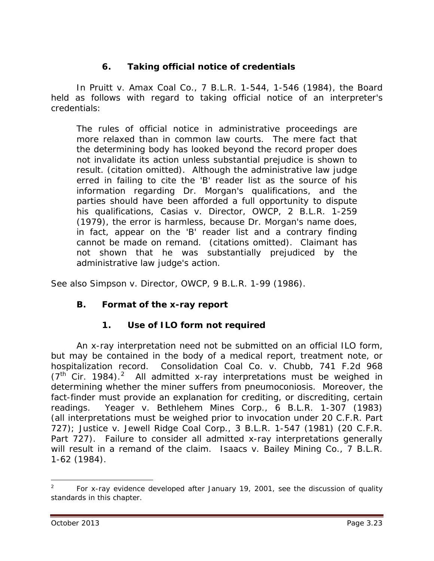# **6. Taking official notice of credentials**

In *Pruitt v. Amax Coal Co.*, 7 B.L.R. 1-544, 1-546 (1984), the Board held as follows with regard to taking official notice of an interpreter's credentials:

The rules of official notice in administrative proceedings are more relaxed than in common law courts. The mere fact that the determining body has looked beyond the record proper does not invalidate its action unless substantial prejudice is shown to result. (citation omitted). Although the administrative law judge erred in failing to cite the 'B' reader list as the source of his information regarding Dr. Morgan's qualifications, and the parties should have been afforded a full opportunity to dispute his qualifications, *Casias v. Director, OWCP*, 2 B.L.R. 1-259 (1979), the error is harmless, because Dr. Morgan's name does, in fact, appear on the 'B' reader list and a contrary finding cannot be made on remand. (citations omitted). Claimant has not shown that he was substantially prejudiced by the administrative law judge's action.

*See also Simpson v. Director, OWCP*, 9 B.L.R. 1-99 (1986).

#### **B. Format of the x-ray report**

#### **1. Use of ILO form not required**

An x-ray interpretation need not be submitted on an official ILO form, but may be contained in the body of a medical report, treatment note, or hospitalization record. *Consolidation Coal Co. v. Chubb*, 741 F.2d 968  $(7<sup>th</sup>$  Cir. 1984).<sup>[2](#page-22-0)</sup> All admitted x-ray interpretations must be weighed in determining whether the miner suffers from pneumoconiosis. Moreover, the fact-finder must provide an explanation for crediting, or discrediting, certain readings. *Yeager v. Bethlehem Mines Corp.*, 6 B.L.R. 1-307 (1983) (all interpretations must be weighed prior to invocation under 20 C.F.R. Part 727); *Justice v. Jewell Ridge Coal Corp.*, 3 B.L.R. 1-547 (1981) (20 C.F.R. Part 727). Failure to consider all admitted x-ray interpretations generally will result in a remand of the claim. *Isaacs v. Bailey Mining Co.*, 7 B.L.R. 1-62 (1984).

 $\overline{a}$ 

<span id="page-22-0"></span><sup>2</sup> For x-ray evidence developed after January 19, 2001, see the discussion of quality standards in this chapter.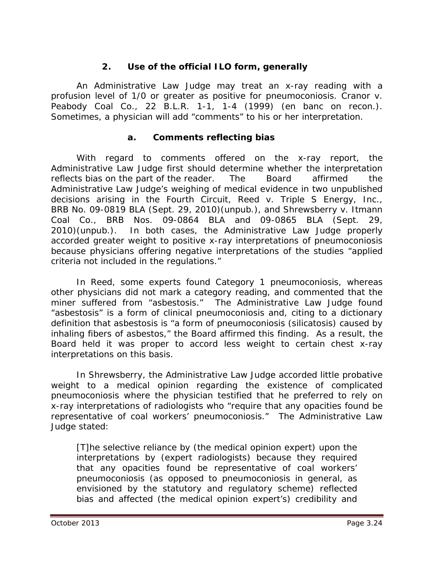#### **2. Use of the official ILO form, generally**

An Administrative Law Judge may treat an x-ray reading with a profusion level of 1/0 or greater as positive for pneumoconiosis. *Cranor v. Peabody Coal Co.*, 22 B.L.R. 1-1, 1-4 (1999) (en banc on recon.). Sometimes, a physician will add "comments" to his or her interpretation.

#### **a. Comments reflecting bias**

With regard to comments offered on the x-ray report, the Administrative Law Judge first should determine whether the interpretation reflects bias on the part of the reader. The Board affirmed the Administrative Law Judge's weighing of medical evidence in two unpublished decisions arising in the Fourth Circuit, *Reed v. Triple S Energy, Inc.*, BRB No. 09-0819 BLA (Sept. 29, 2010)(unpub.), and *Shrewsberry v. Itmann Coal Co.*, BRB Nos. 09-0864 BLA and 09-0865 BLA (Sept. 29, 2010)(unpub.). In both cases, the Administrative Law Judge properly accorded greater weight to positive x-ray interpretations of pneumoconiosis because physicians offering negative interpretations of the studies "applied criteria not included in the regulations."

In *Reed*, some experts found Category 1 pneumoconiosis, whereas other physicians did not mark a category reading, and commented that the miner suffered from "asbestosis." The Administrative Law Judge found "asbestosis" is a form of clinical pneumoconiosis and, citing to a dictionary definition that asbestosis is "a form of pneumoconiosis (silicatosis) caused by inhaling fibers of asbestos," the Board affirmed this finding. As a result, the Board held it was proper to accord less weight to certain chest x-ray interpretations on this basis.

In *Shrewsberry*, the Administrative Law Judge accorded little probative weight to a medical opinion regarding the existence of complicated pneumoconiosis where the physician testified that he preferred to rely on x-ray interpretations of radiologists who "require that any opacities found be representative of coal workers' pneumoconiosis." The Administrative Law Judge stated:

[T]he selective reliance by (the medical opinion expert) upon the interpretations by (expert radiologists) because they required that any opacities found be representative of coal workers' pneumoconiosis (as opposed to pneumoconiosis in general, as envisioned by the statutory and regulatory scheme) reflected bias and affected (the medical opinion expert's) credibility and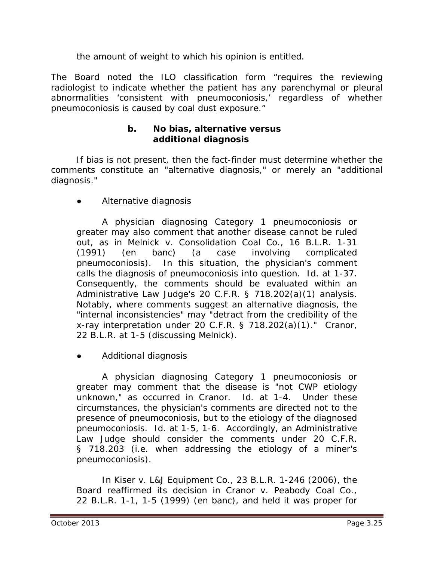the amount of weight to which his opinion is entitled.

The Board noted the ILO classification form "requires the reviewing radiologist to indicate whether the patient has any parenchymal or pleural abnormalities 'consistent with pneumoconiosis,' regardless of whether pneumoconiosis is caused by coal dust exposure."

#### **b. No bias, alternative versus additional diagnosis**

If bias is not present, then the fact-finder must determine whether the comments constitute an "alternative diagnosis," or merely an "additional diagnosis."

#### **●** Alternative diagnosis

A physician diagnosing Category 1 pneumoconiosis or greater may also comment that another disease cannot be ruled out, as in *Melnick v. Consolidation Coal Co.*, 16 B.L.R. 1-31 (1991) (en banc) (a case involving complicated pneumoconiosis). In this situation, the physician's comment calls the diagnosis of pneumoconiosis into question. *Id*. at 1-37. Consequently, the comments should be evaluated within an Administrative Law Judge's 20 C.F.R. § 718.202(a)(1) analysis. Notably, where comments suggest an alternative diagnosis, the "internal inconsistencies" may "detract from the credibility of the x-ray interpretation under 20 C.F.R. § 718.202(a)(1)." *Cranor*, 22 B.L.R. at 1-5 (discussing *Melnick*).

#### **●** Additional diagnosis

A physician diagnosing Category 1 pneumoconiosis or greater may comment that the disease is "not CWP etiology unknown," as occurred in *Cranor*. *Id*. at 1-4. Under these circumstances, the physician's comments are directed not to the presence of pneumoconiosis, but to the etiology of the diagnosed pneumoconiosis. *Id*. at 1-5, 1-6. Accordingly, an Administrative Law Judge should consider the comments under 20 C.F.R. § 718.203 (*i.e.* when addressing the etiology of a miner's pneumoconiosis).

In *Kiser v. L&J Equipment Co.*, 23 B.L.R. 1-246 (2006), the Board reaffirmed its decision in *Cranor v. Peabody Coal Co.*, 22 B.L.R. 1-1, 1-5 (1999) (en banc), and held it was proper for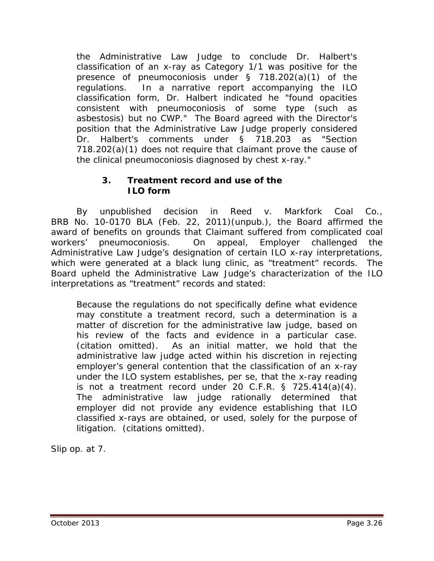the Administrative Law Judge to conclude Dr. Halbert's classification of an x-ray as Category 1/1 was positive for the presence of pneumoconiosis under § 718.202(a)(1) of the regulations. In a narrative report accompanying the ILO classification form, Dr. Halbert indicated he "found opacities consistent with pneumoconiosis of some type (such as asbestosis) but no CWP." The Board agreed with the Director's position that the Administrative Law Judge properly considered Dr. Halbert's comments under § 718.203 as "Section 718.202(a)(1) does not require that claimant prove the cause of the clinical pneumoconiosis diagnosed by chest x-ray."

### **3. Treatment record and use of the ILO form**

By unpublished decision in *Reed v. Markfork Coal Co.*, BRB No. 10-0170 BLA (Feb. 22, 2011)(unpub.), the Board affirmed the award of benefits on grounds that Claimant suffered from complicated coal workers' pneumoconiosis. On appeal, Employer challenged the Administrative Law Judge's designation of certain ILO x-ray interpretations, which were generated at a black lung clinic, as "treatment" records. The Board upheld the Administrative Law Judge's characterization of the ILO interpretations as "treatment" records and stated:

Because the regulations do not specifically define what evidence may constitute a treatment record, such a determination is a matter of discretion for the administrative law judge, based on his review of the facts and evidence in a particular case. (citation omitted). As an initial matter, we hold that the administrative law judge acted within his discretion in rejecting employer's general contention that the classification of an x-ray under the ILO system establishes, *per se*, that the x-ray reading is not a treatment record under 20 C.F.R. § 725.414(a)(4). The administrative law judge rationally determined that employer did not provide any evidence establishing that ILO classified x-rays are obtained, or used, solely for the purpose of litigation. (citations omitted).

*Slip op*. at 7.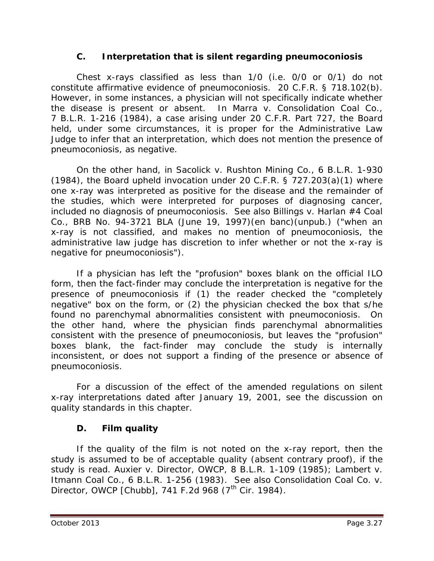#### **C. Interpretation that is silent regarding pneumoconiosis**

Chest x-rays classified as less than 1/0 (*i.e.* 0/0 or 0/1) do not constitute affirmative evidence of pneumoconiosis. 20 C.F.R. § 718.102(b). However, in some instances, a physician will not specifically indicate whether the disease is present or absent. In *Marra v. Consolidation Coal Co.*, 7 B.L.R. 1-216 (1984), a case arising under 20 C.F.R. Part 727, the Board held, under some circumstances, it is proper for the Administrative Law Judge to infer that an interpretation, which does not mention the presence of pneumoconiosis, as negative.

On the other hand, in *Sacolick v. Rushton Mining Co.*, 6 B.L.R. 1-930 (1984), the Board upheld invocation under 20 C.F.R. §  $727.203(a)(1)$  where one x-ray was interpreted as positive for the disease and the remainder of the studies, which were interpreted for purposes of diagnosing cancer, included no diagnosis of pneumoconiosis. *See also Billings v. Harlan #4 Coal Co.*, BRB No. 94-3721 BLA (June 19, 1997)(en banc)(unpub.) ("when an x-ray is not classified, and makes no mention of pneumoconiosis, the administrative law judge has discretion to infer whether or not the x-ray is negative for pneumoconiosis").

If a physician has left the "profusion" boxes blank on the official ILO form, then the fact-finder may conclude the interpretation is negative for the presence of pneumoconiosis if (1) the reader checked the "completely negative" box on the form, or (2) the physician checked the box that s/he found no parenchymal abnormalities consistent with pneumoconiosis. On the other hand, where the physician finds parenchymal abnormalities consistent with the presence of pneumoconiosis, but leaves the "profusion" boxes blank, the fact-finder may conclude the study is internally inconsistent, or does not support a finding of the presence or absence of pneumoconiosis.

For a discussion of the effect of the amended regulations on silent x-ray interpretations dated after January 19, 2001, see the discussion on quality standards in this chapter.

## **D. Film quality**

If the quality of the film is not noted on the x-ray report, then the study is assumed to be of acceptable quality (absent contrary proof), if the study is read. *Auxier v. Director, OWCP*, 8 B.L.R. 1-109 (1985); *Lambert v. Itmann Coal Co.*, 6 B.L.R. 1-256 (1983). *See also Consolidation Coal Co. v. Director, OWCP [Chubb], 741 F.2d 968 (7<sup>th</sup> Cir. 1984).*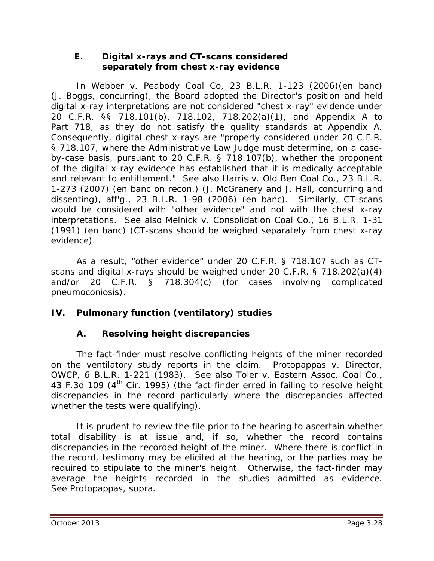#### **E. Digital x-rays and CT-scans considered separately from chest x-ray evidence**

In *Webber v. Peabody Coal Co*, 23 B.L.R. 1-123 (2006)(en banc) (J. Boggs, concurring), the Board adopted the Director's position and held digital x-ray interpretations are not considered "chest x-ray" evidence under 20 C.F.R. §§ 718.101(b), 718.102, 718.202(a)(1), and Appendix A to Part 718, as they do not satisfy the quality standards at Appendix A. Consequently, digital chest x-rays are "properly considered under 20 C.F.R. § 718.107, where the Administrative Law Judge must determine, on a caseby-case basis, pursuant to 20 C.F.R. § 718.107(b), whether the proponent of the digital x-ray evidence has established that it is medically acceptable and relevant to entitlement." *See also Harris v. Old Ben Coal Co.*, 23 B.L.R. 1-273 (2007) (en banc on recon.) (J. McGranery and J. Hall, concurring and dissenting), *aff'g.*, 23 B.L.R. 1-98 (2006) (en banc). Similarly, CT-scans would be considered with "other evidence" and not with the chest x-ray interpretations. *See also Melnick v. Consolidation Coal Co.*, 16 B.L.R. 1-31 (1991) (en banc) (CT-scans should be weighed separately from chest x-ray evidence).

As a result, "other evidence" under 20 C.F.R. § 718.107 such as CTscans and digital x-rays should be weighed under 20 C.F.R. § 718.202(a)(4) and/or 20 C.F.R. § 718.304(c) (for cases involving complicated pneumoconiosis).

# **IV. Pulmonary function (ventilatory) studies**

## **A. Resolving height discrepancies**

The fact-finder must resolve conflicting heights of the miner recorded on the ventilatory study reports in the claim. *Protopappas v. Director, OWCP*, 6 B.L.R. 1-221 (1983). *See also Toler v. Eastern Assoc. Coal Co.*, 43 F.3d 109 (4<sup>th</sup> Cir. 1995) (the fact-finder erred in failing to resolve height discrepancies in the record particularly where the discrepancies affected whether the tests were qualifying).

It is prudent to review the file prior to the hearing to ascertain whether total disability is at issue and, if so, whether the record contains discrepancies in the recorded height of the miner. Where there is conflict in the record, testimony may be elicited at the hearing, or the parties may be required to stipulate to the miner's height. Otherwise, the fact-finder may average the heights recorded in the studies admitted as evidence. *See Protopappas, supra*.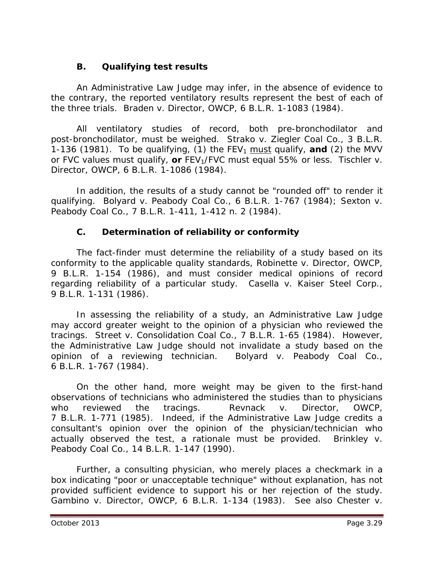## **B. Qualifying test results**

An Administrative Law Judge may infer, in the absence of evidence to the contrary, the reported ventilatory results represent the best of each of the three trials. *Braden v. Director, OWCP*, 6 B.L.R. 1-1083 (1984).

All ventilatory studies of record, both pre-bronchodilator and post-bronchodilator, must be weighed. *Strako v. Ziegler Coal Co.*, 3 B.L.R. 1-136 (1981). To be qualifying, (1) the  $FEV_1$  must qualify, and (2) the MVV or FVC values must qualify, or FEV<sub>1</sub>/FVC must equal 55% or less. *Tischler v. Director, OWCP*, 6 B.L.R. 1-1086 (1984).

In addition, the results of a study cannot be "rounded off" to render it qualifying. *Bolyard v. Peabody Coal Co.*, 6 B.L.R. 1-767 (1984); *Sexton v. Peabody Coal Co.*, 7 B.L.R. 1-411, 1-412 n. 2 (1984).

## **C. Determination of reliability or conformity**

The fact-finder must determine the reliability of a study based on its conformity to the applicable quality standards, *Robinette v. Director, OWCP*, 9 B.L.R. 1-154 (1986), and must consider medical opinions of record regarding reliability of a particular study. *Casella v. Kaiser Steel Corp.*, 9 B.L.R. 1-131 (1986).

In assessing the reliability of a study, an Administrative Law Judge may accord greater weight to the opinion of a physician who reviewed the tracings. *Street v. Consolidation Coal Co.*, 7 B.L.R. 1-65 (1984). However, the Administrative Law Judge should not invalidate a study based on the opinion of a reviewing technician. *Bolyard v. Peabody Coal Co.*, 6 B.L.R. 1-767 (1984).

On the other hand, more weight may be given to the first-hand observations of technicians who administered the studies than to physicians who reviewed the tracings. *Revnack v. Director, OWCP*, 7 B.L.R. 1-771 (1985). Indeed, if the Administrative Law Judge credits a consultant's opinion over the opinion of the physician/technician who actually observed the test, a rationale must be provided. *Brinkley v. Peabody Coal Co.*, 14 B.L.R. 1-147 (1990).

Further, a consulting physician, who merely places a checkmark in a box indicating "poor or unacceptable technique" without explanation, has not provided sufficient evidence to support his or her rejection of the study. *Gambino v. Director, OWCP*, 6 B.L.R. 1-134 (1983). *See also Chester v.*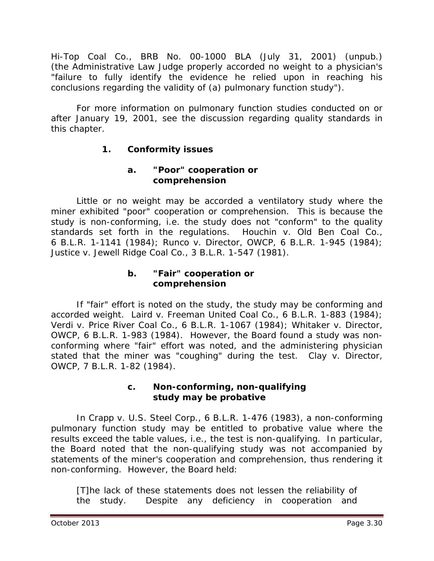*Hi-Top Coal Co.*, BRB No. 00-1000 BLA (July 31, 2001) (unpub.) (the Administrative Law Judge properly accorded no weight to a physician's "failure to fully identify the evidence he relied upon in reaching his conclusions regarding the validity of (a) pulmonary function study").

For more information on pulmonary function studies conducted on or after January 19, 2001, see the discussion regarding quality standards in this chapter.

# **1. Conformity issues**

#### **a. "Poor" cooperation or comprehension**

Little or no weight may be accorded a ventilatory study where the miner exhibited "poor" cooperation or comprehension. This is because the study is non-conforming, *i.e.* the study does not "conform" to the quality standards set forth in the regulations. *Houchin v. Old Ben Coal Co.*, 6 B.L.R. 1-1141 (1984); *Runco v. Director, OWCP*, 6 B.L.R. 1-945 (1984); *Justice v. Jewell Ridge Coal Co.*, 3 B.L.R. 1-547 (1981).

## **b. "Fair" cooperation or comprehension**

If "fair" effort is noted on the study, the study may be conforming and accorded weight. *Laird v. Freeman United Coal Co.*, 6 B.L.R. 1-883 (1984); *Verdi v. Price River Coal Co.*, 6 B.L.R. 1-1067 (1984); *Whitaker v. Director, OWCP*, 6 B.L.R. 1-983 (1984). However, the Board found a study was nonconforming where "fair" effort was noted, and the administering physician stated that the miner was "coughing" during the test. *Clay v. Director, OWCP*, 7 B.L.R. 1-82 (1984).

#### **c. Non-conforming, non-qualifying study may be probative**

In *Crapp v. U.S. Steel Corp.*, 6 B.L.R. 1-476 (1983), a non-conforming pulmonary function study may be entitled to probative value where the results exceed the table values, *i.e.*, the test is non-qualifying. In particular, the Board noted that the non-qualifying study was not accompanied by statements of the miner's cooperation and comprehension, thus rendering it non-conforming. However, the Board held:

[T]he lack of these statements does not lessen the reliability of the study. Despite any deficiency in cooperation and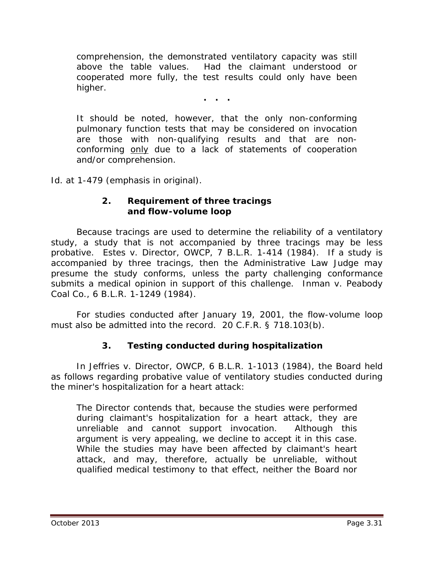comprehension, the demonstrated ventilatory capacity was still above the table values. Had the claimant understood or cooperated more fully, the test results could only have been higher.

**. . .**

It should be noted, however, that the only non-conforming pulmonary function tests that may be considered on invocation are those with non-qualifying results and that are nonconforming only due to a lack of statements of cooperation and/or comprehension.

*Id.* at 1-479 (emphasis in original).

#### **2. Requirement of three tracings and flow-volume loop**

Because tracings are used to determine the reliability of a ventilatory study, a study that is not accompanied by three tracings may be less probative. *Estes v. Director, OWCP*, 7 B.L.R. 1-414 (1984). If a study is accompanied by three tracings, then the Administrative Law Judge may presume the study conforms, unless the party challenging conformance submits a medical opinion in support of this challenge. *Inman v. Peabody Coal Co.*, 6 B.L.R. 1-1249 (1984).

For studies conducted after January 19, 2001, the flow-volume loop must also be admitted into the record. 20 C.F.R. § 718.103(b).

## **3. Testing conducted during hospitalization**

In *Jeffries v. Director, OWCP*, 6 B.L.R. 1-1013 (1984), the Board held as follows regarding probative value of ventilatory studies conducted during the miner's hospitalization for a heart attack:

The Director contends that, because the studies were performed during claimant's hospitalization for a heart attack, they are unreliable and cannot support invocation. Although this argument is very appealing, we decline to accept it in this case. While the studies may have been affected by claimant's heart attack, and may, therefore, actually be unreliable, without qualified medical testimony to that effect, neither the Board nor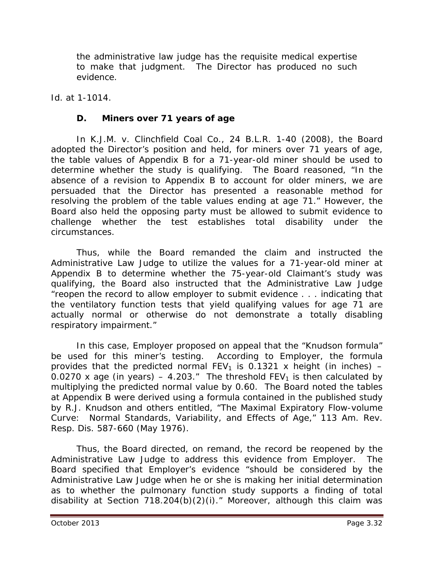the administrative law judge has the requisite medical expertise to make that judgment. The Director has produced no such evidence.

*Id.* at 1-1014.

#### **D. Miners over 71 years of age**

In *K.J.M. v. Clinchfield Coal Co.*, 24 B.L.R. 1-40 (2008), the Board adopted the Director's position and held, for miners over 71 years of age, the table values of Appendix B for a 71-year-old miner should be used to determine whether the study is qualifying. The Board reasoned, "In the absence of a revision to Appendix B to account for older miners, we are persuaded that the Director has presented a reasonable method for resolving the problem of the table values ending at age 71." However, the Board also held the opposing party must be allowed to submit evidence to challenge whether the test establishes total disability under the circumstances.

Thus, while the Board remanded the claim and instructed the Administrative Law Judge to utilize the values for a 71-year-old miner at Appendix B to determine whether the 75-year-old Claimant's study was qualifying, the Board also instructed that the Administrative Law Judge "reopen the record to allow employer to submit evidence . . . indicating that the ventilatory function tests that yield qualifying values for age 71 are actually normal or otherwise do not demonstrate a totally disabling respiratory impairment."

In this case, Employer proposed on appeal that the "Knudson formula" be used for this miner's testing. According to Employer, the formula provides that the predicted normal  $FEV_1$  is 0.1321 x height (in inches) – 0.0270 x age (in years) – 4.203." The threshold  $FEV<sub>1</sub>$  is then calculated by multiplying the predicted normal value by 0.60. The Board noted the tables at Appendix B were derived using a formula contained in the published study by R.J. Knudson and others entitled, "The Maximal Expiratory Flow-volume Curve: Normal Standards, Variability, and Effects of Age," 113 Am. Rev. Resp. Dis. 587-660 (May 1976).

Thus, the Board directed, on remand, the record be reopened by the Administrative Law Judge to address this evidence from Employer. The Board specified that Employer's evidence "should be considered by the Administrative Law Judge when he or she is making her initial determination as to whether the pulmonary function study supports a finding of total disability at Section 718.204(b)(2)(i)." Moreover, although this claim was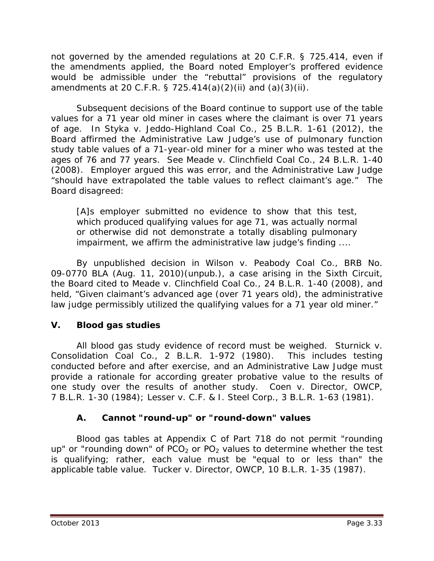not governed by the *amended regulations* at 20 C.F.R. § 725.414, even if the amendments applied, the Board noted Employer's proffered evidence would be admissible under the "rebuttal" provisions of the regulatory amendments at 20 C.F.R. § 725.414(a)(2)(ii) and (a)(3)(ii).

Subsequent decisions of the Board continue to support use of the table values for a 71 year old miner in cases where the claimant is over 71 years of age. In *Styka v. Jeddo-Highland Coal Co.*, 25 B.L.R. 1-61 (2012), the Board affirmed the Administrative Law Judge's use of pulmonary function study table values of a 71-year-old miner for a miner who was tested at the ages of 76 and 77 years. *See Meade v. Clinchfield Coal Co.,* 24 B.L.R. 1-40 (2008). Employer argued this was error, and the Administrative Law Judge "should have extrapolated the table values to reflect claimant's age." The Board disagreed:

[A]s employer submitted no evidence to show that this test, which produced qualifying values for age 71, was actually normal or otherwise did not demonstrate a totally disabling pulmonary impairment, we affirm the administrative law judge's finding ....

By unpublished decision in *Wilson v. Peabody Coal Co.*, BRB No. 09-0770 BLA (Aug. 11, 2010)(unpub.), a case arising in the Sixth Circuit, the Board cited to *Meade v. Clinchfield Coal Co.,* 24 B.L.R. 1-40 (2008), and held, "Given claimant's advanced age (over 71 years old), the administrative law judge permissibly utilized the qualifying values for a 71 year old miner."

# **V. Blood gas studies**

All blood gas study evidence of record must be weighed. *Sturnick v. Consolidation Coal Co.*, 2 B.L.R. 1-972 (1980). This includes testing conducted before and after exercise, and an Administrative Law Judge must provide a rationale for according greater probative value to the results of one study over the results of another study. *Coen v. Director, OWCP*, 7 B.L.R. 1-30 (1984); *Lesser v. C.F. & I. Steel Corp.*, 3 B.L.R. 1-63 (1981).

## **A. Cannot "round-up" or "round-down" values**

Blood gas tables at Appendix C of Part 718 do not permit "rounding up" or "rounding down" of  $PCO<sub>2</sub>$  or PO<sub>2</sub> values to determine whether the test is qualifying; rather, each value must be "equal to or less than" the applicable table value. *Tucker v. Director, OWCP*, 10 B.L.R. 1-35 (1987).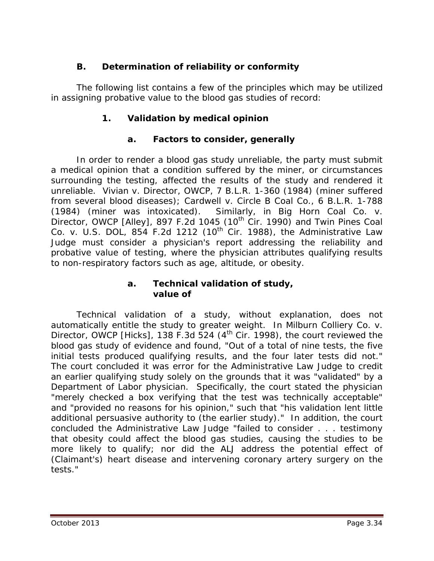# **B. Determination of reliability or conformity**

The following list contains a few of the principles which may be utilized in assigning probative value to the blood gas studies of record:

## **1. Validation by medical opinion**

#### **a. Factors to consider, generally**

In order to render a blood gas study unreliable, the party must submit a medical opinion that a condition suffered by the miner, or circumstances surrounding the testing, affected the results of the study and rendered it unreliable. *Vivian v. Director, OWCP*, 7 B.L.R. 1-360 (1984) (miner suffered from several blood diseases); *Cardwell v. Circle B Coal Co.*, 6 B.L.R. 1-788 (1984) (miner was intoxicated). Similarly, in *Big Horn Coal Co. v. Director, OWCP [Alley], 897 F.2d 1045 (10<sup>th</sup> Cir. 1990) and <i>Twin Pines Coal Co. v. U.S. DOL*, 854 F.2d 1212 (10th Cir. 1988), the Administrative Law Judge must consider a physician's report addressing the reliability and probative value of testing, where the physician attributes qualifying results to non-respiratory factors such as age, altitude, or obesity.

#### **a. Technical validation of study, value of**

Technical validation of a study, without explanation, does not automatically entitle the study to greater weight. In *Milburn Colliery Co. v. Director, OWCP [Hicks]*, 138 F.3d 524 (4<sup>th</sup> Cir. 1998), the court reviewed the blood gas study of evidence and found, "Out of a total of nine tests, the five initial tests produced qualifying results, and the four later tests did not." The court concluded it was error for the Administrative Law Judge to credit an earlier qualifying study solely on the grounds that it was "validated" by a Department of Labor physician. Specifically, the court stated the physician "merely checked a box verifying that the test was technically acceptable" and "provided no reasons for his opinion," such that "his validation lent little additional persuasive authority to (the earlier study)." In addition, the court concluded the Administrative Law Judge "failed to consider . . . testimony that obesity could affect the blood gas studies, causing the studies to be more likely to qualify; nor did the ALJ address the potential effect of (Claimant's) heart disease and intervening coronary artery surgery on the tests."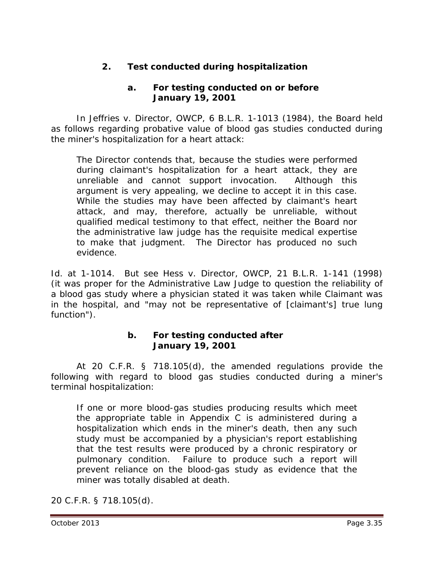## **2. Test conducted during hospitalization**

#### **a. For testing conducted on or before January 19, 2001**

In *Jeffries v. Director, OWCP*, 6 B.L.R. 1-1013 (1984), the Board held as follows regarding probative value of blood gas studies conducted during the miner's hospitalization for a heart attack:

The Director contends that, because the studies were performed during claimant's hospitalization for a heart attack, they are unreliable and cannot support invocation. Although this argument is very appealing, we decline to accept it in this case. While the studies may have been affected by claimant's heart attack, and may, therefore, actually be unreliable, without qualified medical testimony to that effect, neither the Board nor the administrative law judge has the requisite medical expertise to make that judgment. The Director has produced no such evidence.

*Id.* at 1-1014. *But see Hess v. Director, OWCP*, 21 B.L.R. 1-141 (1998) (it was proper for the Administrative Law Judge to question the reliability of a blood gas study where a physician stated it was taken while Claimant was in the hospital, and "may not be representative of [claimant's] true lung function").

#### **b. For testing conducted after January 19, 2001**

At 20 C.F.R. § 718.105(d), the amended regulations provide the following with regard to blood gas studies conducted during a miner's terminal hospitalization:

If one or more blood-gas studies producing results which meet the appropriate table in Appendix C is administered during a hospitalization which ends in the miner's death, then any such study must be accompanied by a physician's report establishing that the test results were produced by a chronic respiratory or pulmonary condition. Failure to produce such a report will prevent reliance on the blood-gas study as evidence that the miner was totally disabled at death.

20 C.F.R. § 718.105(d).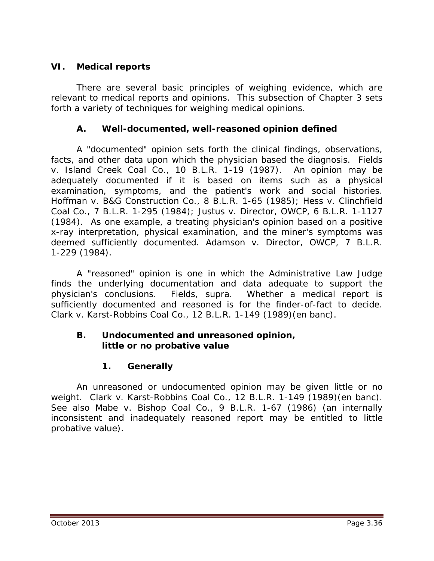## **VI. Medical reports**

There are several basic principles of weighing evidence, which are relevant to medical reports and opinions. This subsection of Chapter 3 sets forth a variety of techniques for weighing medical opinions.

### **A. Well-documented, well-reasoned opinion defined**

A "documented" opinion sets forth the clinical findings, observations, facts, and other data upon which the physician based the diagnosis. *Fields v. Island Creek Coal Co.*, 10 B.L.R. 1-19 (1987). An opinion may be adequately documented if it is based on items such as a physical examination, symptoms, and the patient's work and social histories. *Hoffman v. B&G Construction Co.*, 8 B.L.R. 1-65 (1985); *Hess v. Clinchfield Coal Co.*, 7 B.L.R. 1-295 (1984); *Justus v. Director, OWCP*, 6 B.L.R. 1-1127 (1984). As one example, a treating physician's opinion based on a positive x-ray interpretation, physical examination, and the miner's symptoms was deemed sufficiently documented. *Adamson v. Director, OWCP*, 7 B.L.R. 1-229 (1984).

A "reasoned" opinion is one in which the Administrative Law Judge finds the underlying documentation and data adequate to support the physician's conclusions. *Fields, supra.* Whether a medical report is sufficiently documented and reasoned is for the finder-of-fact to decide. *Clark v. Karst-Robbins Coal Co.*, 12 B.L.R. 1-149 (1989)(en banc).

#### **B. Undocumented and unreasoned opinion, little or no probative value**

## **1. Generally**

An unreasoned or undocumented opinion may be given little or no weight. *Clark v. Karst-Robbins Coal Co.*, 12 B.L.R. 1-149 (1989)(en banc). *See also Mabe v. Bishop Coal Co.*, 9 B.L.R. 1-67 (1986) (an internally inconsistent and inadequately reasoned report may be entitled to little probative value).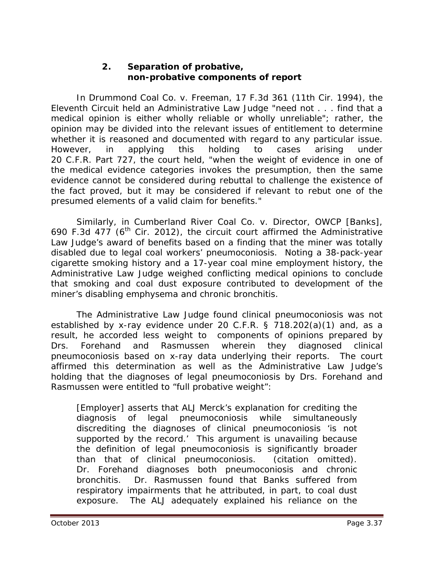#### **2. Separation of probative, non-probative components of report**

In *Drummond Coal Co. v. Freeman*, 17 F.3d 361 (11th Cir. 1994), the Eleventh Circuit held an Administrative Law Judge "need not . . . find that a medical opinion is either wholly reliable or wholly unreliable"; rather, the opinion may be divided into the relevant issues of entitlement to determine whether it is reasoned and documented with regard to any particular issue. However, in applying this holding to cases arising under 20 C.F.R. Part 727, the court held, "when the weight of evidence in one of the medical evidence categories invokes the presumption, then the same evidence cannot be considered during rebuttal to challenge the existence of the fact proved, but it may be considered if relevant to rebut one of the presumed elements of a valid claim for benefits."

Similarly, in *Cumberland River Coal Co. v. Director, OWCP [Banks]*, 690 F.3d 477 ( $6<sup>th</sup>$  Cir. 2012), the circuit court affirmed the Administrative Law Judge's award of benefits based on a finding that the miner was totally disabled due to legal coal workers' pneumoconiosis. Noting a 38-pack-year cigarette smoking history and a 17-year coal mine employment history, the Administrative Law Judge weighed conflicting medical opinions to conclude that smoking and coal dust exposure contributed to development of the miner's disabling emphysema and chronic bronchitis.

The Administrative Law Judge found clinical pneumoconiosis was not established by x-ray evidence under 20 C.F.R. § 718.202(a)(1) and, as a result, he accorded less weight to components of opinions prepared by Drs. Forehand and Rasmussen wherein they diagnosed clinical pneumoconiosis based on x-ray data underlying their reports. The court affirmed this determination as well as the Administrative Law Judge's holding that the diagnoses of legal pneumoconiosis by Drs. Forehand and Rasmussen were entitled to "full probative weight":

[Employer] asserts that ALJ Merck's explanation for crediting the diagnosis of legal pneumoconiosis while simultaneously discrediting the diagnoses of clinical pneumoconiosis 'is not supported by the record.' This argument is unavailing because the definition of legal pneumoconiosis is significantly broader than that of clinical pneumoconiosis. (citation omitted). Dr. Forehand diagnoses both pneumoconiosis and chronic bronchitis. Dr. Rasmussen found that Banks suffered from respiratory impairments that he attributed, in part, to coal dust exposure. The ALJ adequately explained his reliance on the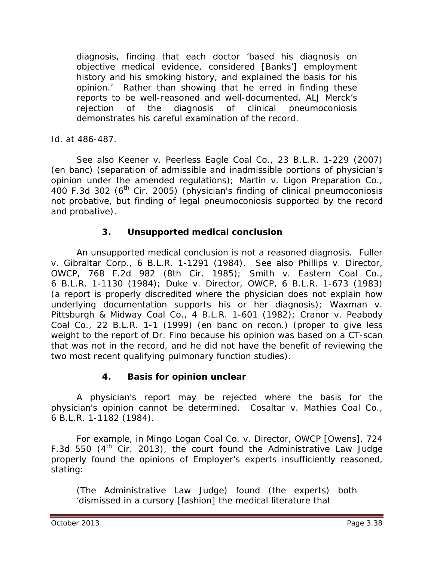diagnosis, finding that each doctor 'based his diagnosis on objective medical evidence, considered [Banks'] employment history and his smoking history, and explained the basis for his opinion.' Rather than showing that he erred in finding these reports to be well-reasoned and well-documented, ALJ Merck's rejection of the diagnosis of clinical pneumoconiosis demonstrates his careful examination of the record.

*Id.* at 486-487.

*See also Keener v. Peerless Eagle Coal Co.*, 23 B.L.R. 1-229 (2007) (en banc) (separation of admissible and inadmissible portions of physician's opinion under the amended regulations); *Martin v. Ligon Preparation Co.*, 400 F.3d 302 (6<sup>th</sup> Cir. 2005) (physician's finding of clinical pneumoconiosis not probative, but finding of legal pneumoconiosis supported by the record and probative).

# **3. Unsupported medical conclusion**

An unsupported medical conclusion is not a reasoned diagnosis. *Fuller v. Gibraltar Corp.*, 6 B.L.R. 1-1291 (1984). *See also Phillips v. Director, OWCP,* 768 F.2d 982 (8th Cir. 1985)*; Smith v. Eastern Coal Co.*, 6 B.L.R. 1-1130 (1984); *Duke v. Director, OWCP*, 6 B.L.R. 1-673 (1983) (a report is properly discredited where the physician does not explain how underlying documentation supports his or her diagnosis); *Waxman v. Pittsburgh & Midway Coal Co.*, 4 B.L.R. 1-601 (1982); *Cranor v. Peabody Coal Co.*, 22 B.L.R. 1-1 (1999) (en banc on recon.) (proper to give less weight to the report of Dr. Fino because his opinion was based on a CT-scan that was not in the record, and he did not have the benefit of reviewing the two most recent qualifying pulmonary function studies).

## **4. Basis for opinion unclear**

A physician's report may be rejected where the basis for the physician's opinion cannot be determined. *Cosaltar v. Mathies Coal Co.*, 6 B.L.R. 1-1182 (1984).

For example, in *Mingo Logan Coal Co. v. Director, OWCP [Owens]*, 724 F.3d 550  $(4^{th}$  Cir. 2013), the court found the Administrative Law Judge properly found the opinions of Employer's experts insufficiently reasoned, stating:

(The Administrative Law Judge) found (the experts) both 'dismissed in a cursory [fashion] the medical literature that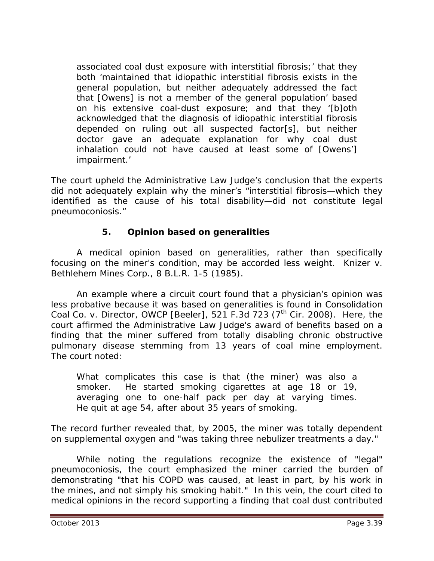associated coal dust exposure with interstitial fibrosis;' that they both 'maintained that idiopathic interstitial fibrosis exists in the general population, but neither adequately addressed the fact that [Owens] is not a member of the general population' based on his extensive coal-dust exposure; and that they '[b]oth acknowledged that the diagnosis of idiopathic interstitial fibrosis depended on ruling out all suspected factor[s], but neither doctor gave an adequate explanation for why coal dust inhalation could not have caused at least some of [Owens'] impairment.'

The court upheld the Administrative Law Judge's conclusion that the experts did not adequately explain why the miner's "interstitial fibrosis—which they identified as the cause of his total disability—did not constitute legal pneumoconiosis."

# **5. Opinion based on generalities**

A medical opinion based on generalities, rather than specifically focusing on the miner's condition, may be accorded less weight. *Knizer v. Bethlehem Mines Corp.*, 8 B.L.R. 1-5 (1985).

An example where a circuit court found that a physician's opinion was less probative because it was based on generalities is found in *Consolidation Coal Co. v. Director, OWCP [Beeler]*, 521 F.3d 723 (7<sup>th</sup> Cir. 2008). Here, the court affirmed the Administrative Law Judge's award of benefits based on a finding that the miner suffered from totally disabling chronic obstructive pulmonary disease stemming from 13 years of coal mine employment. The court noted:

What complicates this case is that (the miner) was also a smoker. He started smoking cigarettes at age 18 or 19, averaging one to one-half pack per day at varying times. He quit at age 54, after about 35 years of smoking.

The record further revealed that, by 2005, the miner was totally dependent on supplemental oxygen and "was taking three nebulizer treatments a day."

While noting the regulations recognize the existence of "legal" pneumoconiosis, the court emphasized the miner carried the burden of demonstrating "that his COPD was caused, at least in part, by his work in the mines, and not simply his smoking habit." In this vein, the court cited to medical opinions in the record supporting a finding that coal dust contributed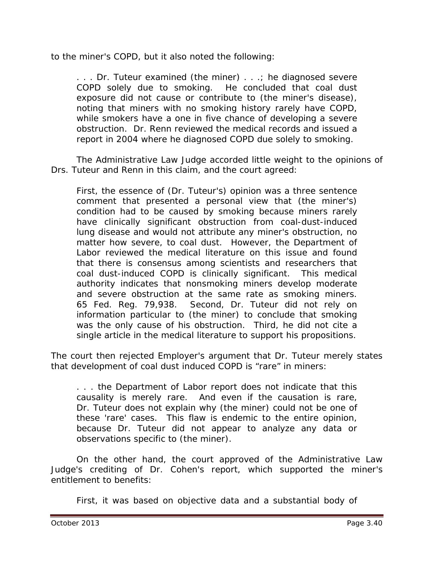to the miner's COPD, but it also noted the following:

. . . Dr. Tuteur examined (the miner) . . .; he diagnosed severe COPD solely due to smoking. He concluded that coal dust exposure did not cause or contribute to (the miner's disease), noting that miners with no smoking history rarely have COPD, while smokers have a one in five chance of developing a severe obstruction. Dr. Renn reviewed the medical records and issued a report in 2004 where he diagnosed COPD due solely to smoking.

The Administrative Law Judge accorded little weight to the opinions of Drs. Tuteur and Renn in this claim, and the court agreed:

First, the essence of (Dr. Tuteur's) opinion was a three sentence comment that presented a personal view that (the miner's) condition had to be caused by smoking because miners rarely have clinically significant obstruction from coal-dust-induced lung disease and would not attribute any miner's obstruction, no matter how severe, to coal dust. However, the Department of Labor reviewed the medical literature on this issue and found that there is consensus among scientists and researchers that coal dust-induced COPD is clinically significant. This medical authority indicates that nonsmoking miners develop moderate and severe obstruction at the same rate as smoking miners. 65 Fed. Reg. 79,938. Second, Dr. Tuteur did not rely on information particular to (the miner) to conclude that smoking was the only cause of his obstruction. Third, he did not cite a single article in the medical literature to support his propositions.

The court then rejected Employer's argument that Dr. Tuteur merely states that development of coal dust induced COPD is "rare" in miners:

. . . the Department of Labor report does not indicate that this causality is merely rare. And even if the causation is rare, Dr. Tuteur does not explain why (the miner) could not be one of these 'rare' cases. This flaw is endemic to the entire opinion, because Dr. Tuteur did not appear to analyze any data or observations specific to (the miner).

On the other hand, the court approved of the Administrative Law Judge's crediting of Dr. Cohen's report, which supported the miner's entitlement to benefits:

First, it was based on objective data and a substantial body of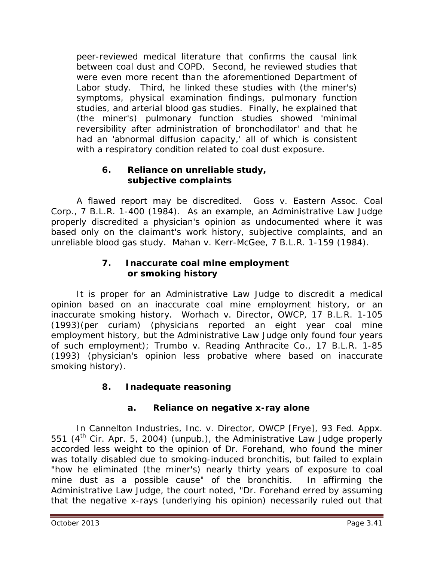peer-reviewed medical literature that confirms the causal link between coal dust and COPD. Second, he reviewed studies that were even more recent than the aforementioned Department of Labor study. Third, he linked these studies with (the miner's) symptoms, physical examination findings, pulmonary function studies, and arterial blood gas studies. Finally, he explained that (the miner's) pulmonary function studies showed 'minimal reversibility after administration of bronchodilator' and that he had an 'abnormal diffusion capacity,' all of which is consistent with a respiratory condition related to coal dust exposure.

### **6. Reliance on unreliable study, subjective complaints**

A flawed report may be discredited. *Goss v. Eastern Assoc. Coal Corp.*, 7 B.L.R. 1-400 (1984). As an example, an Administrative Law Judge properly discredited a physician's opinion as undocumented where it was based only on the claimant's work history, subjective complaints, and an unreliable blood gas study. *Mahan v. Kerr-McGee*, 7 B.L.R. 1-159 (1984).

### **7. Inaccurate coal mine employment or smoking history**

It is proper for an Administrative Law Judge to discredit a medical opinion based on an inaccurate coal mine employment history, or an inaccurate smoking history. *Worhach v. Director, OWCP*, 17 B.L.R. 1-105 (1993)(per curiam) (physicians reported an eight year coal mine employment history, but the Administrative Law Judge only found four years of such employment); *Trumbo v. Reading Anthracite Co.*, 17 B.L.R. 1-85 (1993) (physician's opinion less probative where based on inaccurate smoking history).

# **8. Inadequate reasoning**

# **a. Reliance on negative x-ray alone**

In *Cannelton Industries, Inc. v. Director, OWCP [Frye],* 93 Fed. Appx. 551 (4<sup>th</sup> Cir. Apr. 5, 2004) (unpub.), the Administrative Law Judge properly accorded less weight to the opinion of Dr. Forehand, who found the miner was totally disabled due to smoking-induced bronchitis, but failed to explain "how he eliminated (the miner's) nearly thirty years of exposure to coal mine dust as a possible cause" of the bronchitis. In affirming the Administrative Law Judge, the court noted, "Dr. Forehand erred by assuming that the negative x-rays (underlying his opinion) necessarily ruled out that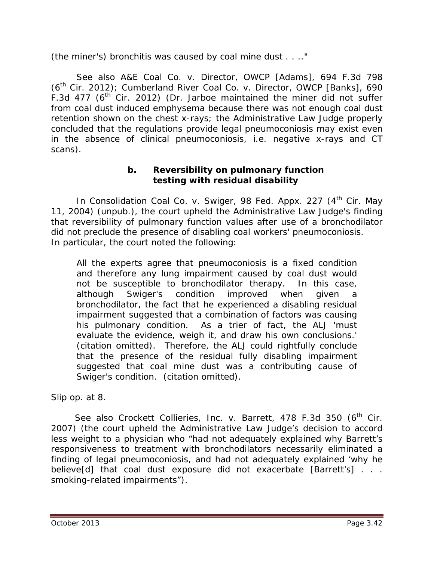(the miner's) bronchitis was caused by coal mine dust . . .."

*See also A&E Coal Co. v. Director, OWCP [Adams]*, 694 F.3d 798 (6th Cir. 2012); *Cumberland River Coal Co. v. Director, OWCP [Banks]*, 690 F.3d 477 ( $6<sup>th</sup>$  Cir. 2012) (Dr. Jarboe maintained the miner did not suffer from coal dust induced emphysema because there was not enough coal dust retention shown on the chest x-rays; the Administrative Law Judge properly concluded that the regulations provide legal pneumoconiosis may exist even in the absence of clinical pneumoconiosis, *i.e.* negative x-rays and CT scans).

### **b. Reversibility on pulmonary function testing with residual disability**

In *Consolidation Coal Co. v. Swiger*, 98 Fed. Appx. 227 (4<sup>th</sup> Cir. May 11, 2004) (unpub.), the court upheld the Administrative Law Judge's finding that reversibility of pulmonary function values after use of a bronchodilator did not preclude the presence of disabling coal workers' pneumoconiosis. In particular, the court noted the following:

All the experts agree that pneumoconiosis is a fixed condition and therefore any lung impairment caused by coal dust would not be susceptible to bronchodilator therapy. In this case, although Swiger's condition improved when given a bronchodilator, the fact that he experienced a disabling residual impairment suggested that a combination of factors was causing his pulmonary condition. As a trier of fact, the ALJ 'must evaluate the evidence, weigh it, and draw his own conclusions.' (citation omitted). Therefore, the ALJ could rightfully conclude that the presence of the residual fully disabling impairment suggested that coal mine dust was a contributing cause of Swiger's condition. (citation omitted).

Slip op. at 8.

See also Crockett Collieries, Inc. v. Barrett, 478 F.3d 350 (6<sup>th</sup> Cir. 2007) (the court upheld the Administrative Law Judge's decision to accord less weight to a physician who "had not adequately explained why Barrett's responsiveness to treatment with bronchodilators necessarily eliminated a finding of legal pneumoconiosis, and had not adequately explained 'why he believe[d] that coal dust exposure did not exacerbate [Barrett's] . . . smoking-related impairments").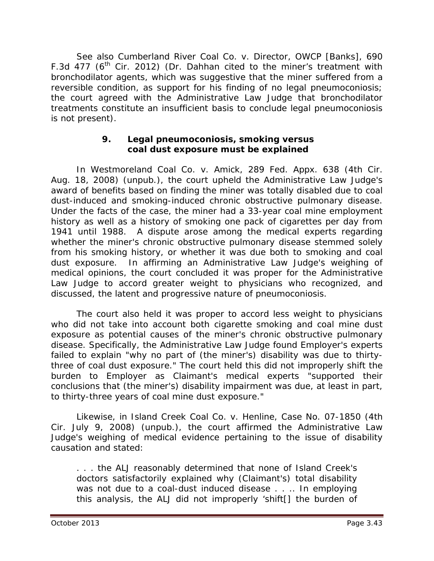*See also Cumberland River Coal Co. v. Director, OWCP [Banks]*, 690 F.3d 477 ( $6<sup>th</sup>$  Cir. 2012) (Dr. Dahhan cited to the miner's treatment with bronchodilator agents, which was suggestive that the miner suffered from a reversible condition, as support for his finding of no legal pneumoconiosis; the court agreed with the Administrative Law Judge that bronchodilator treatments constitute an insufficient basis to conclude legal pneumoconiosis is not present).

#### **9. Legal pneumoconiosis, smoking versus coal dust exposure must be explained**

In *Westmoreland Coal Co. v. Amick*, 289 Fed. Appx. 638 (4th Cir. Aug. 18, 2008) (unpub.), the court upheld the Administrative Law Judge's award of benefits based on finding the miner was totally disabled due to coal dust-induced and smoking-induced chronic obstructive pulmonary disease. Under the facts of the case, the miner had a 33-year coal mine employment history as well as a history of smoking one pack of cigarettes per day from 1941 until 1988. A dispute arose among the medical experts regarding whether the miner's chronic obstructive pulmonary disease stemmed solely from his smoking history, or whether it was due both to smoking and coal dust exposure. In affirming an Administrative Law Judge's weighing of medical opinions, the court concluded it was proper for the Administrative Law Judge to accord greater weight to physicians who recognized, and discussed, the latent and progressive nature of pneumoconiosis.

The court also held it was proper to accord less weight to physicians who did not take into account both cigarette smoking and coal mine dust exposure as potential causes of the miner's chronic obstructive pulmonary disease. Specifically, the Administrative Law Judge found Employer's experts failed to explain "why no part of (the miner's) disability was due to thirtythree of coal dust exposure." The court held this did not improperly shift the burden to Employer as Claimant's medical experts "supported their conclusions that (the miner's) disability impairment was due, at least in part, to thirty-three years of coal mine dust exposure."

Likewise, in *Island Creek Coal Co. v. Henline*, Case No. 07-1850 (4th Cir. July 9, 2008) (unpub.), the court affirmed the Administrative Law Judge's weighing of medical evidence pertaining to the issue of disability causation and stated:

. . . the ALJ reasonably determined that none of Island Creek's doctors satisfactorily explained why (Claimant's) total disability was not due to a coal-dust induced disease . . .. In employing this analysis, the ALJ did not improperly 'shift[] the burden of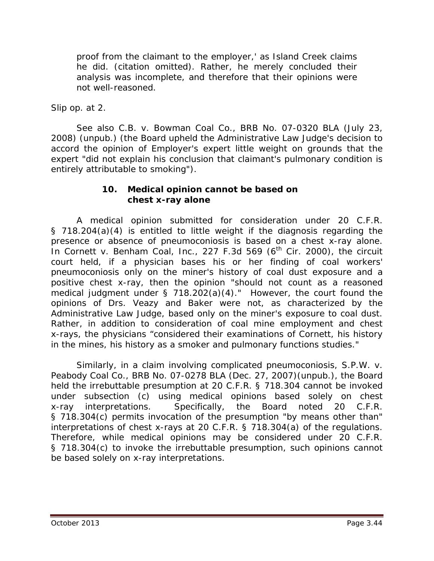proof from the claimant to the employer,' as Island Creek claims he did. (citation omitted). Rather, he merely concluded their analysis was incomplete, and therefore that their opinions were not well-reasoned.

*Slip op.* at 2.

*See also C.B. v. Bowman Coal Co.*, BRB No. 07-0320 BLA (July 23, 2008) (unpub.) (the Board upheld the Administrative Law Judge's decision to accord the opinion of Employer's expert little weight on grounds that the expert "did not explain his conclusion that claimant's pulmonary condition is entirely attributable to smoking").

#### **10. Medical opinion cannot be based on chest x-ray alone**

A medical opinion submitted for consideration under 20 C.F.R. § 718.204(a)(4) is entitled to little weight if the diagnosis regarding the presence or absence of pneumoconiosis is based on a chest x-ray alone. In *Cornett v. Benham Coal, Inc.*, 227 F.3d 569 (6<sup>th</sup> Cir. 2000), the circuit court held, if a physician bases his or her finding of coal workers' pneumoconiosis only on the miner's history of coal dust exposure and a positive chest x-ray, then the opinion "should not count as a reasoned medical judgment under § 718.202(a)(4)." However, the court found the opinions of Drs. Veazy and Baker were not, as characterized by the Administrative Law Judge, based only on the miner's exposure to coal dust. Rather, in addition to consideration of coal mine employment and chest x-rays, the physicians "considered their examinations of Cornett, his history in the mines, his history as a smoker and pulmonary functions studies."

Similarly, in a claim involving complicated pneumoconiosis, *S.P.W. v. Peabody Coal Co.*, BRB No. 07-0278 BLA (Dec. 27, 2007)(unpub.), the Board held the irrebuttable presumption at 20 C.F.R. § 718.304 cannot be invoked under subsection (c) using medical opinions based solely on chest x-ray interpretations. Specifically, the Board noted 20 C.F.R. § 718.304(c) permits invocation of the presumption "*by means other than*" interpretations of chest x-rays at 20 C.F.R. § 718.304(a) of the regulations. Therefore, while medical opinions may be considered under 20 C.F.R. § 718.304(c) to invoke the irrebuttable presumption, such opinions cannot be based solely on x-ray interpretations.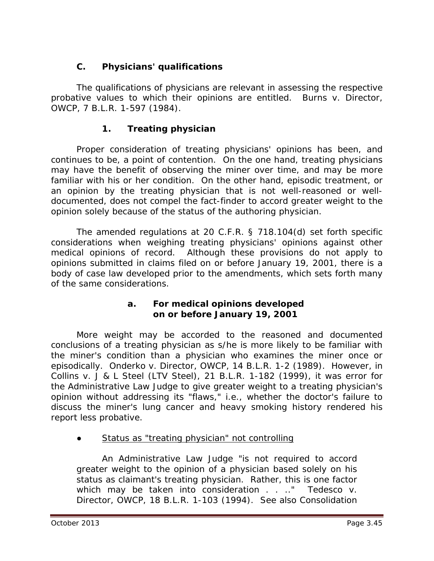# **C. Physicians' qualifications**

The qualifications of physicians are relevant in assessing the respective probative values to which their opinions are entitled. *Burns v. Director, OWCP*, 7 B.L.R. 1-597 (1984).

## **1. Treating physician**

Proper consideration of treating physicians' opinions has been, and continues to be, a point of contention. On the one hand, treating physicians may have the benefit of observing the miner over time, and may be more familiar with his or her condition. On the other hand, episodic treatment, or an opinion by the treating physician that is not well-reasoned or welldocumented, does not compel the fact-finder to accord greater weight to the opinion solely because of the status of the authoring physician.

The amended regulations at 20 C.F.R. § 718.104(d) set forth specific considerations when weighing treating physicians' opinions against other medical opinions of record. Although these provisions do not apply to opinions submitted in claims filed on or before January 19, 2001, there is a body of case law developed prior to the amendments, which sets forth many of the same considerations.

#### **a. For medical opinions developed on or before January 19, 2001**

More weight may be accorded to the reasoned and documented conclusions of a treating physician as s/he is more likely to be familiar with the miner's condition than a physician who examines the miner once or episodically. *Onderko v. Director, OWCP*, 14 B.L.R. 1-2 (1989). However, in *Collins v. J & L Steel (LTV Steel)*, 21 B.L.R. 1-182 (1999), it was error for the Administrative Law Judge to give greater weight to a treating physician's opinion without addressing its "flaws," *i.e.*, whether the doctor's failure to discuss the miner's lung cancer and heavy smoking history rendered his report less probative.

Status as "treating physician" not controlling

An Administrative Law Judge "is not required to accord greater weight to the opinion of a physician based solely on his status as claimant's treating physician. Rather, this is one factor which may be taken into consideration . . .." *Tedesco v. Director, OWCP*, 18 B.L.R. 1-103 (1994). *See also Consolidation*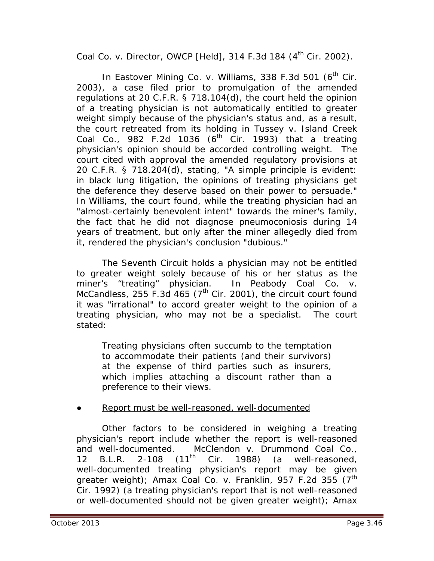# *Coal Co. v. Director, OWCP [Held]*, 314 F.3d 184 (4<sup>th</sup> Cir. 2002).

In *Eastover Mining Co. v. Williams*, 338 F.3d 501 (6<sup>th</sup> Cir. 2003), a case filed prior to promulgation of the amended regulations at 20 C.F.R. § 718.104(d), the court held the opinion of a treating physician is not automatically entitled to greater weight simply because of the physician's status and, as a result, the court retreated from its holding in *Tussey v. Island Creek*  Coal Co., 982 F.2d 1036 (6<sup>th</sup> Cir. 1993) that a treating physician's opinion should be accorded controlling weight. The court cited with approval the amended regulatory provisions at 20 C.F.R. § 718.204(d), stating, "A simple principle is evident: in black lung litigation, the opinions of treating physicians get the deference they deserve based on their power to persuade." In *Williams*, the court found, while the treating physician had an "almost-certainly benevolent intent" towards the miner's family, the fact that he did not diagnose pneumoconiosis during 14 years of treatment, but only after the miner allegedly died from it, rendered the physician's conclusion "dubious."

The Seventh Circuit holds a physician may not be entitled to greater weight solely because of his or her status as the miner's "treating" physician. In *Peabody Coal Co. v. McCandless*, 255 F.3d 465 (7<sup>th</sup> Cir. 2001), the circuit court found it was "irrational" to accord greater weight to the opinion of a treating physician, who may not be a specialist. The court stated:

Treating physicians often succumb to the temptation to accommodate their patients (and their survivors) at the expense of third parties such as insurers, which implies attaching a discount rather than a preference to their views.

#### Report must be well-reasoned, well-documented

Other factors to be considered in weighing a treating physician's report include whether the report is well-reasoned and well-documented. *McClendon v. Drummond Coal Co.*, 12 B.L.R. 2-108  $(11^{\text{th}}$  Cir. 1988) (a well-reasoned, well-documented treating physician's report may be given greater weight); *Amax Coal Co. v. Franklin*, 957 F.2d 355 (7th Cir. 1992) (a treating physician's report that is not well-reasoned or well-documented should not be given greater weight); *Amax*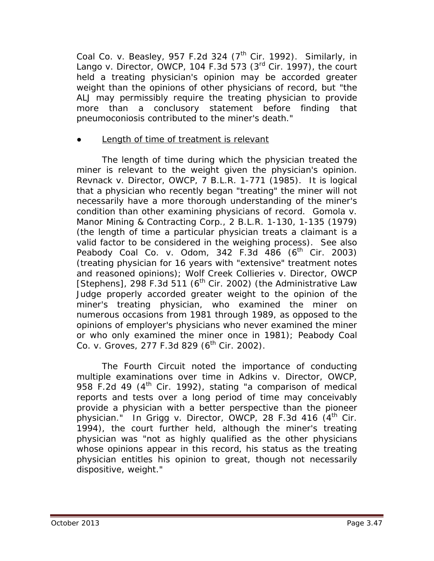*Coal Co. v. Beasley*, 957 F.2d 324 (7<sup>th</sup> Cir. 1992). Similarly, in *Lango v. Director, OWCP*, 104 F.3d 573 (3rd Cir. 1997), the court held a treating physician's opinion may be accorded greater weight than the opinions of other physicians of record, but "the ALJ may permissibly require the treating physician to provide more than a conclusory statement before finding that pneumoconiosis contributed to the miner's death."

### Length of time of treatment is relevant

The length of time during which the physician treated the miner is relevant to the weight given the physician's opinion. *Revnack v. Director, OWCP*, 7 B.L.R. 1-771 (1985). It is logical that a physician who recently began "treating" the miner will not necessarily have a more thorough understanding of the miner's condition than other examining physicians of record. *Gomola v. Manor Mining & Contracting Corp.*, 2 B.L.R. 1-130, 1-135 (1979) (the length of time a particular physician treats a claimant is a valid factor to be considered in the weighing process). *See also*  Peabody Coal Co. v. Odom, 342 F.3d 486 (6<sup>th</sup> Cir. 2003) (treating physician for 16 years with "extensive" treatment notes and reasoned opinions); *Wolf Creek Collieries v. Director, OWCP*  [Stephens], 298 F.3d 511 ( $6<sup>th</sup>$  Cir. 2002) (the Administrative Law Judge properly accorded greater weight to the opinion of the miner's treating physician, who examined the miner on numerous occasions from 1981 through 1989, as opposed to the opinions of employer's physicians who never examined the miner or who only examined the miner once in 1981); *Peabody Coal Co. v. Groves*, 277 F.3d 829 (6<sup>th</sup> Cir. 2002).

The Fourth Circuit noted the importance of conducting multiple examinations over time in *Adkins v. Director, OWCP*, 958 F.2d 49 ( $4<sup>th</sup>$  Cir. 1992), stating "a comparison of medical reports and tests over a long period of time may conceivably provide a physician with a better perspective than the pioneer physician." In *Grigg v. Director, OWCP*, 28 F.3d 416 (4<sup>th</sup> Cir. 1994), the court further held, although the miner's treating physician was "not as highly qualified as the other physicians whose opinions appear in this record, his status as the treating physician entitles his opinion to great, though not necessarily dispositive, weight."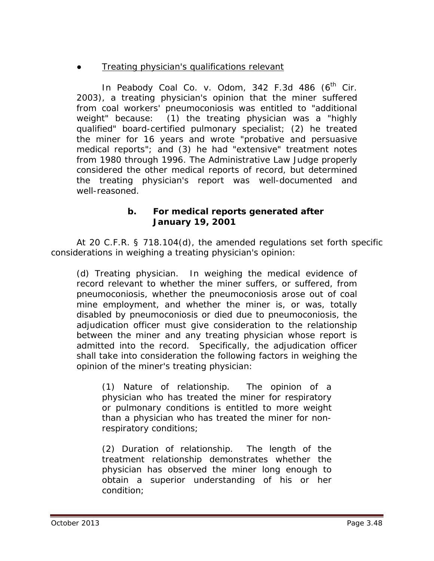## **Treating physician's qualifications relevant**

In *Peabody Coal Co. v. Odom*, 342 F.3d 486 (6<sup>th</sup> Cir. 2003), a treating physician's opinion that the miner suffered from coal workers' pneumoconiosis was entitled to "additional weight" because: (1) the treating physician was a "highly qualified" board-certified pulmonary specialist; (2) he treated the miner for 16 years and wrote "probative and persuasive medical reports"; and (3) he had "extensive" treatment notes from 1980 through 1996. The Administrative Law Judge properly considered the other medical reports of record, but determined the treating physician's report was well-documented and well-reasoned.

#### **b. For medical reports generated after January 19, 2001**

At 20 C.F.R. § 718.104(d), the amended regulations set forth specific considerations in weighing a treating physician's opinion:

(d) Treating physician. In weighing the medical evidence of record relevant to whether the miner suffers, or suffered, from pneumoconiosis, whether the pneumoconiosis arose out of coal mine employment, and whether the miner is, or was, totally disabled by pneumoconiosis or died due to pneumoconiosis, the adjudication officer must give consideration to the relationship between the miner and any treating physician whose report is admitted into the record. Specifically, the adjudication officer shall take into consideration the following factors in weighing the opinion of the miner's treating physician:

(1) Nature of relationship. The opinion of a physician who has treated the miner for respiratory or pulmonary conditions is entitled to more weight than a physician who has treated the miner for nonrespiratory conditions;

(2) Duration of relationship. The length of the treatment relationship demonstrates whether the physician has observed the miner long enough to obtain a superior understanding of his or her condition;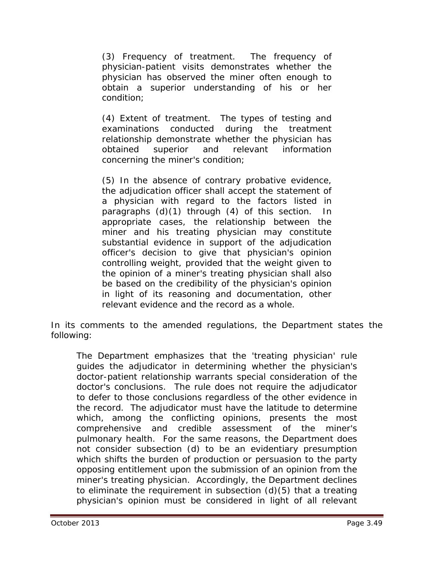(3) Frequency of treatment. The frequency of physician-patient visits demonstrates whether the physician has observed the miner often enough to obtain a superior understanding of his or her condition;

(4) Extent of treatment. The types of testing and examinations conducted during the treatment relationship demonstrate whether the physician has obtained superior and relevant information concerning the miner's condition;

(5) In the absence of contrary probative evidence, the adjudication officer shall accept the statement of a physician with regard to the factors listed in paragraphs (d)(1) through (4) of this section. In appropriate cases, the relationship between the miner and his treating physician may constitute substantial evidence in support of the adjudication officer's decision to give that physician's opinion controlling weight, provided that the weight given to the opinion of a miner's treating physician shall also be based on the credibility of the physician's opinion in light of its reasoning and documentation, other relevant evidence and the record as a whole.

In its comments to the amended regulations, the Department states the following:

The Department emphasizes that the 'treating physician' rule guides the adjudicator in determining whether the physician's doctor-patient relationship warrants special consideration of the doctor's conclusions. The rule does not require the adjudicator to defer to those conclusions regardless of the other evidence in the record. The adjudicator must have the latitude to determine which, among the conflicting opinions, presents the most comprehensive and credible assessment of the miner's pulmonary health. For the same reasons, the Department does not consider subsection (d) to be an evidentiary presumption which shifts the burden of production or persuasion to the party opposing entitlement upon the submission of an opinion from the miner's treating physician. Accordingly, the Department declines to eliminate the requirement in subsection (d)(5) that a treating physician's opinion must be considered in light of all relevant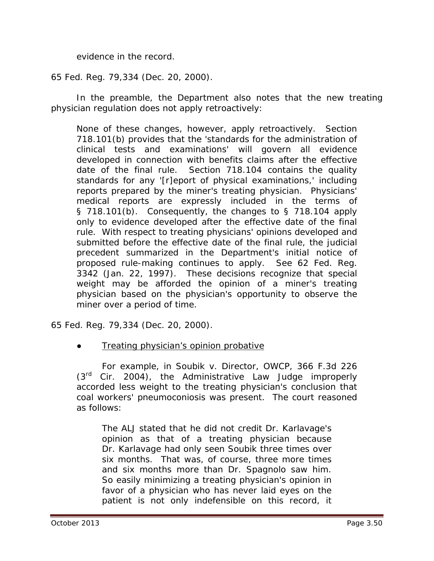evidence in the record.

65 Fed. Reg. 79,334 (Dec. 20, 2000).

In the preamble, the Department also notes that the new treating physician regulation does not apply retroactively:

None of these changes, however, apply retroactively. Section 718.101(b) provides that the 'standards for the administration of clinical tests and examinations' will govern all evidence developed in connection with benefits claims after the effective date of the final rule. Section 718.104 contains the quality standards for any '[r]eport of physical examinations,' including reports prepared by the miner's treating physician. Physicians' medical reports are expressly included in the terms of § 718.101(b). Consequently, the changes to § 718.104 apply only to evidence developed after the effective date of the final rule. With respect to treating physicians' opinions developed and submitted before the effective date of the final rule, the judicial precedent summarized in the Department's initial notice of proposed rule-making continues to apply. *See* 62 Fed. Reg. 3342 (Jan. 22, 1997). These decisions recognize that special weight may be afforded the opinion of a miner's treating physician based on the physician's opportunity to observe the miner over a period of time.

65 Fed. Reg. 79,334 (Dec. 20, 2000).

**Treating physician's opinion probative** 

For example, in *Soubik v. Director, OWCP*, 366 F.3d 226  $(3<sup>rd</sup>$  Cir. 2004), the Administrative Law Judge improperly accorded less weight to the treating physician's conclusion that coal workers' pneumoconiosis was present. The court reasoned as follows:

The ALJ stated that he did not credit Dr. Karlavage's opinion as that of a treating physician because Dr. Karlavage had only seen Soubik three times over six months. That was, of course, three more times and six months more than Dr. Spagnolo saw him. So easily minimizing a treating physician's opinion in favor of a physician who has never laid eyes on the patient is not only indefensible on this record, it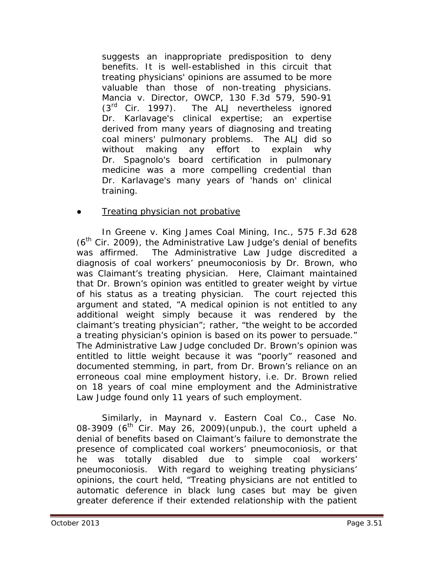suggests an inappropriate predisposition to deny benefits. It is well-established in this circuit that treating physicians' opinions are assumed to be more valuable than those of non-treating physicians. *Mancia v. Director, OWCP*, 130 F.3d 579, 590-91  $(3<sup>rd</sup>$  Cir. 1997). The ALJ nevertheless ignored Dr. Karlavage's clinical expertise; an expertise derived from many years of diagnosing and treating coal miners' pulmonary problems. The ALJ did so without making any effort to explain why Dr. Spagnolo's board certification in pulmonary medicine was a more compelling credential than Dr. Karlavage's many years of 'hands on' clinical training.

#### Treating physician not probative

In *Greene v. King James Coal Mining, Inc.*, 575 F.3d 628  $(6<sup>th</sup>$  Cir. 2009), the Administrative Law Judge's denial of benefits was affirmed. The Administrative Law Judge discredited a diagnosis of coal workers' pneumoconiosis by Dr. Brown, who was Claimant's treating physician. Here, Claimant maintained that Dr. Brown's opinion was entitled to greater weight by virtue of his status as a treating physician. The court rejected this argument and stated, "A medical opinion is not entitled to any additional weight simply because it was rendered by the claimant's treating physician"; rather, "the weight to be accorded a treating physician's opinion is based on its power to persuade." The Administrative Law Judge concluded Dr. Brown's opinion was entitled to little weight because it was "poorly" reasoned and documented stemming, in part, from Dr. Brown's reliance on an erroneous coal mine employment history, *i.e.* Dr. Brown relied on 18 years of coal mine employment and the Administrative Law Judge found only 11 years of such employment.

Similarly, in *Maynard v. Eastern Coal Co.*, Case No. 08-3909 ( $6<sup>th</sup>$  Cir. May 26, 2009)(unpub.), the court upheld a denial of benefits based on Claimant's failure to demonstrate the presence of complicated coal workers' pneumoconiosis, or that he was totally disabled due to simple coal workers' pneumoconiosis. With regard to weighing treating physicians' opinions, the court held, "Treating physicians are not entitled to automatic deference in black lung cases but may be given greater deference if their extended relationship with the patient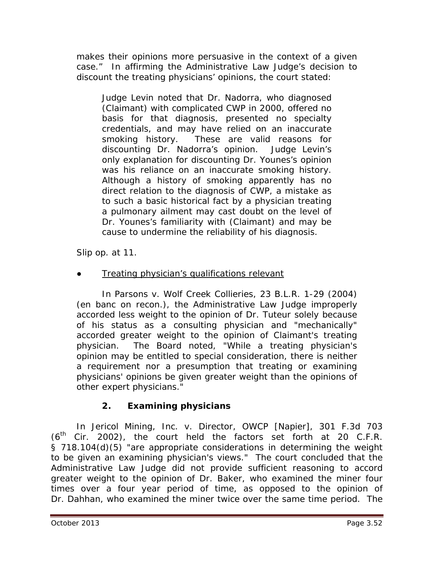makes their opinions more persuasive in the context of a given case." In affirming the Administrative Law Judge's decision to discount the treating physicians' opinions, the court stated:

Judge Levin noted that Dr. Nadorra, who diagnosed (Claimant) with complicated CWP in 2000, offered no basis for that diagnosis, presented no specialty credentials, and may have relied on an inaccurate smoking history. These are valid reasons for discounting Dr. Nadorra's opinion. Judge Levin's only explanation for discounting Dr. Younes's opinion was his reliance on an inaccurate smoking history. Although a history of smoking apparently has no direct relation to the diagnosis of CWP, a mistake as to such a basic historical fact by a physician treating a pulmonary ailment may cast doubt on the level of Dr. Younes's familiarity with (Claimant) and may be cause to undermine the reliability of his diagnosis.

*Slip op.* at 11.

Treating physician's qualifications relevant

In *Parsons v. Wolf Creek Collieries*, 23 B.L.R. 1-29 (2004) (en banc on recon.), the Administrative Law Judge improperly accorded less weight to the opinion of Dr. Tuteur solely because of his status as a consulting physician and "mechanically" accorded greater weight to the opinion of Claimant's treating physician. The Board noted, "While a treating physician's opinion may be entitled to special consideration, there is neither a requirement nor a presumption that treating or examining physicians' opinions be given greater weight than the opinions of other expert physicians."

# **2. Examining physicians**

In *Jericol Mining, Inc. v. Director, OWCP [Napier]*, 301 F.3d 703 (6th Cir. 2002), the court held the factors set forth at 20 C.F.R. § 718.104(d)(5) "are appropriate considerations in determining the weight to be given an examining physician's views." The court concluded that the Administrative Law Judge did not provide sufficient reasoning to accord greater weight to the opinion of Dr. Baker, who examined the miner four times over a four year period of time, as opposed to the opinion of Dr. Dahhan, who examined the miner twice over the same time period. The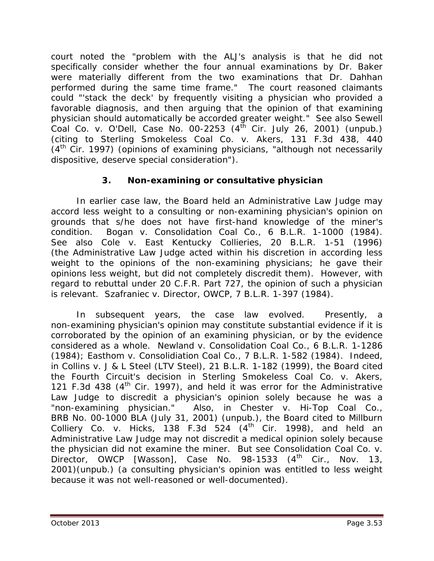court noted the "problem with the ALJ's analysis is that he did not specifically consider whether the four annual examinations by Dr. Baker were materially different from the two examinations that Dr. Dahhan performed during the same time frame." The court reasoned claimants could "'stack the deck' by frequently visiting a physician who provided a favorable diagnosis, and then arguing that the opinion of that examining physician should automatically be accorded greater weight." *See also Sewell Coal Co. v. O'Dell*, Case No. 00-2253 (4th Cir. July 26, 2001) (unpub.) (citing to *Sterling Smokeless Coal Co. v. Akers*, 131 F.3d 438, 440  $(4<sup>th</sup>$  Cir. 1997) (opinions of examining physicians, "although not necessarily dispositive, deserve special consideration").

## **3. Non-examining or consultative physician**

In earlier case law, the Board held an Administrative Law Judge may accord less weight to a consulting or non-examining physician's opinion on grounds that s/he does not have first-hand knowledge of the miner's condition. *Bogan v. Consolidation Coal Co.*, 6 B.L.R. 1-1000 (1984). *See also Cole v. East Kentucky Collieries*, 20 B.L.R. 1-51 (1996) (the Administrative Law Judge acted within his discretion in according less weight to the opinions of the non-examining physicians; he gave their opinions less weight, but did not completely discredit them). However, with regard to rebuttal under 20 C.F.R. Part 727, the opinion of such a physician is relevant. *Szafraniec v. Director, OWCP*, 7 B.L.R. 1-397 (1984).

In subsequent years, the case law evolved. Presently, a non-examining physician's opinion may constitute substantial evidence if it is corroborated by the opinion of an examining physician, or by the evidence considered as a whole. *Newland v. Consolidation Coal Co.*, 6 B.L.R. 1-1286 (1984); *Easthom v. Consolidiation Coal Co.*, 7 B.L.R. 1-582 (1984). Indeed, in *Collins v. J & L Steel (LTV Steel)*, 21 B.L.R. 1-182 (1999)*,* the Board cited the Fourth Circuit's decision in *Sterling Smokeless Coal Co. v. Akers*, 121 F.3d 438 ( $4<sup>th</sup>$  Cir. 1997), and held it was error for the Administrative Law Judge to discredit a physician's opinion solely because he was a "non-examining physician." Also, in *Chester v. Hi-Top Coal Co.*, BRB No. 00-1000 BLA (July 31, 2001) (unpub.), the Board cited to *Millburn Colliery Co. v. Hicks*, 138 F.3d 524  $(4<sup>th</sup>$  Cir. 1998), and held an Administrative Law Judge may not discredit a medical opinion solely because the physician did not examine the miner. *But see Consolidation Coal Co. v. Director, OWCP [Wasson]*, Case No. 98-1533 (4<sup>th</sup> Cir., Nov. 13, 2001)(unpub.) (a consulting physician's opinion was entitled to less weight because it was not well-reasoned or well-documented).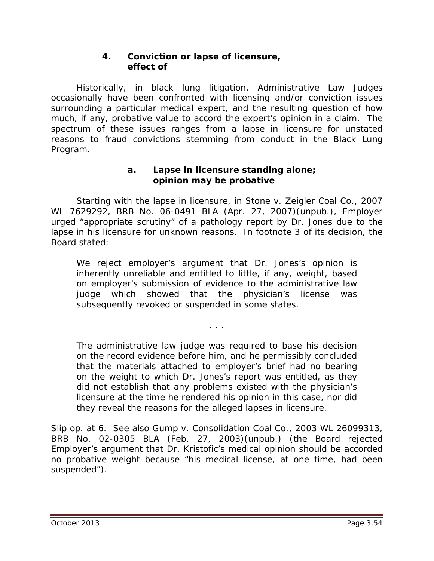### **4. Conviction or lapse of licensure, effect of**

Historically, in black lung litigation, Administrative Law Judges occasionally have been confronted with licensing and/or conviction issues surrounding a particular medical expert, and the resulting question of how much, if any, probative value to accord the expert's opinion in a claim. The spectrum of these issues ranges from a lapse in licensure for unstated reasons to fraud convictions stemming from conduct in the Black Lung Program.

#### **a. Lapse in licensure standing alone; opinion may be probative**

Starting with the lapse in licensure, in *Stone v. Zeigler Coal Co.*, 2007 WL 7629292, BRB No. 06-0491 BLA (Apr. 27, 2007)(unpub.), Employer urged "appropriate scrutiny" of a pathology report by Dr. Jones due to the lapse in his licensure for unknown reasons. In footnote 3 of its decision, the Board stated:

We reject employer's argument that Dr. Jones's opinion is inherently unreliable and entitled to little, if any, weight, based on employer's submission of evidence to the administrative law judge which showed that the physician's license was subsequently revoked or suspended in some states.

. . .

The administrative law judge was required to base his decision on the record evidence before him, and he permissibly concluded that the materials attached to employer's brief had no bearing on the weight to which Dr. Jones's report was entitled, as they did not establish that any problems existed with the physician's licensure at the time he rendered his opinion in this case, nor did they reveal the reasons for the alleged lapses in licensure.

*Slip op.* at 6. *See also Gump v. Consolidation Coal Co.*, 2003 WL 26099313, BRB No. 02-0305 BLA (Feb. 27, 2003)(unpub.) (the Board rejected Employer's argument that Dr. Kristofic's medical opinion should be accorded no probative weight because "his medical license, at one time, had been suspended").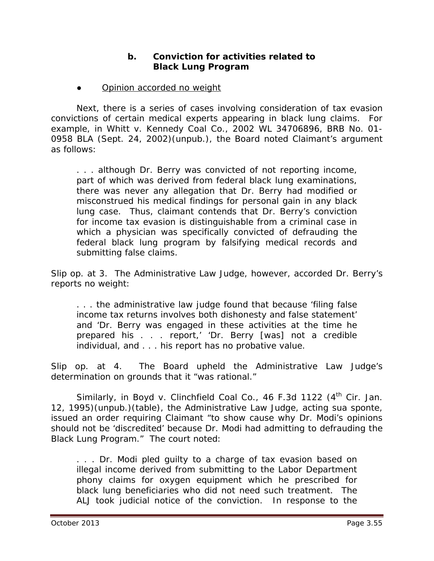### **b. Conviction for activities related to Black Lung Program**

**Opinion accorded no weight** 

Next, there is a series of cases involving consideration of tax evasion convictions of certain medical experts appearing in black lung claims. For example, in *Whitt v. Kennedy Coal Co.*, 2002 WL 34706896, BRB No. 01- 0958 BLA (Sept. 24, 2002)(unpub.), the Board noted Claimant's argument as follows:

. . . although Dr. Berry was convicted of not reporting income, part of which was derived from federal black lung examinations, there was never any allegation that Dr. Berry had modified or misconstrued his medical findings for personal gain in any black lung case. Thus, claimant contends that Dr. Berry's conviction for income tax evasion is distinguishable from a criminal case in which a physician was specifically convicted of defrauding the federal black lung program by falsifying medical records and submitting false claims.

*Slip op.* at 3. The Administrative Law Judge, however, accorded Dr. Berry's reports no weight:

. . . the administrative law judge found that because 'filing false income tax returns involves both dishonesty and false statement' and 'Dr. Berry was engaged in these activities at the time he prepared his . . . report,' 'Dr. Berry [was] not a credible individual, and . . . his report has no probative value.

*Slip op.* at 4. The Board upheld the Administrative Law Judge's determination on grounds that it "was rational."

Similarly, in *Boyd v. Clinchfield Coal Co.*, 46 F.3d 1122 (4<sup>th</sup> Cir. Jan. 12, 1995)(unpub.)(table), the Administrative Law Judge, acting *sua sponte*, issued an order requiring Claimant "to show cause why Dr. Modi's opinions should not be 'discredited' because Dr. Modi had admitting to defrauding the Black Lung Program." The court noted:

. . . Dr. Modi pled guilty to a charge of tax evasion based on illegal income derived from submitting to the Labor Department phony claims for oxygen equipment which he prescribed for black lung beneficiaries who did not need such treatment. The ALJ took judicial notice of the conviction. In response to the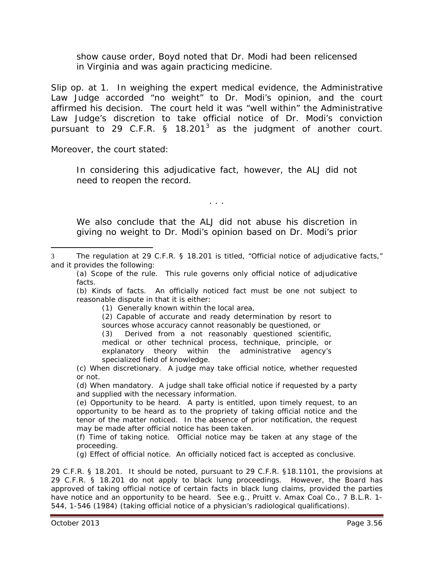show cause order, Boyd noted that Dr. Modi had been relicensed in Virginia and was again practicing medicine.

*Slip op.* at 1. In weighing the expert medical evidence, the Administrative Law Judge accorded "no weight" to Dr. Modi's opinion, and the court affirmed his decision. The court held it was "well within" the Administrative Law Judge's discretion to take official notice of Dr. Modi's conviction pursuant to 29 C.F.R. § 18.201<sup>[3](#page-55-0)</sup> as the judgment of another court.

Moreover, the court stated:

 $\overline{a}$ 

In considering this *adjudicative* fact, however, the ALJ did not need to reopen the record.

. . .

We also conclude that the ALJ did not abuse his discretion in giving no weight to Dr. Modi's opinion based on Dr. Modi's prior

(b) *Kinds of facts*. An officially noticed fact must be one not subject to reasonable dispute in that it is either:

(1) Generally known within the local area,

(2) Capable of accurate and ready determination by resort to sources whose accuracy cannot reasonably be questioned, or

(3) Derived from a not reasonably questioned scientific, medical or other technical process, technique, principle, or explanatory theory within the administrative agency's specialized field of knowledge.

(c) *When discretionary*. A judge may take official notice, whether requested or not.

(d) *When mandatory*. A judge shall take official notice if requested by a party and supplied with the necessary information.

(e) *Opportunity to be heard*. A party is entitled, upon timely request, to an opportunity to be heard as to the propriety of taking official notice and the tenor of the matter noticed. In the absence of prior notification, the request may be made after official notice has been taken.

(f) *Time of taking notice.* Official notice may be taken at any stage of the proceeding.

(g) *Effect of official notice*. An officially noticed fact is accepted as conclusive.

29 C.F.R. § 18.201. It should be noted, pursuant to 29 C.F.R. §18.1101, the provisions at 29 C.F.R. § 18.201 do not apply to black lung proceedings. However, the Board has approved of taking official notice of certain facts in black lung claims, provided the parties have notice and an opportunity to be heard. *See e.g., Pruitt v. Amax Coal Co.*, 7 B.L.R. 1- 544, 1-546 (1984) (taking official notice of a physician's radiological qualifications).

<span id="page-55-0"></span><sup>3</sup> The regulation at 29 C.F.R. § 18.201 is titled, "Official notice of adjudicative facts," and it provides the following:

<sup>(</sup>a) *Scope of the rule*. This rule governs only official notice of adjudicative facts.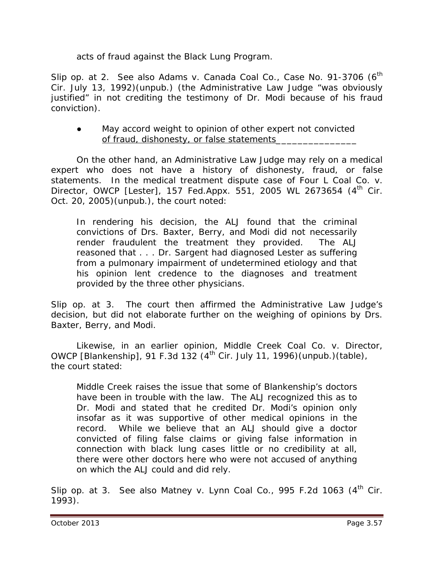acts of fraud against the Black Lung Program.

*Slip op.* at 2. *See also Adams v. Canada Coal Co.*, Case No. 91-3706 (6<sup>th</sup>) Cir. July 13, 1992)(unpub.) (the Administrative Law Judge "was obviously justified" in not crediting the testimony of Dr. Modi because of his fraud conviction).

#### May accord weight to opinion of other expert not convicted of fraud, dishonesty, or false statements\_

On the other hand, an Administrative Law Judge may rely on a medical expert who does not have a history of dishonesty, fraud, or false statements. In the medical treatment dispute case of *Four L Coal Co. v. Director, OWCP [Lester]*, 157 Fed.Appx. 551, 2005 WL 2673654 (4<sup>th</sup> Cir. Oct. 20, 2005)(unpub.), the court noted:

In rendering his decision, the ALJ found that the criminal convictions of Drs. Baxter, Berry, and Modi did not necessarily render fraudulent the treatment they provided. The ALJ reasoned that . . . Dr. Sargent had diagnosed Lester as suffering from a pulmonary impairment of undetermined etiology and that his opinion lent credence to the diagnoses and treatment provided by the three other physicians.

*Slip op.* at 3. The court then affirmed the Administrative Law Judge's decision, but did not elaborate further on the weighing of opinions by Drs. Baxter, Berry, and Modi.

Likewise, in an earlier opinion, *Middle Creek Coal Co. v. Director, OWCP [Blankenship]*, 91 F.3d 132 (4<sup>th</sup> Cir. July 11, 1996)(unpub.)(table), the court stated:

Middle Creek raises the issue that some of Blankenship's doctors have been in trouble with the law. The ALJ recognized this as to Dr. Modi and stated that he credited Dr. Modi's opinion only insofar as it was supportive of other medical opinions in the record. While we believe that an ALJ should give a doctor convicted of filing false claims or giving false information in connection with black lung cases little or no credibility at all, there were other doctors here who were not accused of anything on which the ALJ could and did rely.

*Slip op.* at 3. *See also Matney v. Lynn Coal Co.*, 995 F.2d 1063 (4<sup>th</sup> Cir. 1993).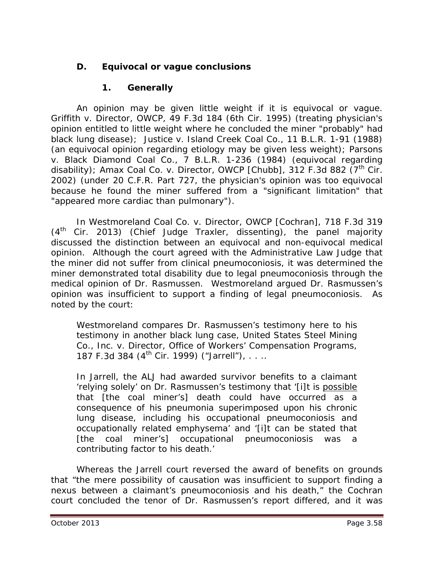# **D. Equivocal or vague conclusions**

## **1. Generally**

An opinion may be given little weight if it is equivocal or vague. *Griffith v. Director, OWCP*, 49 F.3d 184 (6th Cir. 1995) (treating physician's opinion entitled to little weight where he concluded the miner "probably" had black lung disease); *Justice v. Island Creek Coal Co.*, 11 B.L.R. 1-91 (1988) (an equivocal opinion regarding etiology may be given less weight); *Parsons v. Black Diamond Coal Co.*, 7 B.L.R. 1-236 (1984) (equivocal regarding disability); *Amax Coal Co. v. Director, OWCP [Chubb]*, 312 F.3d 882 (7<sup>th</sup> Cir. 2002) (under 20 C.F.R. Part 727, the physician's opinion was too equivocal because he found the miner suffered from a "significant limitation" that "appeared more cardiac than pulmonary").

In *Westmoreland Coal Co. v. Director, OWCP [Cochran]*, 718 F.3d 319  $(4<sup>th</sup>$  Cir. 2013) (Chief Judge Traxler, dissenting), the panel majority discussed the distinction between an equivocal and non-equivocal medical opinion. Although the court agreed with the Administrative Law Judge that the miner did not suffer from clinical pneumoconiosis, it was determined the miner demonstrated total disability due to legal pneumoconiosis through the medical opinion of Dr. Rasmussen. Westmoreland argued Dr. Rasmussen's opinion was insufficient to support a finding of legal pneumoconiosis. As noted by the court:

Westmoreland compares Dr. Rasmussen's testimony here to his testimony in another black lung case, *United States Steel Mining Co., Inc. v. Director, Office of Workers' Compensation Programs*, 187 F.3d 384 (4<sup>th</sup> Cir. 1999) ("Jarrell"), . . ..

In *Jarrell*, the ALJ had awarded survivor benefits to a claimant 'relying solely' on Dr. Rasmussen's testimony that '[i]t is possible that [the coal miner's] death could have occurred as a consequence of his pneumonia superimposed upon his chronic lung disease, including his occupational pneumoconiosis and occupationally related emphysema' and '[i]t can be stated that [the coal miner's] occupational pneumoconiosis was a contributing factor to his death.'

Whereas the *Jarrell* court reversed the award of benefits on grounds that "the mere possibility of causation was insufficient to support finding a nexus between a claimant's pneumoconiosis and his death," the *Cochran*  court concluded the tenor of Dr. Rasmussen's report differed, and it was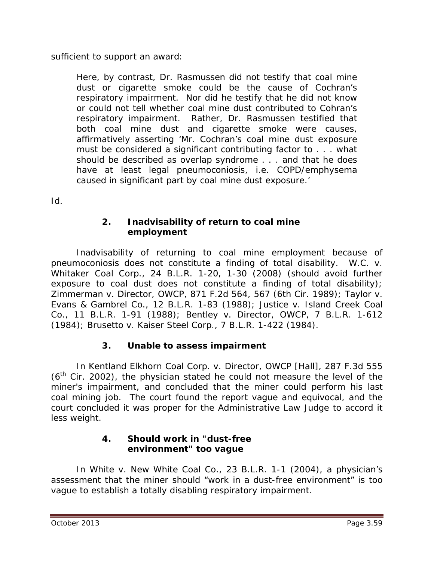sufficient to support an award:

Here, by contrast, Dr. Rasmussen did not testify that coal mine dust or cigarette smoke could be the cause of Cochran's respiratory impairment. Nor did he testify that he did not know or could not tell whether coal mine dust contributed to Cohran's respiratory impairment. Rather, Dr. Rasmussen testified that both coal mine dust and cigarette smoke were causes, affirmatively asserting 'Mr. Cochran's coal mine dust exposure must be considered a significant contributing factor to . . . what should be described as overlap syndrome . . . and that he does have at least legal pneumoconiosis, *i.e.* COPD/emphysema caused in significant part by coal mine dust exposure.'

*Id*.

### **2. Inadvisability of return to coal mine employment**

Inadvisability of returning to coal mine employment because of pneumoconiosis does not constitute a finding of total disability. *W.C. v. Whitaker Coal Corp.,* 24 B.L.R. 1-20, 1-30 (2008) (should avoid further exposure to coal dust does not constitute a finding of total disability); *Zimmerman v. Director, OWCP*, 871 F.2d 564, 567 (6th Cir. 1989); *Taylor v. Evans & Gambrel Co.*, 12 B.L.R. 1-83 (1988); *Justice v. Island Creek Coal Co.*, 11 B.L.R. 1-91 (1988); *Bentley v. Director, OWCP*, 7 B.L.R. 1-612 (1984); *Brusetto v. Kaiser Steel Corp.*, 7 B.L.R. 1-422 (1984).

## **3. Unable to assess impairment**

In *Kentland Elkhorn Coal Corp. v. Director, OWCP [Hall]*, 287 F.3d 555  $(6<sup>th</sup>$  Cir. 2002), the physician stated he could not measure the level of the miner's impairment, and concluded that the miner could perform his last coal mining job. The court found the report vague and equivocal, and the court concluded it was proper for the Administrative Law Judge to accord it less weight.

#### **4. Should work in "dust-free environment" too vague**

In *White v. New White Coal Co.*, 23 B.L.R. 1-1 (2004), a physician's assessment that the miner should "work in a dust-free environment" is too vague to establish a totally disabling respiratory impairment.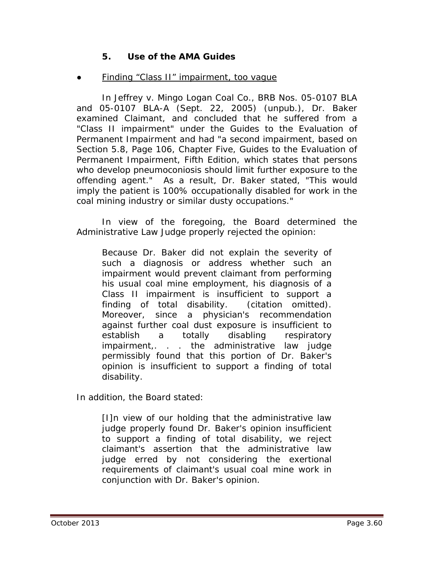### **5. Use of the AMA Guides**

#### Finding "Class II" impairment, too vague

In *Jeffrey v. Mingo Logan Coal Co.*, BRB Nos. 05-0107 BLA and 05-0107 BLA-A (Sept. 22, 2005) (unpub.), Dr. Baker examined Claimant, and concluded that he suffered from a "Class II impairment" under the *Guides to the Evaluation of Permanent Impairment* and had "a second impairment, based on Section 5.8, Page 106, Chapter Five, Guides to the Evaluation of Permanent Impairment, Fifth Edition, which states that persons who develop pneumoconiosis should limit further exposure to the offending agent." As a result, Dr. Baker stated, "This would imply the patient is 100% occupationally disabled for work in the coal mining industry or similar dusty occupations."

In view of the foregoing, the Board determined the Administrative Law Judge properly rejected the opinion:

Because Dr. Baker did not explain the severity of such a diagnosis or address whether such an impairment would prevent claimant from performing his usual coal mine employment, his diagnosis of a Class II impairment is insufficient to support a finding of total disability. (citation omitted). Moreover, since a physician's recommendation against further coal dust exposure is insufficient to establish a totally disabling respiratory impairment,. . . the administrative law judge permissibly found that this portion of Dr. Baker's opinion is insufficient to support a finding of total disability.

In addition, the Board stated:

[I]n view of our holding that the administrative law judge properly found Dr. Baker's opinion insufficient to support a finding of total disability, we reject claimant's assertion that the administrative law judge erred by not considering the exertional requirements of claimant's usual coal mine work in conjunction with Dr. Baker's opinion.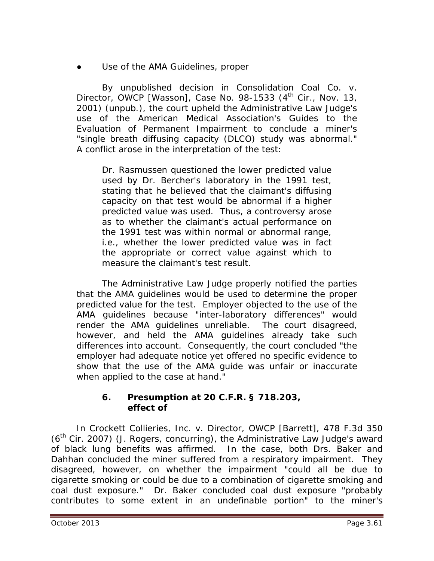## Use of the AMA Guidelines, proper

By unpublished decision in *Consolidation Coal Co. v. Director, OWCP [Wasson]*, Case No. 98-1533 (4<sup>th</sup> Cir., Nov. 13, 2001) (unpub.), the court upheld the Administrative Law Judge's use of the American Medical Association's *Guides to the Evaluation of Permanent Impairment* to conclude a miner's "single breath diffusing capacity (DLCO) study was abnormal." A conflict arose in the interpretation of the test:

Dr. Rasmussen questioned the lower predicted value used by Dr. Bercher's laboratory in the 1991 test, stating that he believed that the claimant's diffusing capacity on that test would be abnormal if a higher predicted value was used. Thus, a controversy arose as to whether the claimant's actual performance on the 1991 test was within normal or abnormal range, i.e., whether the lower predicted value was in fact the appropriate or correct value against which to measure the claimant's test result.

The Administrative Law Judge properly notified the parties that the AMA guidelines would be used to determine the proper predicted value for the test. Employer objected to the use of the AMA guidelines because "inter-laboratory differences" would render the AMA guidelines unreliable. The court disagreed, however, and held the AMA guidelines already take such differences into account. Consequently, the court concluded "the employer had adequate notice yet offered no specific evidence to show that the use of the AMA guide was unfair or inaccurate when applied to the case at hand."

#### **6. Presumption at 20 C.F.R. § 718.203, effect of**

In *Crockett Collieries, Inc. v. Director, OWCP [Barrett]*, 478 F.3d 350  $(6<sup>th</sup>$  Cir. 2007) (J. Rogers, concurring), the Administrative Law Judge's award of black lung benefits was affirmed. In the case, both Drs. Baker and Dahhan concluded the miner suffered from a respiratory impairment. They disagreed, however, on whether the impairment "could all be due to cigarette smoking or could be due to a combination of cigarette smoking and coal dust exposure." Dr. Baker concluded coal dust exposure "probably contributes to some extent in an undefinable portion" to the miner's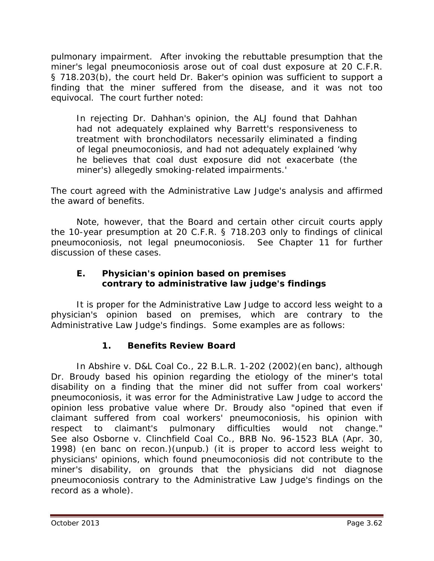pulmonary impairment. After invoking the rebuttable presumption that the miner's legal pneumoconiosis arose out of coal dust exposure at 20 C.F.R. § 718.203(b), the court held Dr. Baker's opinion was sufficient to support a finding that the miner suffered from the disease, and it was not too equivocal. The court further noted:

In rejecting Dr. Dahhan's opinion, the ALJ found that Dahhan had not adequately explained why Barrett's responsiveness to treatment with bronchodilators necessarily eliminated a finding of legal pneumoconiosis, and had not adequately explained 'why he believes that coal dust exposure did not exacerbate (the miner's) allegedly smoking-related impairments.'

The court agreed with the Administrative Law Judge's analysis and affirmed the award of benefits.

Note, however, that the Board and certain other circuit courts apply the 10-year presumption at 20 C.F.R. § 718.203 only to findings of *clinical* pneumoconiosis, not *legal* pneumoconiosis. *See* Chapter 11 for further discussion of these cases.

## **E. Physician's opinion based on premises contrary to administrative law judge's findings**

It is proper for the Administrative Law Judge to accord less weight to a physician's opinion based on premises, which are contrary to the Administrative Law Judge's findings. Some examples are as follows:

## **1. Benefits Review Board**

In *Abshire v. D&L Coal Co.*, 22 B.L.R. 1-202 (2002)(en banc), although Dr. Broudy based his opinion regarding the etiology of the miner's total disability on a finding that the miner did not suffer from coal workers' pneumoconiosis, it was error for the Administrative Law Judge to accord the opinion less probative value where Dr. Broudy also "opined that even if claimant suffered from coal workers' pneumoconiosis, his opinion with respect to claimant's pulmonary difficulties would not change." *See also Osborne v. Clinchfield Coal Co.*, BRB No. 96-1523 BLA (Apr. 30, 1998) (*en banc on recon.*)(unpub.) (it is proper to accord less weight to physicians' opinions, which found pneumoconiosis did not contribute to the miner's disability, on grounds that the physicians did not diagnose pneumoconiosis contrary to the Administrative Law Judge's findings on the record as a whole).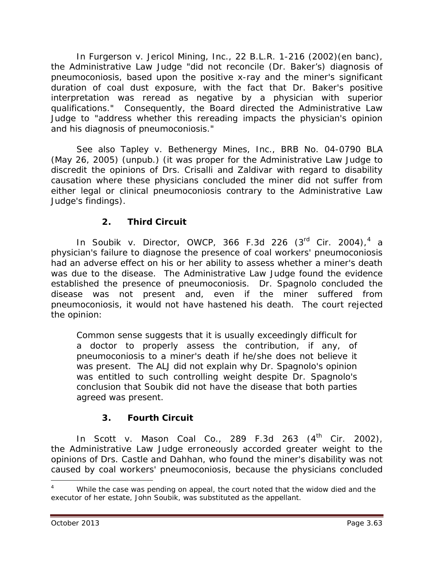In *Furgerson v. Jericol Mining, Inc.*, 22 B.L.R. 1-216 (2002)(en banc), the Administrative Law Judge "did not reconcile (Dr. Baker's) diagnosis of pneumoconiosis, based upon the positive x-ray and the miner's significant duration of coal dust exposure, with the fact that Dr. Baker's positive interpretation was reread as negative by a physician with superior qualifications." Consequently, the Board directed the Administrative Law Judge to "address whether this rereading impacts the physician's opinion and his diagnosis of pneumoconiosis."

*See also Tapley v. Bethenergy Mines, Inc.*, BRB No. 04-0790 BLA (May 26, 2005) (unpub.) (it was proper for the Administrative Law Judge to discredit the opinions of Drs. Crisalli and Zaldivar with regard to disability causation where these physicians concluded the miner did not suffer from either legal or clinical pneumoconiosis contrary to the Administrative Law Judge's findings).

# **2. Third Circuit**

In *Soubik v. Director, OWCP*, 366 F.3d 226 (3rd Cir. 2004), [4](#page-62-0) a physician's failure to diagnose the presence of coal workers' pneumoconiosis had an adverse effect on his or her ability to assess whether a miner's death was due to the disease. The Administrative Law Judge found the evidence established the presence of pneumoconiosis. Dr. Spagnolo concluded the disease was not present and, even if the miner suffered from pneumoconiosis, it would not have hastened his death. The court rejected the opinion:

Common sense suggests that it is usually exceedingly difficult for a doctor to properly assess the contribution, if any, of pneumoconiosis to a miner's death if he/she does not believe it was present. The ALJ did not explain why Dr. Spagnolo's opinion was entitled to such controlling weight despite Dr. Spagnolo's conclusion that Soubik did not have the disease that both parties agreed was present.

## **3. Fourth Circuit**

In *Scott v. Mason Coal Co.*, 289 F.3d 263 (4<sup>th</sup> Cir. 2002), the Administrative Law Judge erroneously accorded greater weight to the opinions of Drs. Castle and Dahhan, who found the miner's disability was not caused by coal workers' pneumoconiosis, because the physicians concluded

 $\overline{a}$ 

<span id="page-62-0"></span><sup>4</sup>  While the case was pending on appeal, the court noted that the widow died and the executor of her estate, John Soubik, was substituted as the appellant.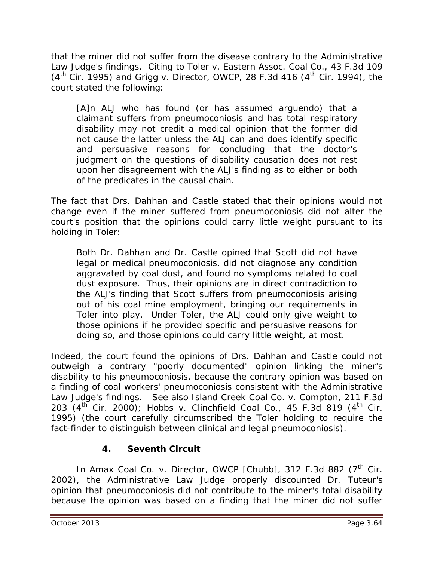that the miner did not suffer from the disease contrary to the Administrative Law Judge's findings. Citing to *Toler v. Eastern Assoc. Coal Co.*, 43 F.3d 109 (4th Cir. 1995) and *Grigg v. Director, OWCP*, 28 F.3d 416 (4th Cir. 1994), the court stated the following:

[A]n ALJ who has found (or has assumed arguendo) that a claimant suffers from pneumoconiosis and has total respiratory disability may not credit a medical opinion that the former did not cause the latter unless the ALJ can and does identify specific and persuasive reasons for concluding that the doctor's judgment on the questions of disability causation does not rest upon her disagreement with the ALJ's finding as to either or both of the predicates in the causal chain.

The fact that Drs. Dahhan and Castle stated that their opinions would not change even if the miner suffered from pneumoconiosis did not alter the court's position that the opinions could carry little weight pursuant to its holding in *Toler*:

Both Dr. Dahhan and Dr. Castle opined that Scott did not have legal or medical pneumoconiosis, did not diagnose any condition aggravated by coal dust, and found no symptoms related to coal dust exposure. Thus, their opinions are in direct contradiction to the ALJ's finding that Scott suffers from pneumoconiosis arising out of his coal mine employment, bringing our requirements in *Toler* into play. Under *Toler*, the ALJ could only give weight to those opinions if he provided specific and persuasive reasons for doing so, and those opinions could carry little weight, at most.

Indeed, the court found the opinions of Drs. Dahhan and Castle could not outweigh a contrary "poorly documented" opinion linking the miner's disability to his pneumoconiosis, because the contrary opinion was based on a finding of coal workers' pneumoconiosis consistent with the Administrative Law Judge's findings. *See also Island Creek Coal Co. v. Compton*, 211 F.3d 203 (4th Cir. 2000); *Hobbs v. Clinchfield Coal Co.*, 45 F.3d 819 (4th Cir. 1995) (the court carefully circumscribed the *Toler* holding to require the fact-finder to distinguish between clinical and legal pneumoconiosis).

# **4. Seventh Circuit**

In *Amax Coal Co. v. Director, OWCP [Chubb]*, 312 F.3d 882 (7<sup>th</sup> Cir. 2002), the Administrative Law Judge properly discounted Dr. Tuteur's opinion that pneumoconiosis did not contribute to the miner's total disability because the opinion was based on a finding that the miner did not suffer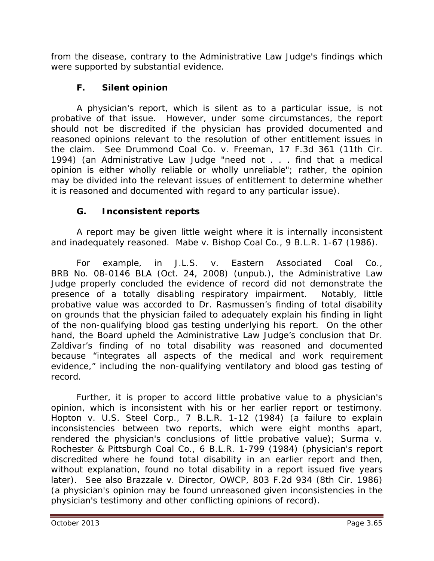from the disease, contrary to the Administrative Law Judge's findings which were supported by substantial evidence.

# **F. Silent opinion**

A physician's report, which is silent as to a particular issue, is not probative of that issue. However, under some circumstances, the report should not be discredited if the physician has provided documented and reasoned opinions relevant to the resolution of other entitlement issues in the claim. *See Drummond Coal Co. v. Freeman*, 17 F.3d 361 (11th Cir. 1994) (an Administrative Law Judge "need not . . . find that a medical opinion is either wholly reliable or wholly unreliable"; rather, the opinion may be divided into the relevant issues of entitlement to determine whether it is reasoned and documented with regard to any particular issue).

# **G. Inconsistent reports**

A report may be given little weight where it is internally inconsistent and inadequately reasoned. *Mabe v. Bishop Coal Co.*, 9 B.L.R. 1-67 (1986).

For example, in *J.L.S. v. Eastern Associated Coal Co.*, BRB No. 08-0146 BLA (Oct. 24, 2008) (unpub.), the Administrative Law Judge properly concluded the evidence of record did not demonstrate the presence of a totally disabling respiratory impairment. Notably, little probative value was accorded to Dr. Rasmussen's finding of total disability on grounds that the physician failed to adequately explain his finding in light of the non-qualifying blood gas testing underlying his report. On the other hand, the Board upheld the Administrative Law Judge's conclusion that Dr. Zaldivar's finding of no total disability was reasoned and documented because "integrates all aspects of the medical and work requirement evidence," including the non-qualifying ventilatory and blood gas testing of record.

Further, it is proper to accord little probative value to a physician's opinion, which is inconsistent with his or her earlier report or testimony. *Hopton v. U.S. Steel Corp.*, 7 B.L.R. 1-12 (1984) (a failure to explain inconsistencies between two reports, which were eight months apart, rendered the physician's conclusions of little probative value); *Surma v. Rochester & Pittsburgh Coal Co.*, 6 B.L.R. 1-799 (1984) (physician's report discredited where he found total disability in an earlier report and then, without explanation, found no total disability in a report issued five years later). *See also Brazzale v. Director, OWCP*, 803 F.2d 934 (8th Cir. 1986) (a physician's opinion may be found unreasoned given inconsistencies in the physician's testimony and other conflicting opinions of record).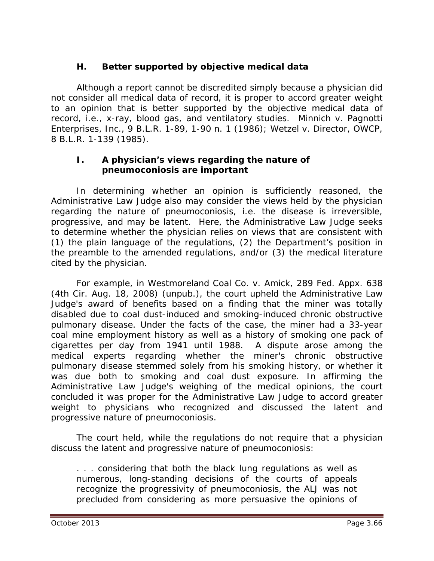## **H. Better supported by objective medical data**

Although a report cannot be discredited simply because a physician did not consider all medical data of record, it is proper to accord greater weight to an opinion that is better supported by the objective medical data of record, *i.e.,* x-ray, blood gas, and ventilatory studies. *Minnich v. Pagnotti Enterprises, Inc*., 9 B.L.R. 1-89, 1-90 n. 1 (1986); *Wetzel v. Director, OWCP*, 8 B.L.R. 1-139 (1985).

### **I. A physician's views regarding the nature of pneumoconiosis are important**

In determining whether an opinion is sufficiently reasoned, the Administrative Law Judge also may consider the views held by the physician regarding the nature of pneumoconiosis, *i.e.* the disease is irreversible, progressive, and may be latent. Here, the Administrative Law Judge seeks to determine whether the physician relies on views that are consistent with (1) the plain language of the regulations, (2) the Department's position in the preamble to the amended regulations, and/or (3) the medical literature cited by the physician.

For example, in *Westmoreland Coal Co. v. Amick*, 289 Fed. Appx. 638 (4th Cir. Aug. 18, 2008) (unpub.), the court upheld the Administrative Law Judge's award of benefits based on a finding that the miner was totally disabled due to coal dust-induced and smoking-induced chronic obstructive pulmonary disease. Under the facts of the case, the miner had a 33-year coal mine employment history as well as a history of smoking one pack of cigarettes per day from 1941 until 1988. A dispute arose among the medical experts regarding whether the miner's chronic obstructive pulmonary disease stemmed solely from his smoking history, or whether it was due both to smoking and coal dust exposure. In affirming the Administrative Law Judge's weighing of the medical opinions, the court concluded it was proper for the Administrative Law Judge to accord greater weight to physicians who recognized and discussed the latent and progressive nature of pneumoconiosis.

 The court held, while the regulations do not require that a physician discuss the latent and progressive nature of pneumoconiosis:

. . . considering that both the black lung regulations as well as numerous, long-standing decisions of the courts of appeals recognize the progressivity of pneumoconiosis, the ALJ was not precluded from considering as more persuasive the opinions of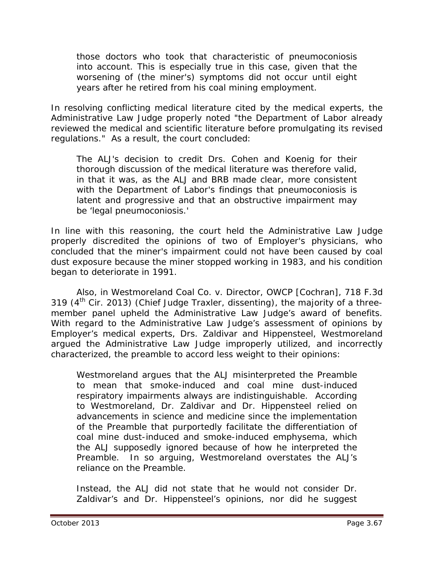those doctors who took that characteristic of pneumoconiosis into account. This is especially true in this case, given that the worsening of (the miner's) symptoms did not occur until eight years after he retired from his coal mining employment.

In resolving conflicting medical literature cited by the medical experts, the Administrative Law Judge properly noted "the Department of Labor already reviewed the medical and scientific literature before promulgating its revised regulations." As a result, the court concluded:

The ALJ's decision to credit Drs. Cohen and Koenig for their thorough discussion of the medical literature was therefore valid, in that it was, as the ALJ and BRB made clear, more consistent with the Department of Labor's findings that pneumoconiosis is latent and progressive and that an obstructive impairment may be 'legal pneumoconiosis.'

In line with this reasoning, the court held the Administrative Law Judge properly discredited the opinions of two of Employer's physicians, who concluded that the miner's impairment could not have been caused by coal dust exposure because the miner stopped working in 1983, and his condition began to deteriorate in 1991.

Also, in *Westmoreland Coal Co. v. Director, OWCP [Cochran]*, 718 F.3d 319  $(4<sup>th</sup>$  Cir. 2013) (Chief Judge Traxler, dissenting), the majority of a threemember panel upheld the Administrative Law Judge's award of benefits. With regard to the Administrative Law Judge's assessment of opinions by Employer's medical experts, Drs. Zaldivar and Hippensteel, Westmoreland argued the Administrative Law Judge improperly utilized, and incorrectly characterized, the preamble to accord less weight to their opinions:

Westmoreland argues that the ALJ misinterpreted the Preamble to mean that smoke-induced and coal mine dust-induced respiratory impairments always are indistinguishable. According to Westmoreland, Dr. Zaldivar and Dr. Hippensteel relied on advancements in science and medicine since the implementation of the Preamble that purportedly facilitate the differentiation of coal mine dust-induced and smoke-induced emphysema, which the ALJ supposedly ignored because of how he interpreted the Preamble. In so arguing, Westmoreland overstates the ALJ's reliance on the Preamble.

Instead, the ALJ did not state that he would not consider Dr. Zaldivar's and Dr. Hippensteel's opinions, nor did he suggest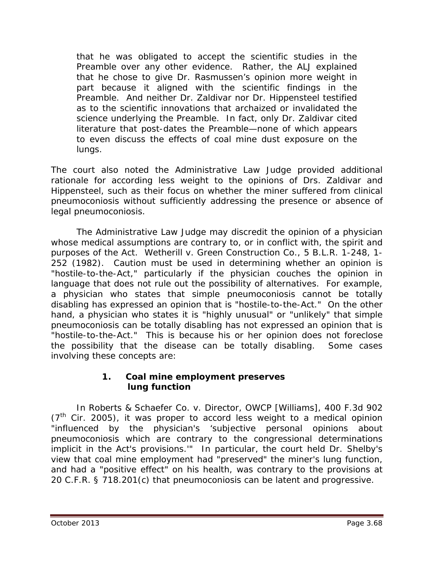that he was obligated to accept the scientific studies in the Preamble over any other evidence. Rather, the ALJ explained that he chose to give Dr. Rasmussen's opinion more weight in part because it aligned with the scientific findings in the Preamble. And neither Dr. Zaldivar nor Dr. Hippensteel testified as to the scientific innovations that archaized or invalidated the science underlying the Preamble. In fact, only Dr. Zaldivar cited literature that post-dates the Preamble—none of which appears to even discuss the effects of coal mine dust exposure on the lungs.

The court also noted the Administrative Law Judge provided additional rationale for according less weight to the opinions of Drs. Zaldivar and Hippensteel, such as their focus on whether the miner suffered from *clinical* pneumoconiosis without sufficiently addressing the presence or absence of *legal* pneumoconiosis.

The Administrative Law Judge may discredit the opinion of a physician whose medical assumptions are contrary to, or in conflict with, the spirit and purposes of the Act. *Wetherill v. Green Construction Co.*, 5 B.L.R. 1-248, 1- 252 (1982). Caution must be used in determining whether an opinion is "hostile-to-the-Act," particularly if the physician couches the opinion in language that does not rule out the possibility of alternatives. For example, a physician who states that simple pneumoconiosis cannot be totally disabling has expressed an opinion that is "hostile-to-the-Act." On the other hand, a physician who states it is "highly unusual" or "unlikely" that simple pneumoconiosis can be totally disabling has not expressed an opinion that is "hostile-to-the-Act." This is because his or her opinion does not foreclose the possibility that the disease can be totally disabling. Some cases involving these concepts are:

### **1. Coal mine employment preserves lung function**

In *Roberts & Schaefer Co. v. Director, OWCP [Williams]*, 400 F.3d 902  $(7<sup>th</sup>$  Cir. 2005), it was proper to accord less weight to a medical opinion "influenced by the physician's 'subjective personal opinions about pneumoconiosis which are contrary to the congressional determinations implicit in the Act's provisions.'" In particular, the court held Dr. Shelby's view that coal mine employment had "preserved" the miner's lung function, and had a "positive effect" on his health, was contrary to the provisions at 20 C.F.R. § 718.201(c) that pneumoconiosis can be latent and progressive.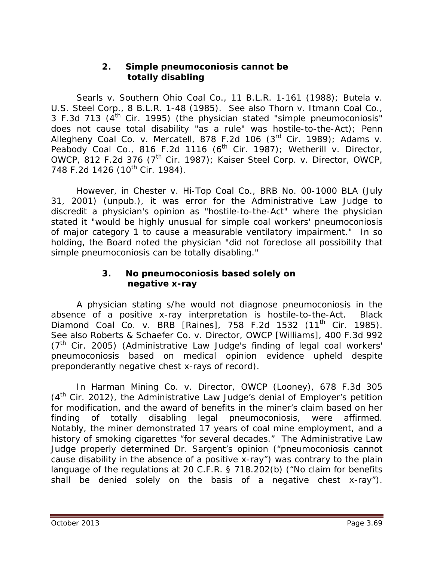### **2. Simple pneumoconiosis cannot be totally disabling**

*Searls v. Southern Ohio Coal Co.*, 11 B.L.R. 1-161 (1988); *Butela v. U.S. Steel Corp.*, 8 B.L.R. 1-48 (1985). *See also Thorn v. Itmann Coal Co.*, 3 F.3d 713  $(4^{th}$  Cir. 1995) (the physician stated "simple pneumoconiosis" does not cause total disability "as a rule" was hostile-to-the-Act); *Penn Allegheny Coal Co. v. Mercatell*, 878 F.2d 106 (3rd Cir. 1989); *Adams v. Peabody Coal Co.*, 816 F.2d 1116 (6<sup>th</sup> Cir. 1987); *Wetherill v. Director*, *OWCP*, 812 F.2d 376 (7th Cir. 1987); *Kaiser Steel Corp. v. Director, OWCP*, 748 F.2d 1426 (10<sup>th</sup> Cir. 1984).

However, in *Chester v. Hi-Top Coal Co.*, BRB No. 00-1000 BLA (July 31, 2001) (unpub.), it was error for the Administrative Law Judge to discredit a physician's opinion as "hostile-to-the-Act" where the physician stated it "would be highly unusual for simple coal workers' pneumoconiosis of major category 1 to cause a measurable ventilatory impairment." In so holding, the Board noted the physician "did not foreclose all possibility that simple pneumoconiosis can be totally disabling."

### **3. No pneumoconiosis based solely on negative x-ray**

A physician stating s/he would not diagnose pneumoconiosis in the absence of a positive x-ray interpretation is hostile-to-the-Act. *Black Diamond Coal Co. v. BRB [Raines]*, 758 F.2d 1532 (11th Cir. 1985). *See also Roberts & Schaefer Co. v. Director, OWCP [Williams]*, 400 F.3d 992  $(7<sup>th</sup>$  Cir. 2005) (Administrative Law Judge's finding of legal coal workers' pneumoconiosis based on medical opinion evidence upheld despite preponderantly negative chest x-rays of record).

In *Harman Mining Co. v. Director, OWCP (Looney)*, 678 F.3d 305  $(4<sup>th</sup>$  Cir. 2012), the Administrative Law Judge's denial of Employer's petition for modification, and the award of benefits in the miner's claim based on her finding of totally disabling legal pneumoconiosis, were affirmed. Notably, the miner demonstrated 17 years of coal mine employment, and a history of smoking cigarettes "for several decades." The Administrative Law Judge properly determined Dr. Sargent's opinion ("pneumoconiosis cannot cause disability in the absence of a positive x-ray") was contrary to the plain language of the regulations at 20 C.F.R. § 718.202(b) ("No claim for benefits shall be denied solely on the basis of a negative chest x-ray").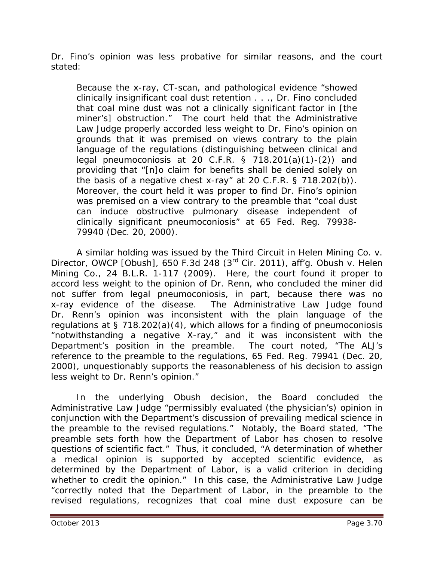Dr. Fino's opinion was less probative for similar reasons, and the court stated:

Because the x-ray, CT-scan, and pathological evidence "showed clinically insignificant coal dust retention . . ., Dr. Fino concluded that coal mine dust was not a clinically significant factor in [the miner's] obstruction." The court held that the Administrative Law Judge properly accorded less weight to Dr. Fino's opinion on grounds that it was premised on views contrary to the plain language of the regulations (distinguishing between clinical and legal pneumoconiosis at 20 C.F.R.  $\S$  718.201(a)(1)-(2)) and providing that "[n]o claim for benefits shall be denied solely on the basis of a negative chest x-ray" at 20 C.F.R. § 718.202(b)). Moreover, the court held it was proper to find Dr. Fino's opinion was premised on a view contrary to the preamble that "coal dust can induce obstructive pulmonary disease independent of clinically significant pneumoconiosis" at 65 Fed. Reg. 79938- 79940 (Dec. 20, 2000).

A similar holding was issued by the Third Circuit in *Helen Mining Co. v. Director, OWCP [Obush]*, 650 F.3d 248 (3rd Cir. 2011), *aff'g. Obush v. Helen Mining Co.*, 24 B.L.R. 1-117 (2009). Here, the court found it proper to accord less weight to the opinion of Dr. Renn, who concluded the miner did not suffer from legal pneumoconiosis, in part, because there was no x-ray evidence of the disease. The Administrative Law Judge found Dr. Renn's opinion was inconsistent with the plain language of the regulations at  $\S$  718.202(a)(4), which allows for a finding of pneumoconiosis "notwithstanding a negative X-ray," and it was inconsistent with the Department's position in the preamble. The court noted, "The ALJ's reference to the preamble to the regulations, 65 Fed. Reg. 79941 (Dec. 20, 2000), unquestionably supports the reasonableness of his decision to assign less weight to Dr. Renn's opinion."

In the underlying *Obush* decision, the Board concluded the Administrative Law Judge "permissibly evaluated (the physician's) opinion in conjunction with the Department's discussion of prevailing medical science in the preamble to the revised regulations." Notably, the Board stated, "The preamble sets forth how the Department of Labor has chosen to resolve questions of scientific fact." Thus, it concluded, "A determination of whether a medical opinion is supported by accepted scientific evidence, as determined by the Department of Labor, is a valid criterion in deciding whether to credit the opinion." In this case, the Administrative Law Judge "correctly noted that the Department of Labor, in the preamble to the revised regulations, recognizes that coal mine dust exposure can be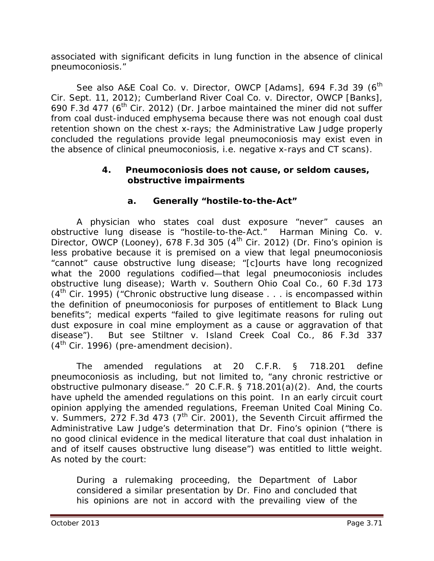associated with significant deficits in lung function in the absence of clinical pneumoconiosis."

See also A&E Coal Co. v. Director, OWCP [Adams], 694 F.3d 39 (6<sup>th</sup> Cir. Sept. 11, 2012); *Cumberland River Coal Co. v. Director, OWCP [Banks]*, 690 F.3d 477 ( $6<sup>th</sup>$  Cir. 2012) (Dr. Jarboe maintained the miner did not suffer from coal dust-induced emphysema because there was not enough coal dust retention shown on the chest x-rays; the Administrative Law Judge properly concluded the regulations provide legal pneumoconiosis may exist even in the absence of clinical pneumoconiosis, *i.e.* negative x-rays and CT scans).

### **4. Pneumoconiosis does not cause, or seldom causes, obstructive impairments**

## **a. Generally "hostile-to-the-Act"**

A physician who states coal dust exposure "never" causes an obstructive lung disease is "hostile-to-the-Act." *Harman Mining Co. v. Director, OWCP (Looney)*, 678 F.3d 305 (4th Cir. 2012) (Dr. Fino's opinion is less probative because it is premised on a view that legal pneumoconiosis "cannot" cause obstructive lung disease; "[c]ourts have long recognized what the 2000 regulations codified—that legal pneumoconiosis includes obstructive lung disease); *Warth v. Southern Ohio Coal Co.*, 60 F.3d 173  $(4<sup>th</sup>$  Cir. 1995) ("Chronic obstructive lung disease . . . is encompassed within the definition of pneumoconiosis for purposes of entitlement to Black Lung benefits"; medical experts "failed to give legitimate reasons for ruling out dust exposure in coal mine employment as a cause or aggravation of that disease"). *But see Stiltner v. Island Creek Coal Co.*, 86 F.3d 337  $(4<sup>th</sup>$  Cir. 1996) (pre-amendment decision).

The amended regulations at 20 C.F.R. § 718.201 define pneumoconiosis as including, but not limited to, "any chronic restrictive or obstructive pulmonary disease." 20 C.F.R. § 718.201(a)(2). And, the courts have upheld the amended regulations on this point. In an early circuit court opinion applying the amended regulations, *Freeman United Coal Mining Co. v. Summers*, 272 F.3d 473 (7th Cir. 2001), the Seventh Circuit affirmed the Administrative Law Judge's determination that Dr. Fino's opinion ("there is no good clinical evidence in the medical literature that coal dust inhalation in and of itself causes obstructive lung disease") was entitled to little weight. As noted by the court:

During a rulemaking proceeding, the Department of Labor considered a similar presentation by Dr. Fino and concluded that his opinions are not in accord with the prevailing view of the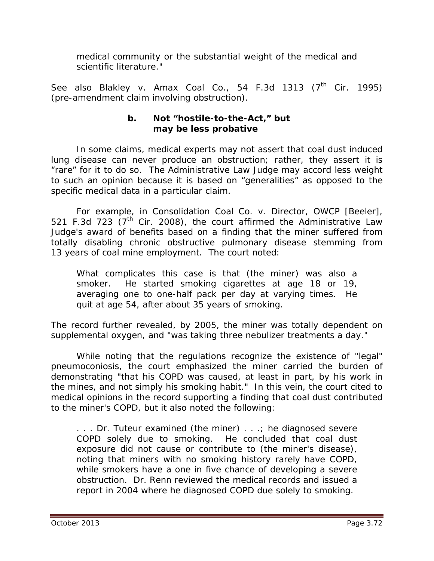medical community or the substantial weight of the medical and scientific literature."

See also Blakley v. Amax Coal Co., 54 F.3d 1313 (7<sup>th</sup> Cir. 1995) (pre-amendment claim involving obstruction).

#### **b. Not "hostile-to-the-Act," but may be less probative**

In some claims, medical experts may not assert that coal dust induced lung disease can *never* produce an obstruction; rather, they assert it is "rare" for it to do so. The Administrative Law Judge may accord less weight to such an opinion because it is based on "generalities" as opposed to the specific medical data in a particular claim.

For example, in *Consolidation Coal Co. v. Director, OWCP [Beeler]*, 521 F.3d 723  $(7<sup>th</sup>$  Cir. 2008), the court affirmed the Administrative Law Judge's award of benefits based on a finding that the miner suffered from totally disabling chronic obstructive pulmonary disease stemming from 13 years of coal mine employment. The court noted:

What complicates this case is that (the miner) was also a smoker. He started smoking cigarettes at age 18 or 19, averaging one to one-half pack per day at varying times. He quit at age 54, after about 35 years of smoking.

The record further revealed, by 2005, the miner was totally dependent on supplemental oxygen, and "was taking three nebulizer treatments a day."

While noting that the regulations recognize the existence of "legal" pneumoconiosis, the court emphasized the miner carried the burden of demonstrating "that his COPD was caused, at least in part, by his work in the mines, and not simply his smoking habit." In this vein, the court cited to medical opinions in the record supporting a finding that coal dust contributed to the miner's COPD, but it also noted the following:

... Dr. Tuteur examined (the miner) ...; he diagnosed severe COPD solely due to smoking. He concluded that coal dust exposure did not cause or contribute to (the miner's disease), noting that miners with no smoking history rarely have COPD, while smokers have a one in five chance of developing a severe obstruction. Dr. Renn reviewed the medical records and issued a report in 2004 where he diagnosed COPD due solely to smoking.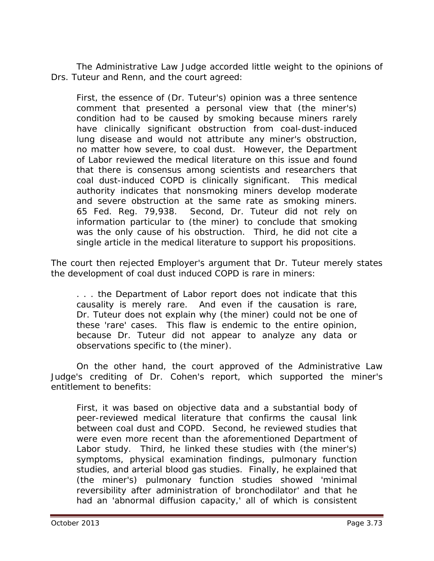The Administrative Law Judge accorded little weight to the opinions of Drs. Tuteur and Renn, and the court agreed:

First, the essence of (Dr. Tuteur's) opinion was a three sentence comment that presented a personal view that (the miner's) condition had to be caused by smoking because miners rarely have clinically significant obstruction from coal-dust-induced lung disease and would not attribute any miner's obstruction, no matter how severe, to coal dust. However, the Department of Labor reviewed the medical literature on this issue and found that there is consensus among scientists and researchers that coal dust-induced COPD is clinically significant. This medical authority indicates that nonsmoking miners develop moderate and severe obstruction at the same rate as smoking miners. 65 Fed. Reg. 79,938. Second, Dr. Tuteur did not rely on information particular to (the miner) to conclude that smoking was the only cause of his obstruction. Third, he did not cite a single article in the medical literature to support his propositions.

The court then rejected Employer's argument that Dr. Tuteur merely states the development of coal dust induced COPD is rare in miners:

. . . the Department of Labor report does not indicate that this causality is merely rare. And even if the causation is rare, Dr. Tuteur does not explain why (the miner) could not be one of these 'rare' cases. This flaw is endemic to the entire opinion, because Dr. Tuteur did not appear to analyze any data or observations specific to (the miner).

On the other hand, the court approved of the Administrative Law Judge's crediting of Dr. Cohen's report, which supported the miner's entitlement to benefits:

First, it was based on objective data and a substantial body of peer-reviewed medical literature that confirms the causal link between coal dust and COPD. Second, he reviewed studies that were even more recent than the aforementioned Department of Labor study. Third, he linked these studies with (the miner's) symptoms, physical examination findings, pulmonary function studies, and arterial blood gas studies. Finally, he explained that (the miner's) pulmonary function studies showed 'minimal reversibility after administration of bronchodilator' and that he had an 'abnormal diffusion capacity,' all of which is consistent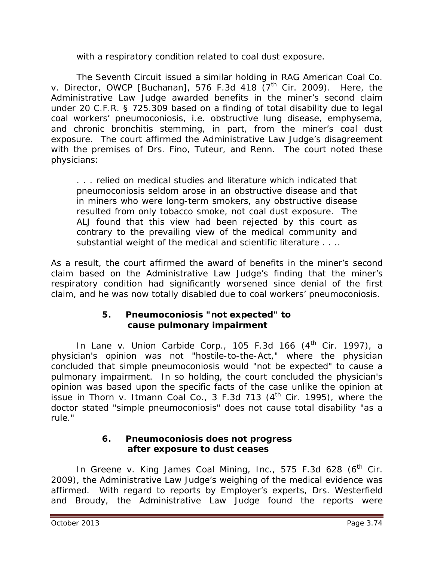with a respiratory condition related to coal dust exposure.

The Seventh Circuit issued a similar holding in *RAG American Coal Co. v. Director, OWCP [Buchanan]*, 576 F.3d 418 (7<sup>th</sup> Cir. 2009). Here, the Administrative Law Judge awarded benefits in the miner's second claim under 20 C.F.R. § 725.309 based on a finding of total disability due to legal coal workers' pneumoconiosis, *i.e.* obstructive lung disease, emphysema, and chronic bronchitis stemming, in part, from the miner's coal dust exposure. The court affirmed the Administrative Law Judge's disagreement with the premises of Drs. Fino, Tuteur, and Renn. The court noted these physicians:

. . . relied on medical studies and literature which indicated that pneumoconiosis seldom arose in an obstructive disease and that in miners who were long-term smokers, any obstructive disease resulted from only tobacco smoke, not coal dust exposure. The ALJ found that this view had been rejected by this court as contrary to the prevailing view of the medical community and substantial weight of the medical and scientific literature . . . .

As a result, the court affirmed the award of benefits in the miner's second claim based on the Administrative Law Judge's finding that the miner's respiratory condition had significantly worsened since denial of the first claim, and he was now totally disabled due to coal workers' pneumoconiosis.

### **5. Pneumoconiosis "not expected" to cause pulmonary impairment**

In *Lane v. Union Carbide Corp.*, 105 F.3d 166 (4<sup>th</sup> Cir. 1997), a physician's opinion was not "hostile-to-the-Act," where the physician concluded that simple pneumoconiosis would "not be expected" to cause a pulmonary impairment. In so holding, the court concluded the physician's opinion was based upon the specific facts of the case unlike the opinion at issue in *Thorn v. Itmann Coal Co.*, 3 F.3d 713 (4th Cir. 1995), where the doctor stated "simple pneumoconiosis" does not cause total disability "as a rule."

#### **6. Pneumoconiosis does not progress after exposure to dust ceases**

In *Greene v. King James Coal Mining, Inc.*, 575 F.3d 628 (6<sup>th</sup> Cir. 2009), the Administrative Law Judge's weighing of the medical evidence was affirmed. With regard to reports by Employer's experts, Drs. Westerfield and Broudy, the Administrative Law Judge found the reports were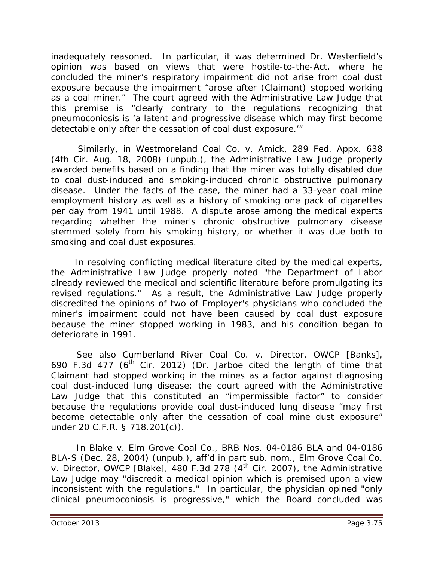inadequately reasoned. In particular, it was determined Dr. Westerfield's opinion was based on views that were hostile-to-the-Act, where he concluded the miner's respiratory impairment did not arise from coal dust exposure because the impairment "arose after (Claimant) stopped working as a coal miner." The court agreed with the Administrative Law Judge that this premise is "clearly contrary to the regulations recognizing that pneumoconiosis is 'a latent and progressive disease which may first become detectable only after the cessation of coal dust exposure.'"

 Similarly, in *Westmoreland Coal Co. v. Amick*, 289 Fed. Appx. 638 (4th Cir. Aug. 18, 2008) (unpub.), the Administrative Law Judge properly awarded benefits based on a finding that the miner was totally disabled due to coal dust-induced and smoking-induced chronic obstructive pulmonary disease. Under the facts of the case, the miner had a 33-year coal mine employment history as well as a history of smoking one pack of cigarettes per day from 1941 until 1988. A dispute arose among the medical experts regarding whether the miner's chronic obstructive pulmonary disease stemmed solely from his smoking history, or whether it was due both to smoking and coal dust exposures.

 In resolving conflicting medical literature cited by the medical experts, the Administrative Law Judge properly noted "the Department of Labor already reviewed the medical and scientific literature before promulgating its revised regulations." As a result, the Administrative Law Judge properly discredited the opinions of two of Employer's physicians who concluded the miner's impairment could not have been caused by coal dust exposure because the miner stopped working in 1983, and his condition began to deteriorate in 1991.

*See also Cumberland River Coal Co. v. Director, OWCP [Banks]*, 690 F.3d 477 ( $6<sup>th</sup>$  Cir. 2012) (Dr. Jarboe cited the length of time that Claimant had stopped working in the mines as a factor against diagnosing coal dust-induced lung disease; the court agreed with the Administrative Law Judge that this constituted an "impermissible factor" to consider because the regulations provide coal dust-induced lung disease "may first become detectable only after the cessation of coal mine dust exposure" under 20 C.F.R. § 718.201(c)).

In *Blake v. Elm Grove Coal Co.,* BRB Nos. 04-0186 BLA and 04-0186 BLA-S (Dec. 28, 2004) (unpub.), *aff'd in part sub. nom.*, *Elm Grove Coal Co. v. Director, OWCP [Blake]*, 480 F.3d 278 (4<sup>th</sup> Cir. 2007), the Administrative Law Judge may "discredit a medical opinion which is premised upon a view inconsistent with the regulations." In particular, the physician opined "only clinical pneumoconiosis is progressive," which the Board concluded was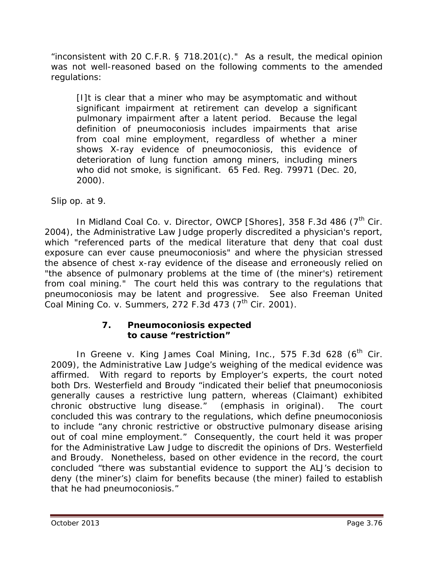"inconsistent with 20 C.F.R. § 718.201 $(c)$ ." As a result, the medical opinion was not well-reasoned based on the following comments to the amended regulations:

[I]t is clear that a miner who may be asymptomatic and without significant impairment at retirement can develop a significant pulmonary impairment after a latent period. Because the legal definition of pneumoconiosis includes impairments that arise from coal mine employment, regardless of whether a miner shows X-ray evidence of pneumoconiosis, this evidence of deterioration of lung function among miners, including miners who did not smoke, is significant. 65 Fed. Reg. 79971 (Dec. 20, 2000).

*Slip op.* at 9.

In *Midland Coal Co. v. Director, OWCP [Shores]*, 358 F.3d 486 (7<sup>th</sup> Cir. 2004), the Administrative Law Judge properly discredited a physician's report, which "referenced parts of the medical literature that deny that coal dust exposure can ever cause pneumoconiosis" and where the physician stressed the absence of chest x-ray evidence of the disease and erroneously relied on "the absence of pulmonary problems at the time of (the miner's) retirement from coal mining." The court held this was contrary to the regulations that pneumoconiosis may be latent and progressive. *See also Freeman United Coal Mining Co. v. Summers*, 272 F.3d 473 (7th Cir. 2001).

#### **7. Pneumoconiosis expected to cause "restriction"**

In *Greene v. King James Coal Mining, Inc.*, 575 F.3d 628 (6<sup>th</sup> Cir. 2009), the Administrative Law Judge's weighing of the medical evidence was affirmed. With regard to reports by Employer's experts, the court noted both Drs. Westerfield and Broudy "indicated their belief that pneumoconiosis generally causes a *restrictive* lung pattern, whereas (Claimant) exhibited chronic *obstructive* lung disease." (emphasis in original). The court concluded this was contrary to the regulations, which define pneumoconiosis to include "any chronic restrictive or obstructive pulmonary disease arising out of coal mine employment." Consequently, the court held it was proper for the Administrative Law Judge to discredit the opinions of Drs. Westerfield and Broudy. Nonetheless, based on other evidence in the record, the court concluded "there was substantial evidence to support the ALJ's decision to deny (the miner's) claim for benefits because (the miner) failed to establish that he had pneumoconiosis."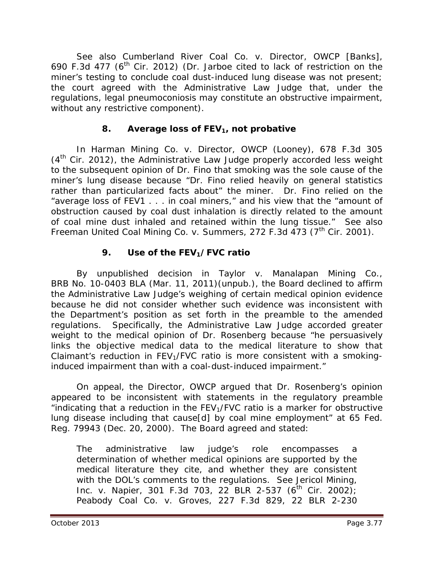*See also Cumberland River Coal Co. v. Director, OWCP [Banks]*, 690 F.3d 477 ( $6<sup>th</sup>$  Cir. 2012) (Dr. Jarboe cited to lack of restriction on the miner's testing to conclude coal dust-induced lung disease was not present; the court agreed with the Administrative Law Judge that, under the regulations, legal pneumoconiosis may constitute an obstructive impairment, without any restrictive component).

## **8.** Average loss of FEV<sub>1</sub>, not probative

In *Harman Mining Co. v. Director, OWCP (Looney)*, 678 F.3d 305  $(4<sup>th</sup>$  Cir. 2012), the Administrative Law Judge properly accorded less weight to the subsequent opinion of Dr. Fino that smoking was the sole cause of the miner's lung disease because "Dr. Fino relied heavily on general statistics rather than particularized facts about" the miner. Dr. Fino relied on the "average loss of FEV1 . . . in coal miners," and his view that the "amount of obstruction caused by coal dust inhalation is directly related to the amount of coal mine dust inhaled and retained within the lung tissue." *See also Freeman United Coal Mining Co. v. Summers*, 272 F.3d 473 (7<sup>th</sup> Cir. 2001).

# **9.** Use of the FEV<sub>1</sub>/FVC ratio

By unpublished decision in *Taylor v. Manalapan Mining Co.*, BRB No. 10-0403 BLA (Mar. 11, 2011)(unpub.), the Board declined to affirm the Administrative Law Judge's weighing of certain medical opinion evidence because he did not consider whether such evidence was inconsistent with the Department's position as set forth in the preamble to the amended regulations. Specifically, the Administrative Law Judge accorded greater weight to the medical opinion of Dr. Rosenberg because "he persuasively links the objective medical data to the medical literature to show that Claimant's reduction in  $FEV<sub>1</sub>/FVC$  ratio is more consistent with a smokinginduced impairment than with a coal-dust-induced impairment."

On appeal, the Director, OWCP argued that Dr. Rosenberg's opinion appeared to be inconsistent with statements in the regulatory preamble "indicating that a reduction in the  $FEV<sub>1</sub>/FVC$  ratio is a marker for obstructive lung disease including that cause[d] by coal mine employment" at 65 Fed. Reg. 79943 (Dec. 20, 2000). The Board agreed and stated:

The administrative law judge's role encompasses a determination of whether medical opinions are supported by the medical literature they cite, and whether they are consistent with the DOL's comments to the regulations. *See Jericol Mining, Inc. v. Napier*, 301 F.3d 703, 22 BLR 2-537 (6<sup>th</sup> Cir. 2002); *Peabody Coal Co. v. Groves*, 227 F.3d 829, 22 BLR 2-230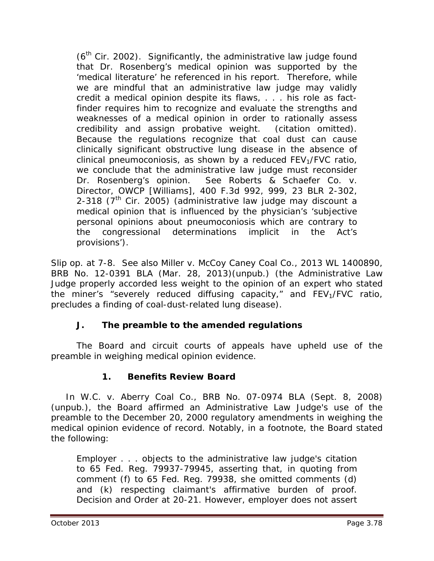$(6<sup>th</sup>$  Cir. 2002). Significantly, the administrative law judge found that Dr. Rosenberg's medical opinion was supported by the 'medical literature' he referenced in his report. Therefore, while we are mindful that an administrative law judge may validly credit a medical opinion despite its flaws, . . . his role as factfinder requires him to recognize and evaluate the strengths and weaknesses of a medical opinion in order to rationally assess credibility and assign probative weight. (citation omitted). Because the regulations recognize that coal dust can cause clinically significant obstructive lung disease in the absence of clinical pneumoconiosis, as shown by a reduced  $FEV<sub>1</sub>/FVC$  ratio, we conclude that the administrative law judge must reconsider Dr. Rosenberg's opinion. *See Roberts & Schaefer Co. v. Director, OWCP [Williams]*, 400 F.3d 992, 999, 23 BLR 2-302, 2-318 ( $7<sup>th</sup>$  Cir. 2005) (administrative law judge may discount a medical opinion that is influenced by the physician's 'subjective personal opinions about pneumoconiosis which are contrary to the congressional determinations implicit in the Act's provisions').

*Slip op.* at 7-8. *See also Miller v. McCoy Caney Coal Co.,* 2013 WL 1400890, BRB No. 12-0391 BLA (Mar. 28, 2013)(unpub.) (the Administrative Law Judge properly accorded less weight to the opinion of an expert who stated the miner's "severely reduced diffusing capacity," and  $FEV<sub>1</sub>/FVC$  ratio, precludes a finding of coal-dust-related lung disease).

# **J. The preamble to the amended regulations**

The Board and circuit courts of appeals have upheld use of the preamble in weighing medical opinion evidence.

### **1. Benefits Review Board**

 In *W.C. v. Aberry Coal Co.*, BRB No. 07-0974 BLA (Sept. 8, 2008) (unpub.), the Board affirmed an Administrative Law Judge's use of the preamble to the December 20, 2000 regulatory amendments in weighing the medical opinion evidence of record. Notably, in a footnote, the Board stated the following:

Employer . . . objects to the administrative law judge's citation to 65 Fed. Reg. 79937-79945, asserting that, in quoting from comment (f) to 65 Fed. Reg. 79938, she omitted comments (d) and (k) respecting claimant's affirmative burden of proof. Decision and Order at 20-21. However, employer does not assert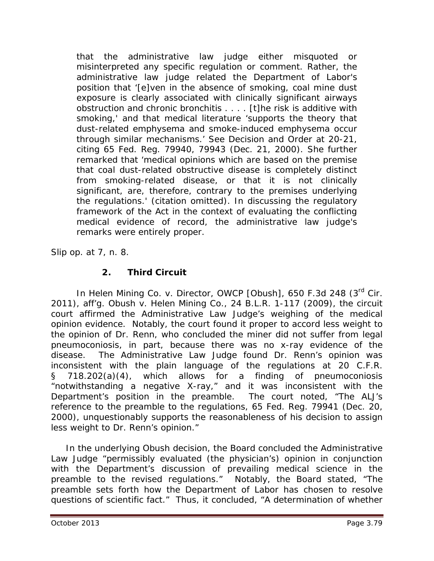that the administrative law judge either misquoted or misinterpreted any specific regulation or comment. Rather, the administrative law judge related the Department of Labor's position that '[e]ven in the absence of smoking, coal mine dust exposure is clearly associated with clinically significant airways obstruction and chronic bronchitis . . . . [t]he risk is additive with smoking,' and that medical literature 'supports the theory that dust-related emphysema and smoke-induced emphysema occur through similar mechanisms.' *See* Decision and Order at 20-21, citing 65 Fed. Reg. 79940, 79943 (Dec. 21, 2000). She further remarked that 'medical opinions which are based on the premise that coal dust-related obstructive disease is completely distinct from smoking-related disease, or that it is not clinically significant, are, therefore, contrary to the premises underlying the regulations.' (citation omitted). In discussing the regulatory framework of the Act in the context of evaluating the conflicting medical evidence of record, the administrative law judge's remarks were entirely proper.

*Slip op.* at 7, n. 8.

### **2. Third Circuit**

In *Helen Mining Co. v. Director, OWCP [Obush]*, 650 F.3d 248 (3rd Cir. 2011), *aff'g. Obush v. Helen Mining Co.*, 24 B.L.R. 1-117 (2009), the circuit court affirmed the Administrative Law Judge's weighing of the medical opinion evidence. Notably, the court found it proper to accord less weight to the opinion of Dr. Renn, who concluded the miner did not suffer from legal pneumoconiosis, in part, because there was no x-ray evidence of the disease. The Administrative Law Judge found Dr. Renn's opinion was inconsistent with the plain language of the regulations at 20 C.F.R. § 718.202(a)(4), which allows for a finding of pneumoconiosis "notwithstanding a negative X-ray," and it was inconsistent with the Department's position in the preamble. The court noted, "The ALJ's reference to the preamble to the regulations, 65 Fed. Reg. 79941 (Dec. 20, 2000), unquestionably supports the reasonableness of his decision to assign less weight to Dr. Renn's opinion."

 In the underlying *Obush* decision, the Board concluded the Administrative Law Judge "permissibly evaluated (the physician's) opinion in conjunction with the Department's discussion of prevailing medical science in the preamble to the revised regulations." Notably, the Board stated, "The preamble sets forth how the Department of Labor has chosen to resolve questions of scientific fact." Thus, it concluded, "A determination of whether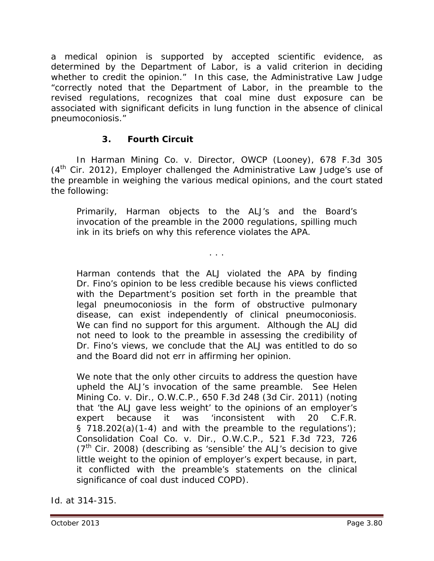a medical opinion is supported by accepted scientific evidence, as determined by the Department of Labor, is a valid criterion in deciding whether to credit the opinion." In this case, the Administrative Law Judge "correctly noted that the Department of Labor, in the preamble to the revised regulations, recognizes that coal mine dust exposure can be associated with significant deficits in lung function in the absence of clinical pneumoconiosis."

### **3. Fourth Circuit**

In *Harman Mining Co. v. Director, OWCP (Looney)*, 678 F.3d 305  $(4<sup>th</sup>$  Cir. 2012), Employer challenged the Administrative Law Judge's use of the preamble in weighing the various medical opinions, and the court stated the following:

Primarily, Harman objects to the ALJ's and the Board's invocation of the preamble in the 2000 regulations, spilling much ink in its briefs on why this reference violates the APA.

. . .

Harman contends that the ALJ violated the APA by finding Dr. Fino's opinion to be less credible because his views conflicted with the Department's position set forth in the preamble that legal pneumoconiosis in the form of obstructive pulmonary disease, can exist independently of clinical pneumoconiosis. We can find no support for this argument. Although the ALJ did not need to look to the preamble in assessing the credibility of Dr. Fino's views, we conclude that the ALJ was entitled to do so and the Board did not err in affirming her opinion.

We note that the only other circuits to address the question have upheld the ALJ's invocation of the same preamble. *See Helen Mining Co. v. Dir., O.W.C.P.,* 650 F.3d 248 (3d Cir. 2011) (noting that 'the ALJ gave less weight' to the opinions of an employer's expert because it was 'inconsistent with 20 C.F.R. § 718.202(a)(1-4) and with the preamble to the regulations'); *Consolidation Coal Co. v. Dir., O.W.C.P.*, 521 F.3d 723, 726  $(7<sup>th</sup>$  Cir. 2008) (describing as 'sensible' the ALJ's decision to give little weight to the opinion of employer's expert because, in part, it conflicted with the preamble's statements on the clinical significance of coal dust induced COPD).

*Id.* at 314-315.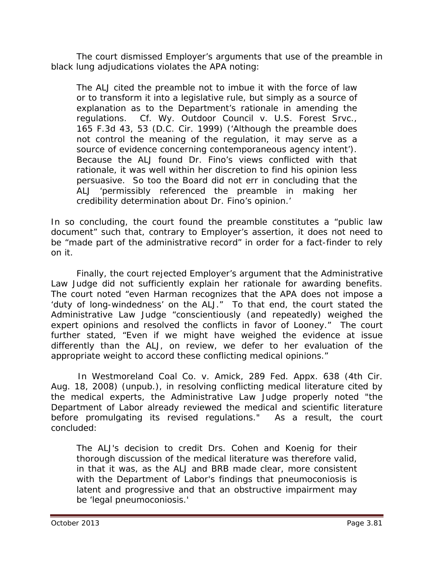The court dismissed Employer's arguments that use of the preamble in black lung adjudications violates the APA noting:

The ALJ cited the preamble not to imbue it with the force of law or to transform it into a legislative rule, but simply as a source of explanation as to the Department's rationale in amending the regulations. *Cf. Wy. Outdoor Council v. U.S. Forest Srvc.*, 165 F.3d 43, 53 (D.C. Cir. 1999) ('Although the preamble does not control the meaning of the regulation, it may serve as a source of evidence concerning contemporaneous agency intent'). Because the ALJ found Dr. Fino's views conflicted with that rationale, it was well within her discretion to find his opinion less persuasive. So too the Board did not err in concluding that the ALJ 'permissibly referenced the preamble in making her credibility determination about Dr. Fino's opinion.'

In so concluding, the court found the preamble constitutes a "public law document" such that, contrary to Employer's assertion, it does not need to be "made part of the administrative record" in order for a fact-finder to rely on it.

Finally, the court rejected Employer's argument that the Administrative Law Judge did not sufficiently explain her rationale for awarding benefits. The court noted "even Harman recognizes that the APA does not impose a 'duty of long-windedness' on the ALJ." To that end, the court stated the Administrative Law Judge "conscientiously (and repeatedly) weighed the expert opinions and resolved the conflicts in favor of Looney." The court further stated, "Even if we might have weighed the evidence at issue differently than the ALJ, on review, we defer to her evaluation of the appropriate weight to accord these conflicting medical opinions."

 In *Westmoreland Coal Co. v. Amick*, 289 Fed. Appx. 638 (4th Cir. Aug. 18, 2008) (unpub.), in resolving conflicting medical literature cited by the medical experts, the Administrative Law Judge properly noted "the Department of Labor already reviewed the medical and scientific literature before promulgating its revised regulations." As a result, the court concluded:

The ALJ's decision to credit Drs. Cohen and Koenig for their thorough discussion of the medical literature was therefore valid, in that it was, as the ALJ and BRB made clear, more consistent with the Department of Labor's findings that pneumoconiosis is latent and progressive and that an obstructive impairment may be 'legal pneumoconiosis.'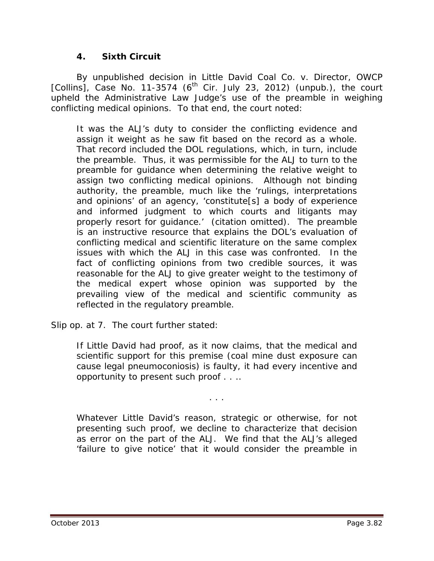### **4. Sixth Circuit**

By unpublished decision in *Little David Coal Co. v. Director, OWCP*   $[Collins]$ , Case No. 11-3574  $(6<sup>th</sup>$  Cir. July 23, 2012) (unpub.), the court upheld the Administrative Law Judge's use of the preamble in weighing conflicting medical opinions. To that end, the court noted:

It was the ALJ's duty to consider the conflicting evidence and assign it weight as he saw fit based on the record as a whole. That record included the DOL regulations, which, in turn, include the preamble. Thus, it was permissible for the ALJ to turn to the preamble for guidance when determining the relative weight to assign two conflicting medical opinions. Although not binding authority, the preamble, much like the 'rulings, interpretations and opinions' of an agency, 'constitute[s] a body of experience and informed judgment to which courts and litigants may properly resort for guidance.' (citation omitted). The preamble is an instructive resource that explains the DOL's evaluation of conflicting medical and scientific literature on the same complex issues with which the ALJ in this case was confronted. In the fact of conflicting opinions from two credible sources, it was reasonable for the ALJ to give greater weight to the testimony of the medical expert whose opinion was supported by the prevailing view of the medical and scientific community as reflected in the regulatory preamble.

*Slip op.* at 7. The court further stated:

If Little David had proof, as it now claims, that the medical and scientific support for this premise (coal mine dust exposure can cause legal pneumoconiosis) is faulty, it had every incentive and opportunity to present such proof . . ..

. . .

Whatever Little David's reason, strategic or otherwise, for not presenting such proof, we decline to characterize that decision as error on the part of the ALJ. We find that the ALJ's alleged 'failure to give notice' that it would consider the preamble in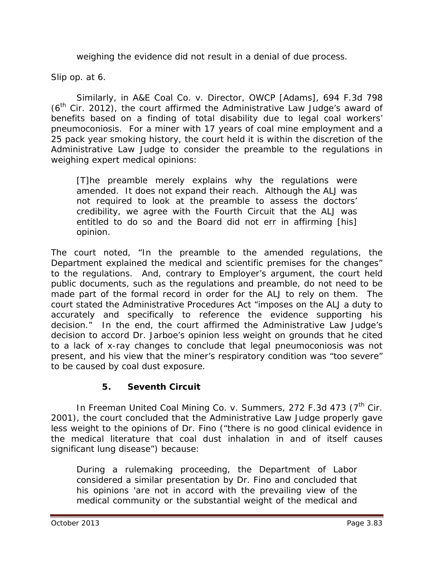weighing the evidence did not result in a denial of due process.

*Slip op.* at 6.

Similarly, in *A&E Coal Co. v. Director, OWCP [Adams]*, 694 F.3d 798  $(6<sup>th</sup>$  Cir. 2012), the court affirmed the Administrative Law Judge's award of benefits based on a finding of total disability due to legal coal workers' pneumoconiosis. For a miner with 17 years of coal mine employment and a 25 pack year smoking history, the court held it is within the discretion of the Administrative Law Judge to consider the preamble to the regulations in weighing expert medical opinions:

[T]he preamble merely explains why the regulations were amended. It does not expand their reach. Although the ALJ was not required to look at the preamble to assess the doctors' credibility, we agree with the Fourth Circuit that the ALJ was entitled to do so and the Board did not err in affirming [his] opinion.

The court noted, "In the preamble to the amended regulations, the Department explained the medical and scientific premises for the changes" to the regulations. And, contrary to Employer's argument, the court held public documents, such as the regulations and preamble, do not need to be made part of the formal record in order for the ALJ to rely on them. The court stated the Administrative Procedures Act "imposes on the ALJ a duty to accurately and specifically to reference the evidence supporting his decision." In the end, the court affirmed the Administrative Law Judge's decision to accord Dr. Jarboe's opinion less weight on grounds that he cited to a lack of x-ray changes to conclude that legal pneumoconiosis was not present, and his view that the miner's respiratory condition was "too severe" to be caused by coal dust exposure.

# **5. Seventh Circuit**

In *Freeman United Coal Mining Co. v. Summers*, 272 F.3d 473 (7<sup>th</sup> Cir. 2001), the court concluded that the Administrative Law Judge properly gave less weight to the opinions of Dr. Fino ("there is no good clinical evidence in the medical literature that coal dust inhalation in and of itself causes significant lung disease") because:

During a rulemaking proceeding, the Department of Labor considered a similar presentation by Dr. Fino and concluded that his opinions 'are not in accord with the prevailing view of the medical community or the substantial weight of the medical and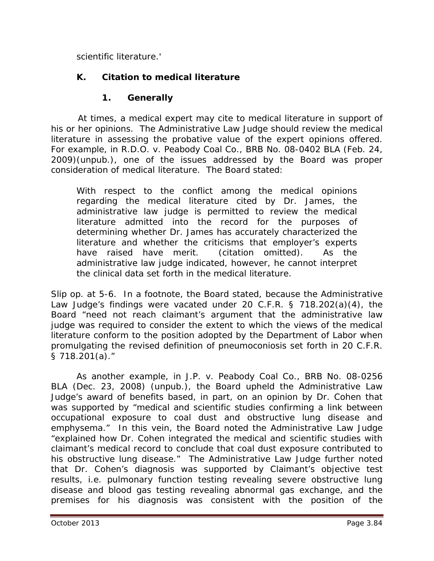scientific literature.'

## **K. Citation to medical literature**

## **1. Generally**

 At times, a medical expert may cite to medical literature in support of his or her opinions. The Administrative Law Judge should review the medical literature in assessing the probative value of the expert opinions offered. For example, in *R.D.O. v. Peabody Coal Co.*, BRB No. 08-0402 BLA (Feb. 24, 2009)(unpub.), one of the issues addressed by the Board was proper consideration of medical literature. The Board stated:

With respect to the conflict among the medical opinions regarding the medical literature cited by Dr. James, the administrative law judge is permitted to review the medical literature admitted into the record for the purposes of determining whether Dr. James has accurately characterized the literature and whether the criticisms that employer's experts have raised have merit. (citation omitted). As the administrative law judge indicated, however, he cannot interpret the clinical data set forth in the medical literature.

*Slip op.* at 5-6. In a footnote, the Board stated, because the Administrative Law Judge's findings were vacated under 20 C.F.R. § 718.202(a)(4), the Board "need not reach claimant's argument that the administrative law judge was required to consider the extent to which the views of the medical literature conform to the position adopted by the Department of Labor when promulgating the revised definition of pneumoconiosis set forth in 20 C.F.R. § 718.201(a)."

As another example, in *J.P. v. Peabody Coal Co.*, BRB No. 08-0256 BLA (Dec. 23, 2008) (unpub.), the Board upheld the Administrative Law Judge's award of benefits based, in part, on an opinion by Dr. Cohen that was supported by "medical and scientific studies confirming a link between occupational exposure to coal dust and obstructive lung disease and emphysema." In this vein, the Board noted the Administrative Law Judge "explained how Dr. Cohen integrated the medical and scientific studies with claimant's medical record to conclude that coal dust exposure contributed to his obstructive lung disease." The Administrative Law Judge further noted that Dr. Cohen's diagnosis was supported by Claimant's objective test results, *i.e.* pulmonary function testing revealing severe obstructive lung disease and blood gas testing revealing abnormal gas exchange, and the premises for his diagnosis was consistent with the position of the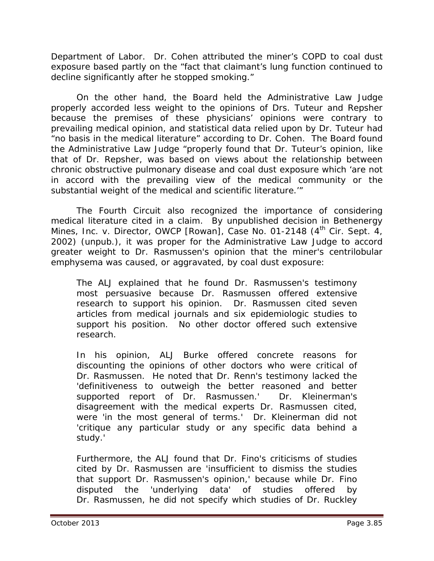Department of Labor. Dr. Cohen attributed the miner's COPD to coal dust exposure based partly on the "fact that claimant's lung function continued to decline significantly after he stopped smoking."

On the other hand, the Board held the Administrative Law Judge properly accorded less weight to the opinions of Drs. Tuteur and Repsher because the premises of these physicians' opinions were contrary to prevailing medical opinion, and statistical data relied upon by Dr. Tuteur had "no basis in the medical literature" according to Dr. Cohen. The Board found the Administrative Law Judge "properly found that Dr. Tuteur's opinion, like that of Dr. Repsher, was based on views about the relationship between chronic obstructive pulmonary disease and coal dust exposure which 'are not in accord with the prevailing view of the medical community or the substantial weight of the medical and scientific literature.'"

The Fourth Circuit also recognized the importance of considering medical literature cited in a claim. By unpublished decision in *Bethenergy Mines, Inc. v. Director, OWCP [Rowan]*, Case No. 01-2148 (4<sup>th</sup> Cir. Sept. 4, 2002) (unpub.), it was proper for the Administrative Law Judge to accord greater weight to Dr. Rasmussen's opinion that the miner's centrilobular emphysema was caused, or aggravated, by coal dust exposure:

The ALJ explained that he found Dr. Rasmussen's testimony most persuasive because Dr. Rasmussen offered extensive research to support his opinion. Dr. Rasmussen cited seven articles from medical journals and six epidemiologic studies to support his position. No other doctor offered such extensive research.

In his opinion, ALJ Burke offered concrete reasons for discounting the opinions of other doctors who were critical of Dr. Rasmussen. He noted that Dr. Renn's testimony lacked the 'definitiveness to outweigh the better reasoned and better supported report of Dr. Rasmussen.' Dr. Kleinerman's disagreement with the medical experts Dr. Rasmussen cited, were 'in the most general of terms.' Dr. Kleinerman did not 'critique any particular study or any specific data behind a study.'

Furthermore, the ALJ found that Dr. Fino's criticisms of studies cited by Dr. Rasmussen are 'insufficient to dismiss the studies that support Dr. Rasmussen's opinion,' because while Dr. Fino disputed the 'underlying data' of studies offered by Dr. Rasmussen, he did not specify which studies of Dr. Ruckley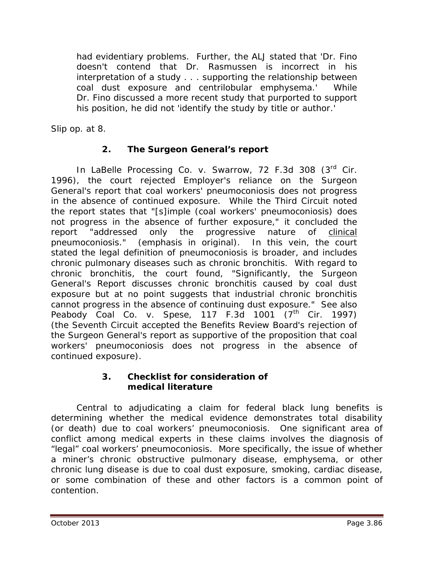had evidentiary problems. Further, the ALJ stated that 'Dr. Fino doesn't contend that Dr. Rasmussen is incorrect in his interpretation of a study . . . supporting the relationship between coal dust exposure and centrilobular emphysema.' While Dr. Fino discussed a more recent study that purported to support his position, he did not 'identify the study by title or author.'

*Slip op.* at 8.

# **2. The Surgeon General's report**

In *LaBelle Processing Co. v. Swarrow*, 72 F.3d 308 (3rd Cir. 1996), the court rejected Employer's reliance on the Surgeon General's report that coal workers' pneumoconiosis does not progress in the absence of continued exposure. While the Third Circuit noted the report states that "[s]imple (coal workers' pneumoconiosis) does not progress in the absence of further exposure," it concluded the report "addressed only the progressive nature of clinical pneumoconiosis." (emphasis in original). In this vein, the court stated the legal definition of pneumoconiosis is broader, and includes chronic pulmonary diseases such as chronic bronchitis. With regard to chronic bronchitis, the court found, "Significantly, the Surgeon General's Report discusses chronic bronchitis caused by coal dust exposure but at no point suggests that industrial chronic bronchitis cannot progress in the absence of continuing dust exposure." *See also Peabody Coal Co. v. Spese*, 117 F.3d 1001 (7<sup>th</sup> Cir. 1997) (the Seventh Circuit accepted the Benefits Review Board's rejection of the Surgeon General's report as supportive of the proposition that coal workers' pneumoconiosis does not progress in the absence of continued exposure).

### **3. Checklist for consideration of medical literature**

Central to adjudicating a claim for federal black lung benefits is determining whether the medical evidence demonstrates total disability (or death) due to coal workers' pneumoconiosis. One significant area of conflict among medical experts in these claims involves the diagnosis of "legal" coal workers' pneumoconiosis. More specifically, the issue of whether a miner's chronic obstructive pulmonary disease, emphysema, or other chronic lung disease is due to coal dust exposure, smoking, cardiac disease, or some combination of these and other factors is a common point of contention.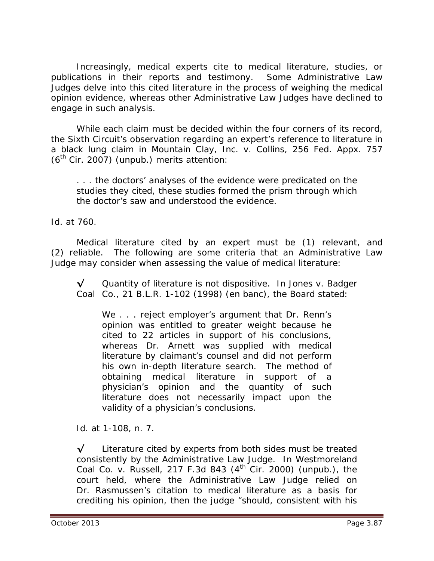Increasingly, medical experts cite to medical literature, studies, or publications in their reports and testimony. Some Administrative Law Judges delve into this cited literature in the process of weighing the medical opinion evidence, whereas other Administrative Law Judges have declined to engage in such analysis.

While each claim must be decided within the four corners of its record, the Sixth Circuit's observation regarding an expert's reference to literature in a black lung claim in *Mountain Clay, Inc. v. Collins*, 256 Fed. Appx. 757  $(6<sup>th</sup>$  Cir. 2007) (unpub.) merits attention:

. . . the doctors' analyses of the evidence were predicated on the studies they cited, these studies formed the prism through which the doctor's saw and understood the evidence.

*Id.* at 760*.*

Medical literature cited by an expert must be (1) relevant, and (2) reliable. The following are some criteria that an Administrative Law Judge may consider when assessing the value of medical literature:

**√** Quantity of literature is not dispositive. In *Jones v. Badger Coal Co.*, 21 B.L.R. 1-102 (1998) (en banc), the Board stated:

We . . . reject employer's argument that Dr. Renn's opinion was entitled to greater weight because he cited to 22 articles in support of his conclusions, whereas Dr. Arnett was supplied with medical literature by claimant's counsel and did not perform his own in-depth literature search. The method of obtaining medical literature in support of a physician's opinion and the quantity of such literature does not necessarily impact upon the validity of a physician's conclusions.

*Id.* at 1-108, n. 7.

**√** Literature cited by experts from both sides must be treated consistently by the Administrative Law Judge. In *Westmoreland Coal Co. v. Russell*, 217 F.3d 843 (4th Cir. 2000) (unpub.), the court held, where the Administrative Law Judge relied on Dr. Rasmussen's citation to medical literature as a basis for crediting his opinion, then the judge "should, consistent with his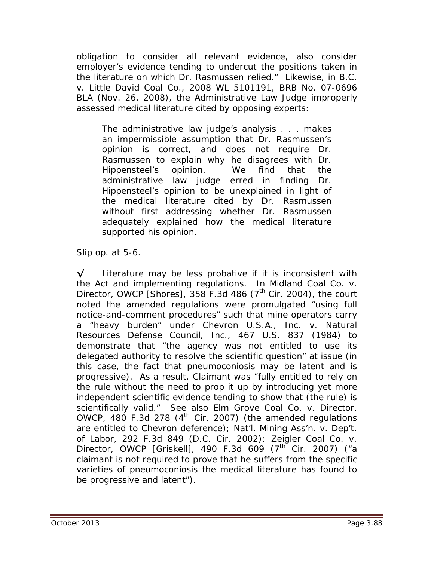obligation to consider all relevant evidence, also consider employer's evidence tending to undercut the positions taken in the literature on which Dr. Rasmussen relied." Likewise, in *B.C. v. Little David Coal Co.*, 2008 WL 5101191, BRB No. 07-0696 BLA (Nov. 26, 2008), the Administrative Law Judge improperly assessed medical literature cited by opposing experts:

The administrative law judge's analysis . . . makes an impermissible assumption that Dr. Rasmussen's opinion is correct, and does not require Dr. Rasmussen to explain why he disagrees with Dr. Hippensteel's opinion. We find that the administrative law judge erred in finding Dr. Hippensteel's opinion to be unexplained in light of the medical literature cited by Dr. Rasmussen without first addressing whether Dr. Rasmussen adequately explained how the medical literature supported his opinion.

*Slip op.* at 5-6.

**√** Literature may be less probative if it is inconsistent with the Act and implementing regulations. In *Midland Coal Co. v. Director, OWCP [Shores]*, 358 F.3d 486 (7<sup>th</sup> Cir. 2004), the court noted the amended regulations were promulgated "using full notice-and-comment procedures" such that mine operators carry a "heavy burden" under *Chevron U.S.A., Inc. v. Natural Resources Defense Council, Inc.*, 467 U.S. 837 (1984) to demonstrate that "the agency was not entitled to use its delegated authority to resolve the scientific question" at issue (in this case, the fact that pneumoconiosis may be latent and is progressive). As a result, Claimant was "fully entitled to rely on the rule without the need to prop it up by introducing yet more independent scientific evidence tending to show that (the rule) is scientifically valid." *See also Elm Grove Coal Co. v. Director, OWCP*, 480 F.3d 278 (4<sup>th</sup> Cir. 2007) (the amended regulations are entitled to *Chevron* deference); *Nat'l. Mining Ass'n. v. Dep't. of Labor*, 292 F.3d 849 (D.C. Cir. 2002); *Zeigler Coal Co. v. Director, OWCP [Griskell], 490 F.3d 609 (7<sup>th</sup> Cir. 2007) ("a* claimant is not required to prove that he suffers from the specific varieties of pneumoconiosis the medical literature has found to be progressive and latent").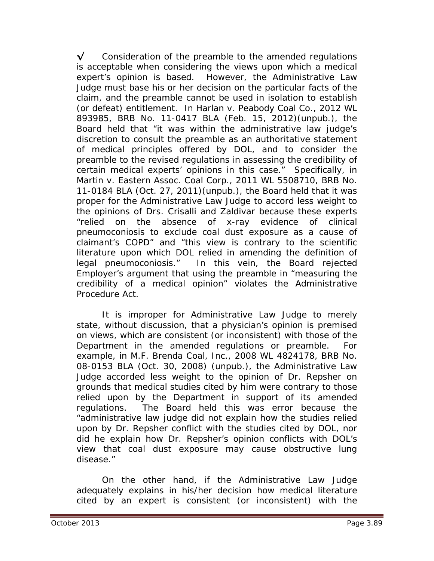**√** Consideration of the preamble to the amended regulations is acceptable when considering the views upon which a medical expert's opinion is based. However, the Administrative Law Judge must base his or her decision on the particular facts of the claim, and the preamble cannot be used in isolation to establish (or defeat) entitlement. In *Harlan v. Peabody Coal Co.*, 2012 WL 893985, BRB No. 11-0417 BLA (Feb. 15, 2012)(unpub.), the Board held that "it was within the administrative law judge's discretion to consult the preamble as an authoritative statement of medical principles offered by DOL, and to consider the preamble to the revised regulations in assessing the credibility of certain medical experts' opinions in this case." Specifically, in *Martin v. Eastern Assoc. Coal Corp.*, 2011 WL 5508710, BRB No. 11-0184 BLA (Oct. 27, 2011)(unpub.), the Board held that it was proper for the Administrative Law Judge to accord less weight to the opinions of Drs. Crisalli and Zaldivar because these experts "relied on the absence of x-ray evidence of clinical pneumoconiosis to exclude coal dust exposure as a cause of claimant's COPD" and "this view is contrary to the scientific literature upon which DOL relied in amending the definition of legal pneumoconiosis." In this vein, the Board rejected Employer's argument that using the preamble in "measuring the credibility of a medical opinion" violates the Administrative Procedure Act.

It is improper for Administrative Law Judge to merely state, without discussion, that a physician's opinion is premised on views, which are consistent (or inconsistent) with those of the Department in the amended regulations or preamble. For example, in *M.F. Brenda Coal, Inc.*, 2008 WL 4824178, BRB No. 08-0153 BLA (Oct. 30, 2008) (unpub.), the Administrative Law Judge accorded less weight to the opinion of Dr. Repsher on grounds that medical studies cited by him were contrary to those relied upon by the Department in support of its amended regulations. The Board held this was error because the "administrative law judge did not explain how the studies relied upon by Dr. Repsher conflict with the studies cited by DOL, nor did he explain how Dr. Repsher's opinion conflicts with DOL's view that coal dust exposure may cause obstructive lung disease."

On the other hand, if the Administrative Law Judge adequately explains in his/her decision how medical literature cited by an expert is consistent (or inconsistent) with the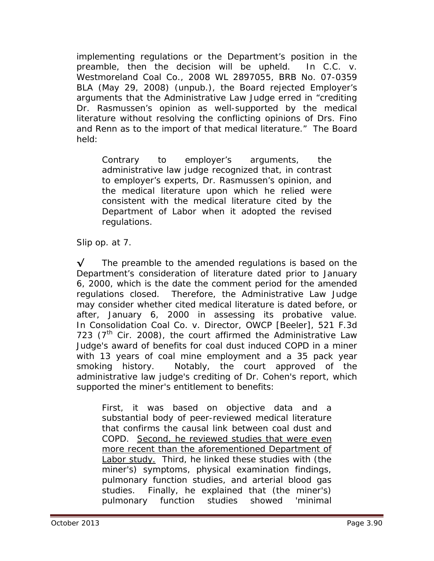implementing regulations or the Department's position in the preamble, then the decision will be upheld. In *C.C. v. Westmoreland Coal Co.*, 2008 WL 2897055, BRB No. 07-0359 BLA (May 29, 2008) (unpub.), the Board rejected Employer's arguments that the Administrative Law Judge erred in "crediting Dr. Rasmussen's opinion as well-supported by the medical literature without resolving the conflicting opinions of Drs. Fino and Renn as to the import of that medical literature." The Board held:

Contrary to employer's arguments, the administrative law judge recognized that, in contrast to employer's experts, Dr. Rasmussen's opinion, and the medical literature upon which he relied were consistent with the medical literature cited by the Department of Labor when it adopted the revised regulations.

*Slip op.* at 7.

**√** The preamble to the amended regulations is based on the Department's consideration of literature dated prior to January 6, 2000, which is the date the comment period for the amended regulations closed. Therefore, the Administrative Law Judge may consider whether cited medical literature is dated before, or after, January 6, 2000 in assessing its probative value. In *Consolidation Coal Co. v. Director, OWCP [Beeler]*, 521 F.3d 723  $(7<sup>th</sup>$  Cir. 2008), the court affirmed the Administrative Law Judge's award of benefits for coal dust induced COPD in a miner with 13 years of coal mine employment and a 35 pack year smoking history. Notably, the court approved of the administrative law judge's crediting of Dr. Cohen's report, which supported the miner's entitlement to benefits:

First, it was based on objective data and a substantial body of peer-reviewed medical literature that confirms the causal link between coal dust and COPD. Second, he reviewed studies that were even more recent than the aforementioned Department of Labor study. Third, he linked these studies with (the miner's) symptoms, physical examination findings, pulmonary function studies, and arterial blood gas studies. Finally, he explained that (the miner's) pulmonary function studies showed 'minimal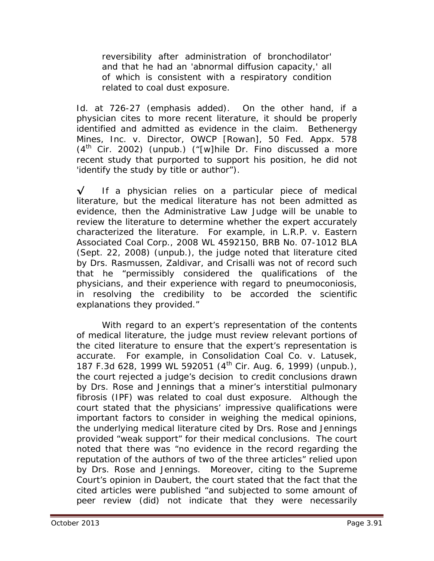reversibility after administration of bronchodilator' and that he had an 'abnormal diffusion capacity,' all of which is consistent with a respiratory condition related to coal dust exposure.

*Id.* at 726-27 (emphasis added). On the other hand, if a physician cites to more recent literature, it should be properly identified and admitted as evidence in the claim. *Bethenergy Mines, Inc. v. Director, OWCP [Rowan]*, 50 Fed. Appx. 578  $(4<sup>th</sup>$  Cir. 2002) (unpub.) ("[w]hile Dr. Fino discussed a more recent study that purported to support his position, he did not 'identify the study by title or author").

**√** If a physician relies on a particular piece of medical literature, but the medical literature has not been admitted as evidence, then the Administrative Law Judge will be unable to review the literature to determine whether the expert accurately characterized the literature. For example, in *L.R.P. v. Eastern Associated Coal Corp.*, 2008 WL 4592150, BRB No. 07-1012 BLA (Sept. 22, 2008) (unpub.), the judge noted that literature cited by Drs. Rasmussen, Zaldivar, and Crisalli was not of record such that he "permissibly considered the qualifications of the physicians, and their experience with regard to pneumoconiosis, in resolving the credibility to be accorded the scientific explanations they provided."

With regard to an expert's representation of the contents of medical literature, the judge must review relevant portions of the cited literature to ensure that the expert's representation is accurate. For example, in *Consolidation Coal Co. v. Latusek*, 187 F.3d 628, 1999 WL 592051 (4<sup>th</sup> Cir. Aug. 6, 1999) (unpub.), the court rejected a judge's decision to credit conclusions drawn by Drs. Rose and Jennings that a miner's interstitial pulmonary fibrosis (IPF) was related to coal dust exposure. Although the court stated that the physicians' impressive qualifications were important factors to consider in weighing the medical opinions, the underlying medical literature cited by Drs. Rose and Jennings provided "weak support" for their medical conclusions. The court noted that there was "no evidence in the record regarding the reputation of the authors of two of the three articles" relied upon by Drs. Rose and Jennings. Moreover, citing to the Supreme Court's opinion in *Daubert*, the court stated that the fact that the cited articles were published "and subjected to some amount of peer review (did) not indicate that they were necessarily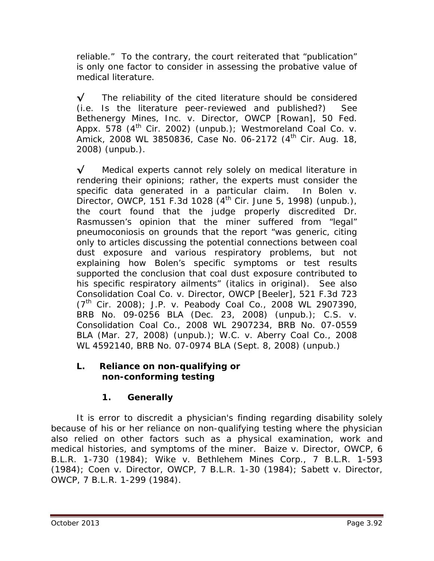reliable." To the contrary, the court reiterated that "publication" is only one factor to consider in assessing the probative value of medical literature.

**√** The reliability of the cited literature should be considered (*i.e.* Is the literature peer-reviewed and published?) *See Bethenergy Mines, Inc. v. Director, OWCP [Rowan]*, 50 Fed. Appx. 578 (4<sup>th</sup> Cir. 2002) (unpub.); *Westmoreland Coal Co. v. Amick*, 2008 WL 3850836, Case No. 06-2172 (4th Cir. Aug. 18, 2008) (unpub.).

**√** Medical experts cannot rely solely on medical literature in rendering their opinions; rather, the experts must consider the specific data generated in a particular claim. In *Bolen v. Director, OWCP*, 151 F.3d 1028 (4<sup>th</sup> Cir. June 5, 1998) (unpub.), the court found that the judge properly discredited Dr. Rasmussen's opinion that the miner suffered from "legal" pneumoconiosis on grounds that the report "was generic, citing only to articles discussing the potential connections between coal dust exposure and various respiratory problems, but not explaining how *Bolen's* specific symptoms or test results supported the conclusion that coal dust exposure contributed to his specific respiratory ailments" (italics in original). *See also Consolidation Coal Co. v. Director, OWCP [Beeler]*, 521 F.3d 723 (7th Cir. 2008); *J.P. v. Peabody Coal Co.*, 2008 WL 2907390, BRB No. 09-0256 BLA (Dec. 23, 2008) (unpub.); *C.S. v. Consolidation Coal Co.*, 2008 WL 2907234, BRB No. 07-0559 BLA (Mar. 27, 2008) (unpub.); *W.C. v. Aberry Coal Co.*, 2008 WL 4592140, BRB No. 07-0974 BLA (Sept. 8, 2008) (unpub.)

### **L. Reliance on non-qualifying or non-conforming testing**

# **1. Generally**

It is error to discredit a physician's finding regarding disability solely because of his or her reliance on non-qualifying testing *where the physician also relied on other factors such as* a physical examination, work and medical histories, and symptoms of the miner. *Baize v. Director, OWCP*, 6 B.L.R. 1-730 (1984); *Wike v. Bethlehem Mines Corp.*, 7 B.L.R. 1-593 (1984); *Coen v. Director, OWCP*, 7 B.L.R. 1-30 (1984); *Sabett v. Director, OWCP*, 7 B.L.R. 1-299 (1984).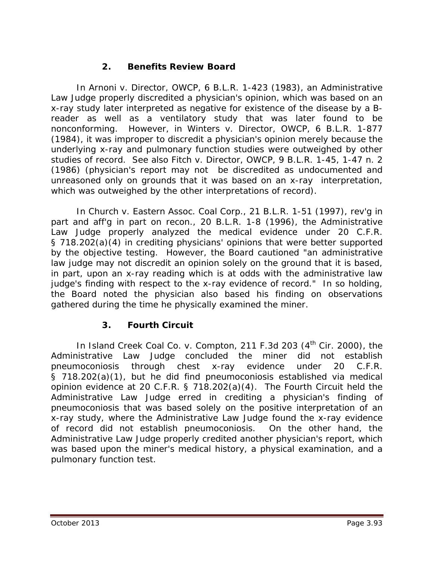## **2. Benefits Review Board**

In *Arnoni v. Director, OWCP*, 6 B.L.R. 1-423 (1983), an Administrative Law Judge properly discredited a physician's opinion, which was based on an x-ray study later interpreted as negative for existence of the disease by a Breader as well as a ventilatory study that was later found to be nonconforming. However, in *Winters v. Director, OWCP*, 6 B.L.R. 1-877 (1984), it was improper to discredit a physician's opinion merely because the underlying x-ray and pulmonary function studies were outweighed by other studies of record. *See also Fitch v. Director, OWCP*, 9 B.L.R. 1-45, 1-47 n. 2 (1986) (physician's report may not be discredited as undocumented and unreasoned only on grounds that it was based on an x-ray interpretation, which was outweighed by the other interpretations of record).

In *Church v. Eastern Assoc. Coal Corp.*, 21 B.L.R. 1-51 (1997), *rev'g in part and aff'g in part on recon.*, 20 B.L.R. 1-8 (1996), the Administrative Law Judge properly analyzed the medical evidence under 20 C.F.R. § 718.202(a)(4) in crediting physicians' opinions that were better supported by the objective testing. However, the Board cautioned "an administrative law judge may not discredit an opinion solely on the ground that it is based, in part, upon an x-ray reading which is at odds with the administrative law judge's finding with respect to the x-ray evidence of record." In so holding, the Board noted the physician also based his finding on observations gathered during the time he physically examined the miner.

# **3. Fourth Circuit**

In *Island Creek Coal Co. v. Compton*, 211 F.3d 203 (4th Cir. 2000), the Administrative Law Judge concluded the miner did not establish pneumoconiosis through chest x-ray evidence under 20 C.F.R. § 718.202(a)(1), but he did find pneumoconiosis established via medical opinion evidence at 20 C.F.R. § 718.202(a)(4). The Fourth Circuit held the Administrative Law Judge erred in crediting a physician's finding of pneumoconiosis that was based *solely* on the positive interpretation of an x-ray study, where the Administrative Law Judge found the x-ray evidence of record did not establish pneumoconiosis. On the other hand, the Administrative Law Judge properly credited another physician's report, which was based upon the miner's medical history, a physical examination, and a pulmonary function test.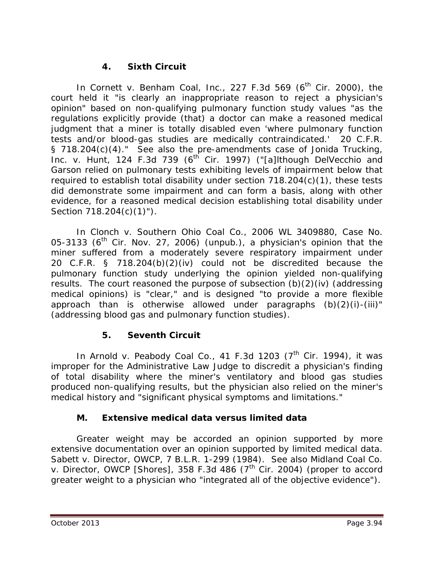## **4. Sixth Circuit**

In *Cornett v. Benham Coal, Inc.*, 227 F.3d 569 (6<sup>th</sup> Cir. 2000), the court held it "is clearly an inappropriate reason to reject a physician's opinion" based on non-qualifying pulmonary function study values "as the regulations explicitly provide (that) a doctor can make a reasoned medical judgment that a miner is totally disabled even 'where pulmonary function tests and/or blood-gas studies are medically contraindicated.' 20 C.F.R. § 718.204(c)(4)." *See also* the pre-amendments case of *Jonida Trucking,*  Inc. v. Hunt, 124 F.3d 739 (6<sup>th</sup> Cir. 1997) ("[a]lthough DelVecchio and Garson relied on pulmonary tests exhibiting levels of impairment below that required to establish total disability under section 718.204(c)(1), these tests did demonstrate some impairment and can form a basis, along with other evidence, for a reasoned medical decision establishing total disability under Section 718.204(c)(1)").

In *Clonch v. Southern Ohio Coal Co.*, 2006 WL 3409880, Case No. 05-3133 ( $6<sup>th</sup>$  Cir. Nov. 27, 2006) (unpub.), a physician's opinion that the miner suffered from a moderately severe respiratory impairment under 20 C.F.R. § 718.204(b)(2)(iv) could not be discredited because the pulmonary function study underlying the opinion yielded non-qualifying results. The court reasoned the purpose of subsection (b)(2)(iv) (addressing medical opinions) is "clear," and is designed "to provide a more flexible approach than is otherwise allowed under paragraphs (b)(2)(i)-(iii)" (addressing blood gas and pulmonary function studies).

### **5. Seventh Circuit**

In *Arnold v. Peabody Coal Co.*, 41 F.3d 1203 (7<sup>th</sup> Cir. 1994), it was improper for the Administrative Law Judge to discredit a physician's finding of total disability where the miner's ventilatory and blood gas studies produced non-qualifying results, but the physician also relied on the miner's medical history and "significant physical symptoms and limitations."

### **M. Extensive medical data versus limited data**

Greater weight may be accorded an opinion supported by more extensive documentation over an opinion supported by limited medical data. *Sabett v. Director, OWCP*, 7 B.L.R. 1-299 (1984). *See also Midland Coal Co. v. Director, OWCP [Shores]*, 358 F.3d 486 (7<sup>th Cir. 2004) (proper to accord</sup> greater weight to a physician who "integrated all of the objective evidence").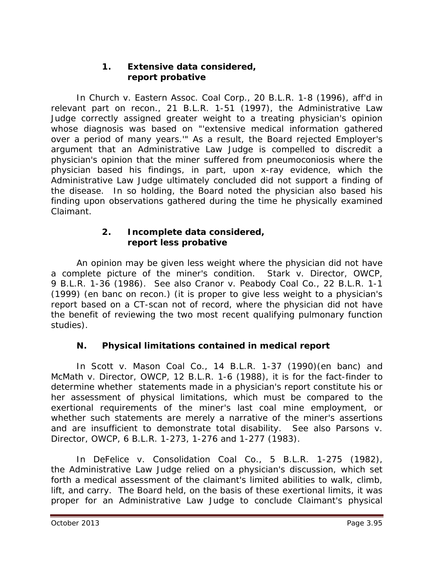### **1. Extensive data considered, report probative**

In *Church v. Eastern Assoc. Coal Corp.*, 20 B.L.R. 1-8 (1996), *aff'd in relevant part on recon.*, 21 B.L.R. 1-51 (1997), the Administrative Law Judge correctly assigned greater weight to a treating physician's opinion whose diagnosis was based on "'extensive medical information gathered over a period of many years.'" As a result, the Board rejected Employer's argument that an Administrative Law Judge is compelled to discredit a physician's opinion that the miner suffered from pneumoconiosis where the physician based his findings, in part, upon x-ray evidence, which the Administrative Law Judge ultimately concluded did not support a finding of the disease. In so holding, the Board noted the physician also based his finding upon observations gathered during the time he physically examined Claimant.

#### **2. Incomplete data considered, report less probative**

An opinion may be given less weight where the physician did not have a complete picture of the miner's condition. *Stark v. Director, OWCP*, 9 B.L.R. 1-36 (1986). *See also Cranor v. Peabody Coal Co.*, 22 B.L.R. 1-1 (1999) (en banc on recon.) (it is proper to give less weight to a physician's report based on a CT-scan not of record, where the physician did not have the benefit of reviewing the two most recent qualifying pulmonary function studies).

# **N. Physical limitations contained in medical report**

In *Scott v. Mason Coal Co.*, 14 B.L.R. 1-37 (1990)(en banc) and *McMath v. Director, OWCP*, 12 B.L.R. 1-6 (1988), it is for the fact-finder to determine whether statements made in a physician's report constitute his or her assessment of physical limitations, which must be compared to the exertional requirements of the miner's last coal mine employment, or whether such statements are merely a narrative of the miner's assertions and are insufficient to demonstrate total disability. *See also Parsons v. Director, OWCP*, 6 B.L.R. 1-273, 1-276 and 1-277 (1983).

In *DeFelice v. Consolidation Coal Co.*, 5 B.L.R. 1-275 (1982), the Administrative Law Judge relied on a physician's discussion, which set forth a medical assessment of the claimant's limited abilities to walk, climb, lift, and carry. The Board held, on the basis of these exertional limits, it was proper for an Administrative Law Judge to conclude Claimant's physical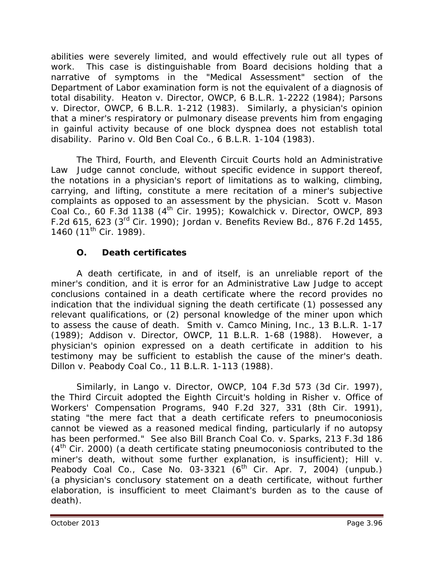abilities were severely limited, and would effectively rule out all types of work. This case is distinguishable from Board decisions holding that a narrative of symptoms in the "Medical Assessment" section of the Department of Labor examination form is not the equivalent of a diagnosis of total disability. *Heaton v. Director, OWCP*, 6 B.L.R. 1-2222 (1984); *Parsons v. Director, OWCP*, 6 B.L.R. 1-212 (1983). Similarly, a physician's opinion that a miner's respiratory or pulmonary disease prevents him from engaging in gainful activity because of one block dyspnea does not establish total disability. *Parino v. Old Ben Coal Co.*, 6 B.L.R. 1-104 (1983).

The Third, Fourth, and Eleventh Circuit Courts hold an Administrative Law Judge cannot conclude, without specific evidence in support thereof, the notations in a physician's report of limitations as to walking, climbing, carrying, and lifting, constitute a mere recitation of a miner's subjective complaints as opposed to an assessment by the physician. *Scott v. Mason Coal Co.*, 60 F.3d 1138 (4th Cir. 1995); *Kowalchick v. Director, OWCP*, 893 F.2d 615, 623 (3rd Cir. 1990); *Jordan v. Benefits Review Bd.*, 876 F.2d 1455, 1460 (11<sup>th</sup> Cir. 1989).

# **O. Death certificates**

A death certificate, in and of itself, is an unreliable report of the miner's condition, and it is error for an Administrative Law Judge to accept conclusions contained in a death certificate where the record provides no indication that the individual signing the death certificate (1) possessed any relevant qualifications, or (2) personal knowledge of the miner upon which to assess the cause of death. *Smith v. Camco Mining, Inc.*, 13 B.L.R. 1-17 (1989); *Addison v. Director, OWCP*, 11 B.L.R. 1-68 (1988). However, a physician's opinion expressed on a death certificate in addition to his testimony may be sufficient to establish the cause of the miner's death. *Dillon v. Peabody Coal Co.*, 11 B.L.R. 1-113 (1988).

Similarly, in *Lango v. Director, OWCP*, 104 F.3d 573 (3d Cir. 1997), the Third Circuit adopted the Eighth Circuit's holding in *Risher v. Office of Workers' Compensation Programs*, 940 F.2d 327, 331 (8th Cir. 1991), stating "the mere fact that a death certificate refers to pneumoconiosis cannot be viewed as a reasoned medical finding, particularly if no autopsy has been performed." *See also Bill Branch Coal Co. v. Sparks*, 213 F.3d 186  $(4<sup>th</sup>$  Cir. 2000) (a death certificate stating pneumoconiosis contributed to the miner's death, without some further explanation, is insufficient); *Hill v. Peabody Coal Co.*, Case No. 03-3321 (6<sup>th</sup> Cir. Apr. 7, 2004) (unpub.) (a physician's conclusory statement on a death certificate, without further elaboration, is insufficient to meet Claimant's burden as to the cause of death).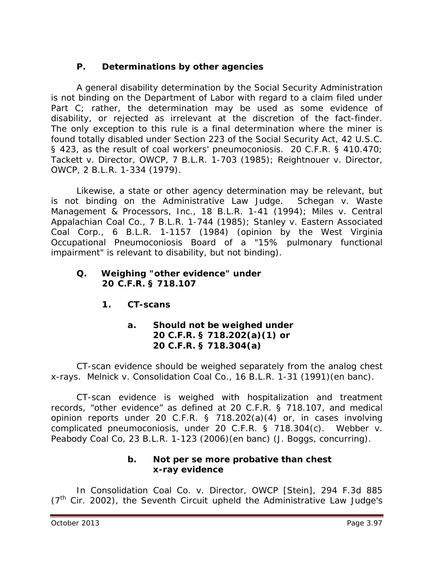## **P. Determinations by other agencies**

A general disability determination by the Social Security Administration is not binding on the Department of Labor with regard to a claim filed under Part C; rather, the determination may be used as some evidence of disability, or rejected as irrelevant at the discretion of the fact-finder. The only exception to this rule is a final determination where the miner is found totally disabled under Section 223 of the Social Security Act, 42 U.S.C. § 423, as the result of coal workers' pneumoconiosis. 20 C.F.R. § 410.470; *Tackett v. Director, OWCP*, 7 B.L.R. 1-703 (1985); *Reightnouer v. Director, OWCP*, 2 B.L.R. 1-334 (1979).

Likewise, a state or other agency determination may be relevant, but is not binding on the Administrative Law Judge. *Schegan v. Waste Management & Processors, Inc.*, 18 B.L.R. 1-41 (1994); *Miles v. Central Appalachian Coal Co.*, 7 B.L.R. 1-744 (1985); *Stanley v. Eastern Associated Coal Corp.*, 6 B.L.R. 1-1157 (1984) (opinion by the West Virginia Occupational Pneumoconiosis Board of a "15% pulmonary functional impairment" is relevant to disability, but not binding).

### **Q. Weighing "other evidence" under 20 C.F.R. § 718.107**

**1. CT-scans**

### **a. Should not be weighed under 20 C.F.R. § 718.202(a)(1) or 20 C.F.R. § 718.304(a)**

CT-scan evidence should be weighed separately from the analog chest x-rays. *Melnick v. Consolidation Coal Co.*, 16 B.L.R. 1-31 (1991)(en banc).

CT-scan evidence is weighed with hospitalization and treatment records, "other evidence" as defined at 20 C.F.R. § 718.107, and medical opinion reports under 20 C.F.R. § 718.202(a)(4) or, in cases involving complicated pneumoconiosis, under 20 C.F.R. § 718.304(c). *Webber v. Peabody Coal Co*, 23 B.L.R. 1-123 (2006)(en banc) (J. Boggs, concurring).

### **b. Not** *per se* **more probative than chest x-ray evidence**

In *Consolidation Coal Co. v. Director, OWCP [Stein]*, 294 F.3d 885  $(7<sup>th</sup>$  Cir. 2002), the Seventh Circuit upheld the Administrative Law Judge's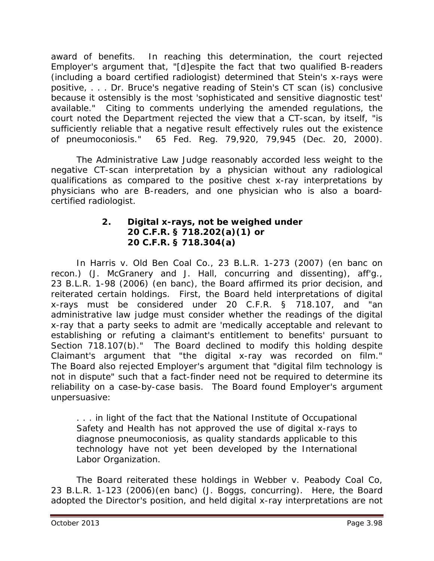award of benefits. In reaching this determination, the court rejected Employer's argument that, "[d]espite the fact that two qualified B-readers (including a board certified radiologist) determined that Stein's x-rays were positive, . . . Dr. Bruce's negative reading of Stein's CT scan (is) conclusive because it ostensibly is the most 'sophisticated and sensitive diagnostic test' available." Citing to comments underlying the amended regulations, the court noted the Department rejected the view that a CT-scan, by itself, "is sufficiently reliable that a negative result effectively rules out the existence of pneumoconiosis." 65 Fed. Reg. 79,920, 79,945 (Dec. 20, 2000).

The Administrative Law Judge reasonably accorded less weight to the negative CT-scan interpretation by a physician without any radiological qualifications as compared to the positive chest x-ray interpretations by physicians who are B-readers, and one physician who is also a boardcertified radiologist.

#### **2. Digital x-rays, not be weighed under 20 C.F.R. § 718.202(a)(1) or 20 C.F.R. § 718.304(a)**

In *Harris v. Old Ben Coal Co.*, 23 B.L.R. 1-273 (2007) (en banc on recon.) (J. McGranery and J. Hall, concurring and dissenting), *aff'g.*, 23 B.L.R. 1-98 (2006) (en banc), the Board affirmed its prior decision, and reiterated certain holdings. First, the Board held interpretations of digital x-rays must be considered under 20 C.F.R. § 718.107, and "an administrative law judge must consider whether the readings of the digital x-ray that a party seeks to admit are 'medically acceptable and relevant to establishing or refuting a claimant's entitlement to benefits' pursuant to Section 718.107(b)." The Board declined to modify this holding despite Claimant's argument that "the digital x-ray was recorded on film." The Board also rejected Employer's argument that "digital film technology is not in dispute" such that a fact-finder need not be required to determine its reliability on a case-by-case basis. The Board found Employer's argument unpersuasive:

. . . in light of the fact that the National Institute of Occupational Safety and Health has not approved the use of digital x-rays to diagnose pneumoconiosis, as quality standards applicable to this technology have not yet been developed by the International Labor Organization.

The Board reiterated these holdings in *Webber v. Peabody Coal Co*, 23 B.L.R. 1-123 (2006)(en banc) (J. Boggs, concurring). Here, the Board adopted the Director's position, and held digital x-ray interpretations are not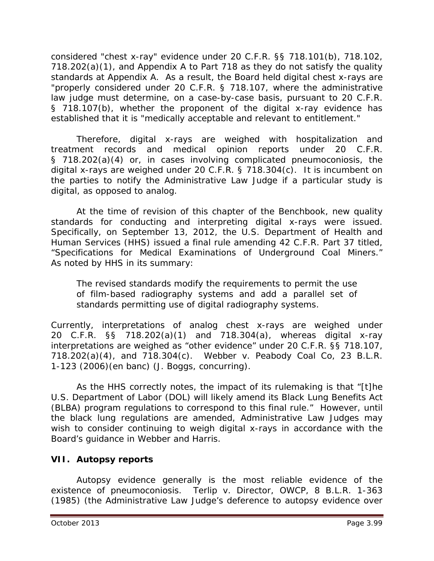considered "chest x-ray" evidence under 20 C.F.R. §§ 718.101(b), 718.102, 718.202(a)(1), and Appendix A to Part 718 as they do not satisfy the quality standards at Appendix A. As a result, the Board held digital chest x-rays are "properly considered under 20 C.F.R. § 718.107, where the administrative law judge must determine, on a case-by-case basis, pursuant to 20 C.F.R. § 718.107(b), whether the proponent of the digital x-ray evidence has established that it is "medically acceptable and relevant to entitlement."

Therefore, digital x-rays are weighed with hospitalization and treatment records and medical opinion reports under 20 C.F.R. § 718.202(a)(4) or, in cases involving complicated pneumoconiosis, the digital x-rays are weighed under 20 C.F.R. § 718.304(c). It is incumbent on the parties to notify the Administrative Law Judge if a particular study is digital, as opposed to analog.

At the time of revision of this chapter of the *Benchbook*, new quality standards for conducting and interpreting digital x-rays were issued. Specifically, on September 13, 2012, the U.S. Department of Health and Human Services (HHS) issued a final rule amending 42 C.F.R. Part 37 titled, "Specifications for Medical Examinations of Underground Coal Miners." As noted by HHS in its summary:

The revised standards modify the requirements to permit the use of film-based radiography systems and add a parallel set of standards permitting use of digital radiography systems.

Currently, interpretations of analog chest x-rays are weighed under 20 C.F.R. §§ 718.202(a)(1) and 718.304(a), whereas digital x-ray interpretations are weighed as "other evidence" under 20 C.F.R. §§ 718.107, 718.202(a)(4), and 718.304(c). *Webber v. Peabody Coal Co*, 23 B.L.R. 1-123 (2006)(en banc) (J. Boggs, concurring).

As the HHS correctly notes, the impact of its rulemaking is that "[t]he U.S. Department of Labor (DOL) will likely amend its Black Lung Benefits Act (BLBA) program regulations to correspond to this final rule." However, until the black lung regulations are amended, Administrative Law Judges may wish to consider continuing to weigh digital x-rays in accordance with the Board's guidance in *Webber* and *Harris*.

## **VII. Autopsy reports**

Autopsy evidence generally is the most reliable evidence of the existence of pneumoconiosis. *Terlip v. Director, OWCP*, 8 B.L.R. 1-363 (1985) (the Administrative Law Judge's deference to autopsy evidence over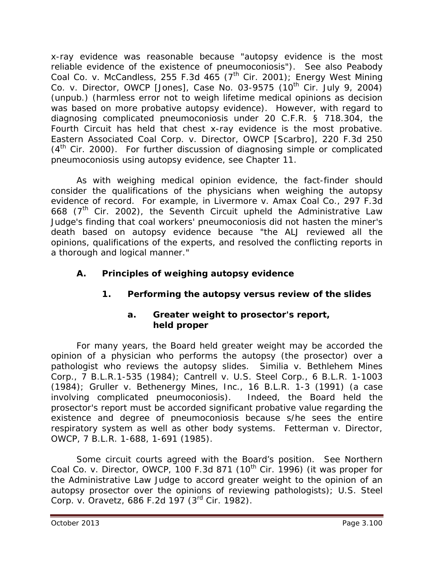x-ray evidence was reasonable because "autopsy evidence is the most reliable evidence of the existence of pneumoconiosis"). *See also Peabody Coal Co. v. McCandless*, 255 F.3d 465 (7th Cir. 2001); *Energy West Mining Co. v. Director, OWCP [Jones]*, Case No. 03-9575 (10th Cir. July 9, 2004) (unpub.) (harmless error not to weigh lifetime medical opinions as decision was based on more probative autopsy evidence). However, with regard to diagnosing complicated pneumoconiosis under 20 C.F.R. § 718.304, the Fourth Circuit has held that chest x-ray evidence is the most probative. *Eastern Associated Coal Corp. v. Director, OWCP [Scarbro]*, 220 F.3d 250  $(4<sup>th</sup>$  Cir. 2000). For further discussion of diagnosing simple or complicated pneumoconiosis using autopsy evidence, *see* Chapter 11.

As with weighing medical opinion evidence, the fact-finder should consider the qualifications of the physicians when weighing the autopsy evidence of record. For example, in *Livermore v. Amax Coal Co.*, 297 F.3d 668 ( $7<sup>th</sup>$  Cir. 2002), the Seventh Circuit upheld the Administrative Law Judge's finding that coal workers' pneumoconiosis did not hasten the miner's death based on autopsy evidence because "the ALJ reviewed all the opinions, qualifications of the experts, and resolved the conflicting reports in a thorough and logical manner."

## **A. Principles of weighing autopsy evidence**

# **1. Performing the autopsy versus review of the slides**

#### **a. Greater weight to prosector's report, held proper**

For many years, the Board held greater weight may be accorded the opinion of a physician who performs the autopsy (the prosector) over a pathologist who reviews the autopsy slides. *Similia v. Bethlehem Mines Corp.*, 7 B.L.R.1-535 (1984); *Cantrell v. U.S. Steel Corp.*, 6 B.L.R. 1-1003 (1984); *Gruller v. Bethenergy Mines, Inc.*, 16 B.L.R. 1-3 (1991) (a case involving complicated pneumoconiosis). Indeed, the Board held the prosector's report must be accorded significant probative value regarding the existence and degree of pneumoconiosis because s/he sees the entire respiratory system as well as other body systems. *Fetterman v. Director, OWCP*, 7 B.L.R. 1-688, 1-691 (1985).

Some circuit courts agreed with the Board's position. *See Northern Coal Co. v. Director, OWCP*, 100 F.3d 871 (10<sup>th</sup> Cir. 1996) (it was proper for the Administrative Law Judge to accord greater weight to the opinion of an autopsy prosector over the opinions of reviewing pathologists); *U.S. Steel Corp. v. Oravetz*, 686 F.2d 197 (3rd Cir. 1982).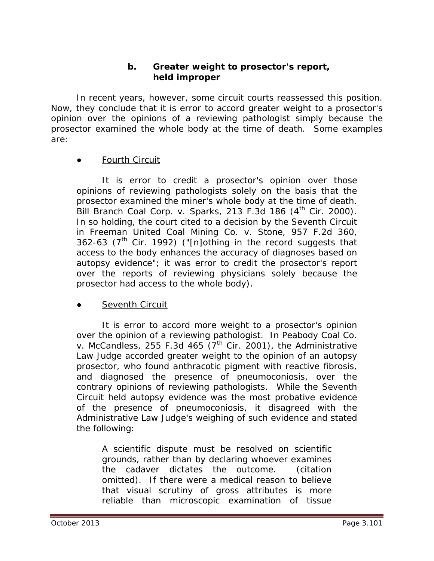#### **b. Greater weight to prosector's report, held improper**

In recent years, however, some circuit courts reassessed this position. Now, they conclude that it is error to accord greater weight to a prosector's opinion over the opinions of a reviewing pathologist simply because the prosector examined the whole body at the time of death. Some examples are:

#### **Fourth Circuit**

It is error to credit a prosector's opinion over those opinions of reviewing pathologists solely on the basis that the prosector examined the miner's whole body at the time of death. *Bill Branch Coal Corp. v. Sparks*, 213 F.3d 186 (4th Cir. 2000). In so holding, the court cited to a decision by the Seventh Circuit in *Freeman United Coal Mining Co. v. Stone*, 957 F.2d 360, 362-63 ( $7<sup>th</sup>$  Cir. 1992) ("[n]othing in the record suggests that access to the body enhances the accuracy of diagnoses based on autopsy evidence"; it was error to credit the prosector's report over the reports of reviewing physicians solely because the prosector had access to the whole body).

#### **Seventh Circuit**

It is error to accord more weight to a prosector's opinion over the opinion of a reviewing pathologist. In *Peabody Coal Co. v. McCandless*, 255 F.3d 465  $(7<sup>th</sup>$  Cir. 2001), the Administrative Law Judge accorded greater weight to the opinion of an autopsy prosector, who found anthracotic pigment with reactive fibrosis, and diagnosed the presence of pneumoconiosis, over the contrary opinions of reviewing pathologists. While the Seventh Circuit held autopsy evidence was the most probative evidence of the presence of pneumoconiosis, it disagreed with the Administrative Law Judge's weighing of such evidence and stated the following:

A scientific dispute must be resolved on scientific grounds, rather than by declaring whoever examines the cadaver dictates the outcome. (citation omitted). If there were a medical reason to believe that visual scrutiny of gross attributes is more reliable than microscopic examination of tissue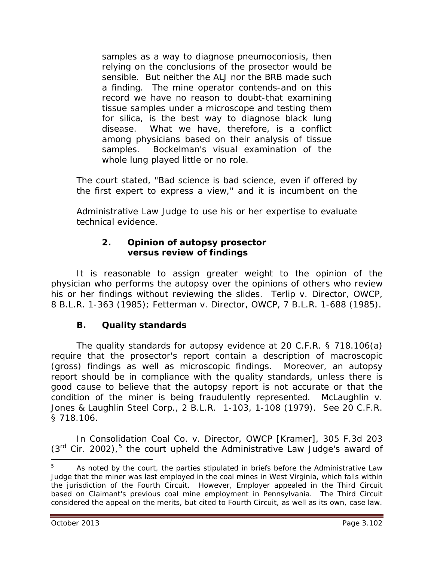samples as a way to diagnose pneumoconiosis, then relying on the conclusions of the prosector would be sensible. But neither the ALJ nor the BRB made such a finding. The mine operator contends-and on this record we have no reason to doubt-that examining tissue samples under a microscope and testing them for silica, is the best way to diagnose black lung disease. What we have, therefore, is a conflict among physicians based on their analysis of tissue samples. Bockelman's visual examination of the whole lung played little or no role.

The court stated, "Bad science is bad science, even if offered by the first expert to express a view," and it is incumbent on the

Administrative Law Judge to use his or her expertise to evaluate technical evidence.

### **2. Opinion of autopsy prosector versus review of findings**

It is reasonable to assign greater weight to the opinion of the physician who performs the autopsy over the opinions of others who review his or her findings without reviewing the slides. *Terlip v. Director, OWCP*, 8 B.L.R. 1-363 (1985); *Fetterman v. Director, OWCP*, 7 B.L.R. 1-688 (1985).

# **B. Quality standards**

The quality standards for autopsy evidence at 20 C.F.R. § 718.106(a) require that the prosector's report contain a description of macroscopic (gross) findings as well as microscopic findings. Moreover, an autopsy report should be in compliance with the quality standards, unless there is good cause to believe that the autopsy report is not accurate or that the condition of the miner is being fraudulently represented. *McLaughlin v. Jones & Laughlin Steel Corp.*, 2 B.L.R. 1-103, 1-108 (1979). *See* 20 C.F.R. § 718.106.

In *Consolidation Coal Co. v. Director, OWCP [Kramer]*, 305 F.3d 203  $(3<sup>rd</sup>$  Cir. 2002),<sup>[5](#page-101-0)</sup> the court upheld the Administrative Law Judge's award of

<span id="page-101-0"></span><sup>5</sup> As noted by the court, the parties stipulated in briefs before the Administrative Law Judge that the miner was last employed in the coal mines in West Virginia, which falls within the jurisdiction of the Fourth Circuit. However, Employer appealed in the Third Circuit based on Claimant's previous coal mine employment in Pennsylvania. The Third Circuit considered the appeal on the merits, but cited to Fourth Circuit, as well as its own, case law.  $\overline{a}$